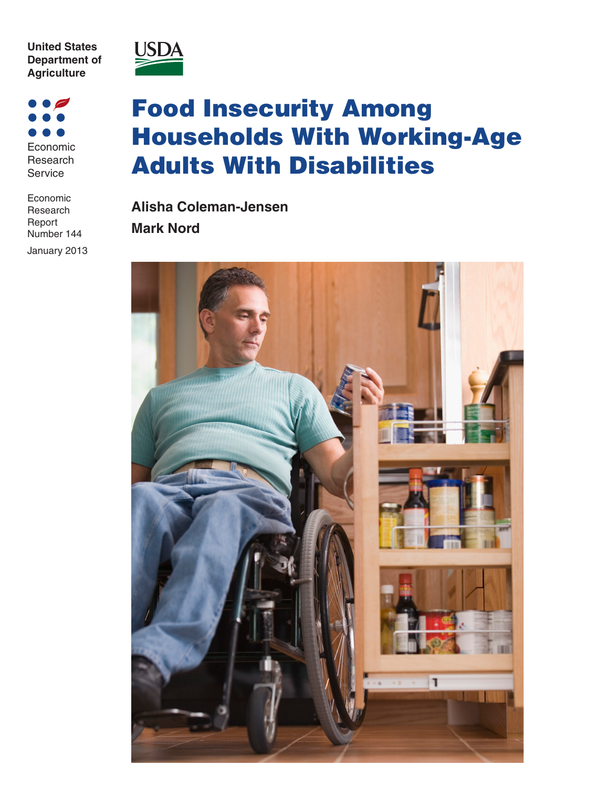**United States Department of Agriculture**

Economic Research **Service** 

| Economic     |
|--------------|
| Research     |
| Report       |
| Number 144   |
| January 2013 |



## Food Insecurity Among Households With Working-Age Adults With Disabilities

**Alisha Coleman-Jensen Mark Nord**

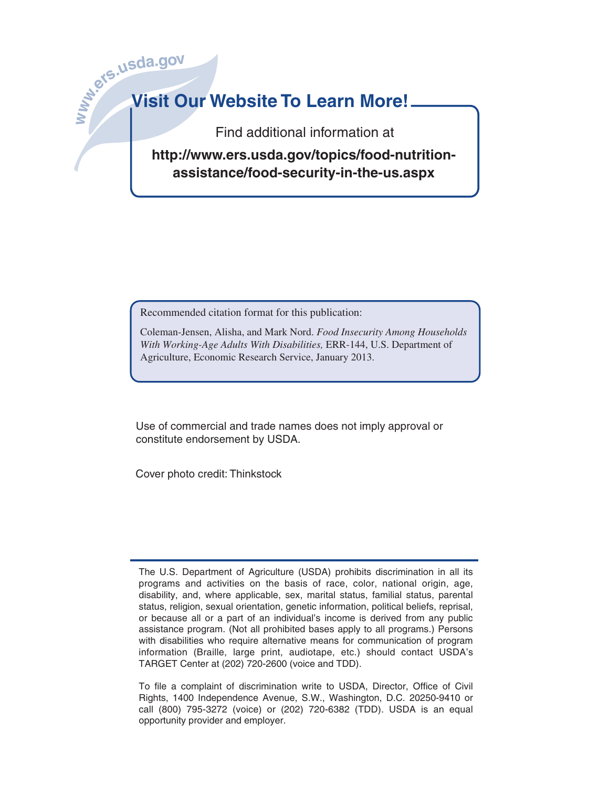# **Wish**<br>State of the Missilor of the Wish  $\alpha$ **Visit Our Website To Learn More!**

Find additional information at

**http://www.ers.usda.gov/topics/food-nutritionassistance/food-security-in-the-us.aspx**

Recommended citation format for this publication:

Coleman-Jensen, Alisha, and Mark Nord. *Food Insecurity Among Households With Working-Age Adults With Disabilities,* ERR-144, U.S. Department of Agriculture, Economic Research Service, January 2013.

Use of commercial and trade names does not imply approval or constitute endorsement by USDA.

Cover photo credit: Thinkstock

The U.S. Department of Agriculture (USDA) prohibits discrimination in all its programs and activities on the basis of race, color, national origin, age, disability, and, where applicable, sex, marital status, familial status, parental status, religion, sexual orientation, genetic information, political beliefs, reprisal, or because all or a part of an individual's income is derived from any public assistance program. (Not all prohibited bases apply to all programs.) Persons with disabilities who require alternative means for communication of program information (Braille, large print, audiotape, etc.) should contact USDA's TARGET Center at (202) 720-2600 (voice and TDD).

To file a complaint of discrimination write to USDA, Director, Office of Civil Rights, 1400 Independence Avenue, S.W., Washington, D.C. 20250-9410 or call (800) 795-3272 (voice) or (202) 720-6382 (TDD). USDA is an equal opportunity provider and employer.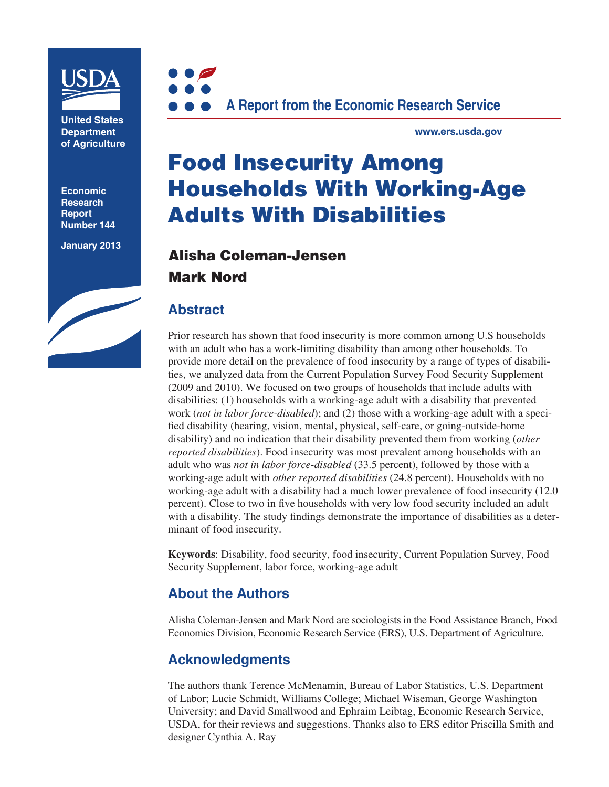

**United States Department of Agriculture**

**Economic Research Report Number 144**

**January 2013**



**www.ers.usda.gov**

## Food Insecurity Among Households With Working-Age Adults With Disabilities

## Alisha Coleman-Jensen Mark Nord

## **Abstract**

Prior research has shown that food insecurity is more common among U.S households with an adult who has a work-limiting disability than among other households. To provide more detail on the prevalence of food insecurity by a range of types of disabilities, we analyzed data from the Current Population Survey Food Security Supplement (2009 and 2010). We focused on two groups of households that include adults with disabilities: (1) households with a working-age adult with a disability that prevented work (*not in labor force-disabled*); and (2) those with a working-age adult with a specified disability (hearing, vision, mental, physical, self-care, or going-outside-home disability) and no indication that their disability prevented them from working (*other reported disabilities*). Food insecurity was most prevalent among households with an adult who was *not in labor force-disabled* (33.5 percent), followed by those with a working-age adult with *other reported disabilities* (24.8 percent). Households with no working-age adult with a disability had a much lower prevalence of food insecurity (12.0 percent). Close to two in five households with very low food security included an adult with a disability. The study findings demonstrate the importance of disabilities as a determinant of food insecurity.

**Keywords**: Disability, food security, food insecurity, Current Population Survey, Food Security Supplement, labor force, working-age adult

## **About the Authors**

Alisha Coleman-Jensen and Mark Nord are sociologists in the Food Assistance Branch, Food Economics Division, Economic Research Service (ERS), U.S. Department of Agriculture.

## **Acknowledgments**

The authors thank Terence McMenamin, Bureau of Labor Statistics, U.S. Department of Labor; Lucie Schmidt, Williams College; Michael Wiseman, George Washington University; and David Smallwood and Ephraim Leibtag, Economic Research Service, USDA, for their reviews and suggestions. Thanks also to ERS editor Priscilla Smith and designer Cynthia A. Ray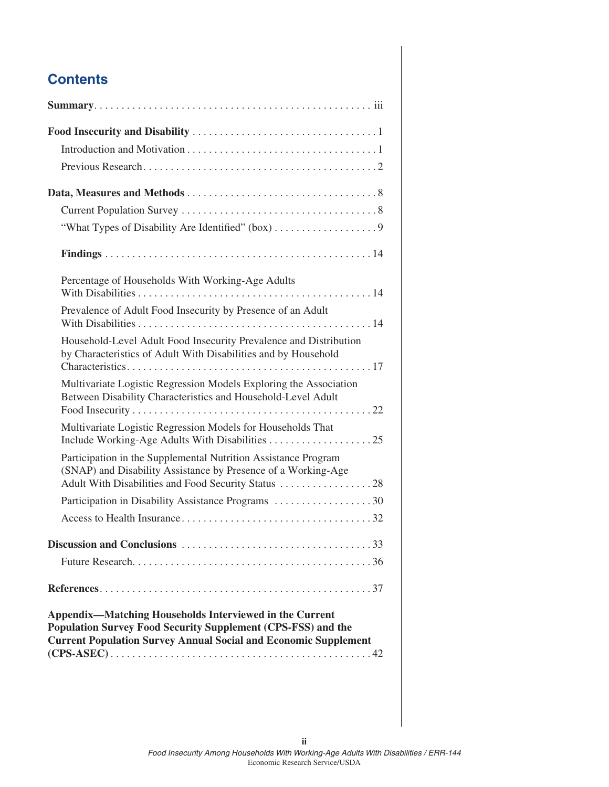## **Contents**

| Percentage of Households With Working-Age Adults                                                                                                                                                  |
|---------------------------------------------------------------------------------------------------------------------------------------------------------------------------------------------------|
| Prevalence of Adult Food Insecurity by Presence of an Adult                                                                                                                                       |
| Household-Level Adult Food Insecurity Prevalence and Distribution<br>by Characteristics of Adult With Disabilities and by Household                                                               |
| Multivariate Logistic Regression Models Exploring the Association<br>Between Disability Characteristics and Household-Level Adult                                                                 |
| Multivariate Logistic Regression Models for Households That                                                                                                                                       |
| Participation in the Supplemental Nutrition Assistance Program<br>(SNAP) and Disability Assistance by Presence of a Working-Age<br>Adult With Disabilities and Food Security Status 28            |
| Participation in Disability Assistance Programs 30                                                                                                                                                |
|                                                                                                                                                                                                   |
|                                                                                                                                                                                                   |
|                                                                                                                                                                                                   |
|                                                                                                                                                                                                   |
| Appendix-Matching Households Interviewed in the Current<br>Population Survey Food Security Supplement (CPS-FSS) and the<br><b>Current Population Survey Annual Social and Economic Supplement</b> |
|                                                                                                                                                                                                   |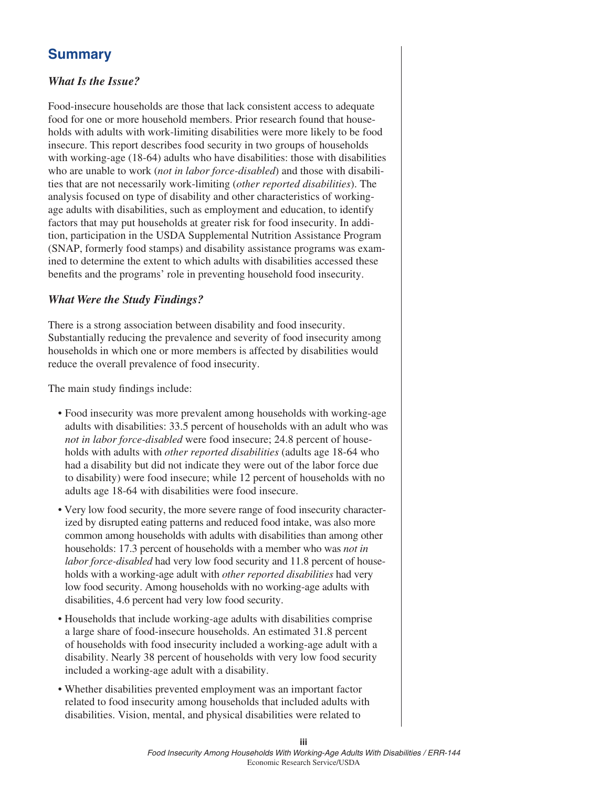## **Summary**

#### *What Is the Issue?*

Food-insecure households are those that lack consistent access to adequate food for one or more household members. Prior research found that households with adults with work-limiting disabilities were more likely to be food insecure. This report describes food security in two groups of households with working-age (18-64) adults who have disabilities: those with disabilities who are unable to work (*not in labor force-disabled*) and those with disabilities that are not necessarily work-limiting (*other reported disabilities*). The analysis focused on type of disability and other characteristics of workingage adults with disabilities, such as employment and education, to identify factors that may put households at greater risk for food insecurity. In addition, participation in the USDA Supplemental Nutrition Assistance Program (SNAP, formerly food stamps) and disability assistance programs was examined to determine the extent to which adults with disabilities accessed these benefits and the programs' role in preventing household food insecurity.

#### *What Were the Study Findings?*

There is a strong association between disability and food insecurity. Substantially reducing the prevalence and severity of food insecurity among households in which one or more members is affected by disabilities would reduce the overall prevalence of food insecurity.

The main study findings include:

- Food insecurity was more prevalent among households with working-age adults with disabilities: 33.5 percent of households with an adult who was *not in labor force-disabled* were food insecure; 24.8 percent of households with adults with *other reported disabilities* (adults age 18-64 who had a disability but did not indicate they were out of the labor force due to disability) were food insecure; while 12 percent of households with no adults age 18-64 with disabilities were food insecure.
- Very low food security, the more severe range of food insecurity characterized by disrupted eating patterns and reduced food intake, was also more common among households with adults with disabilities than among other households: 17.3 percent of households with a member who was *not in labor force-disabled* had very low food security and 11.8 percent of households with a working-age adult with *other reported disabilities* had very low food security. Among households with no working-age adults with disabilities, 4.6 percent had very low food security.
- Households that include working-age adults with disabilities comprise a large share of food-insecure households. An estimated 31.8 percent of households with food insecurity included a working-age adult with a disability. Nearly 38 percent of households with very low food security included a working-age adult with a disability.
- Whether disabilities prevented employment was an important factor related to food insecurity among households that included adults with disabilities. Vision, mental, and physical disabilities were related to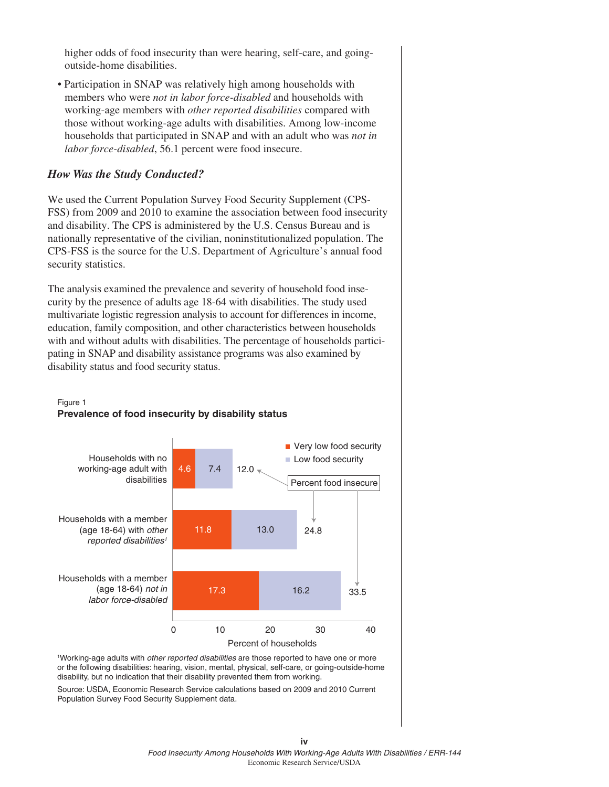higher odds of food insecurity than were hearing, self-care, and goingoutside-home disabilities.

• Participation in SNAP was relatively high among households with members who were *not in labor force-disabled* and households with working-age members with *other reported disabilities* compared with those without working-age adults with disabilities. Among low-income households that participated in SNAP and with an adult who was *not in labor force-disabled*, 56.1 percent were food insecure.

#### *How Was the Study Conducted?*

We used the Current Population Survey Food Security Supplement (CPS-FSS) from 2009 and 2010 to examine the association between food insecurity and disability. The CPS is administered by the U.S. Census Bureau and is nationally representative of the civilian, noninstitutionalized population. The CPS-FSS is the source for the U.S. Department of Agriculture's annual food security statistics.

The analysis examined the prevalence and severity of household food insecurity by the presence of adults age 18-64 with disabilities. The study used multivariate logistic regression analysis to account for differences in income, education, family composition, and other characteristics between households with and without adults with disabilities. The percentage of households participating in SNAP and disability assistance programs was also examined by disability status and food security status.



#### Figure 1 **Prevalence of food insecurity by disability status**

1 Working-age adults with *other reported disabilities* are those reported to have one or more or the following disabilities: hearing, vision, mental, physical, self-care, or going-outside-home disability, but no indication that their disability prevented them from working.

Source: USDA, Economic Research Service calculations based on 2009 and 2010 Current Population Survey Food Security Supplement data.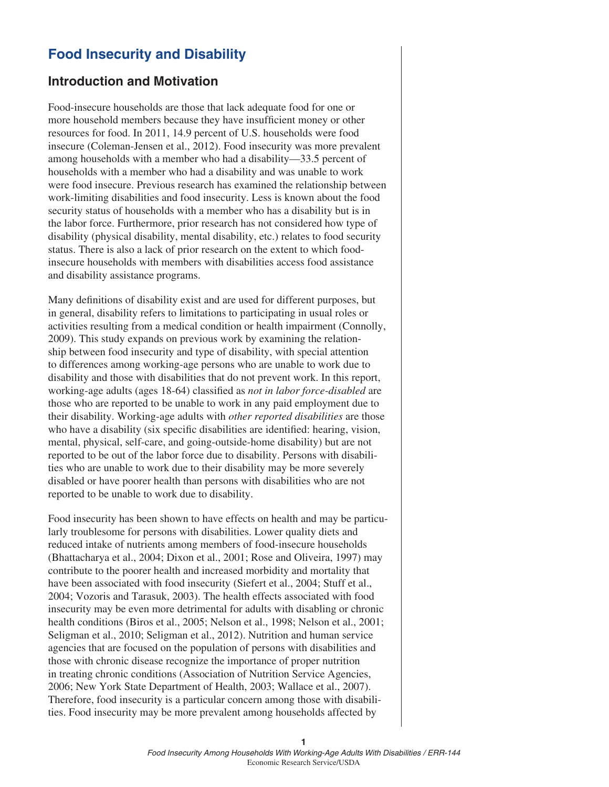## **Food Insecurity and Disability**

## **Introduction and Motivation**

Food-insecure households are those that lack adequate food for one or more household members because they have insufficient money or other resources for food. In 2011, 14.9 percent of U.S. households were food insecure (Coleman-Jensen et al., 2012). Food insecurity was more prevalent among households with a member who had a disability—33.5 percent of households with a member who had a disability and was unable to work were food insecure. Previous research has examined the relationship between work-limiting disabilities and food insecurity. Less is known about the food security status of households with a member who has a disability but is in the labor force. Furthermore, prior research has not considered how type of disability (physical disability, mental disability, etc.) relates to food security status. There is also a lack of prior research on the extent to which foodinsecure households with members with disabilities access food assistance and disability assistance programs.

Many definitions of disability exist and are used for different purposes, but in general, disability refers to limitations to participating in usual roles or activities resulting from a medical condition or health impairment (Connolly, 2009). This study expands on previous work by examining the relationship between food insecurity and type of disability, with special attention to differences among working-age persons who are unable to work due to disability and those with disabilities that do not prevent work. In this report, working-age adults (ages 18-64) classified as *not in labor force-disabled* are those who are reported to be unable to work in any paid employment due to their disability. Working-age adults with *other reported disabilities* are those who have a disability (six specific disabilities are identified: hearing, vision, mental, physical, self-care, and going-outside-home disability) but are not reported to be out of the labor force due to disability. Persons with disabilities who are unable to work due to their disability may be more severely disabled or have poorer health than persons with disabilities who are not reported to be unable to work due to disability.

Food insecurity has been shown to have effects on health and may be particularly troublesome for persons with disabilities. Lower quality diets and reduced intake of nutrients among members of food-insecure households (Bhattacharya et al., 2004; Dixon et al., 2001; Rose and Oliveira, 1997) may contribute to the poorer health and increased morbidity and mortality that have been associated with food insecurity (Siefert et al., 2004; Stuff et al., 2004; Vozoris and Tarasuk, 2003). The health effects associated with food insecurity may be even more detrimental for adults with disabling or chronic health conditions (Biros et al., 2005; Nelson et al., 1998; Nelson et al., 2001; Seligman et al., 2010; Seligman et al., 2012). Nutrition and human service agencies that are focused on the population of persons with disabilities and those with chronic disease recognize the importance of proper nutrition in treating chronic conditions (Association of Nutrition Service Agencies, 2006; New York State Department of Health, 2003; Wallace et al., 2007). Therefore, food insecurity is a particular concern among those with disabilities. Food insecurity may be more prevalent among households affected by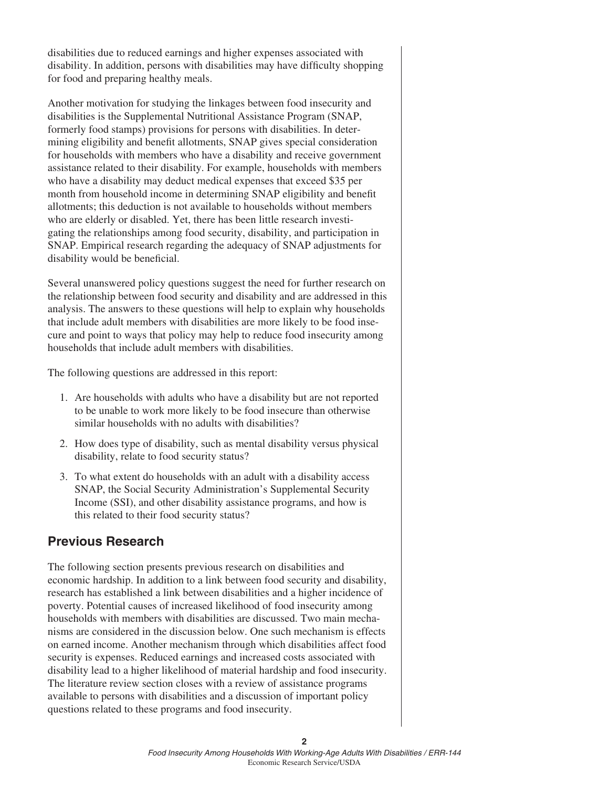disabilities due to reduced earnings and higher expenses associated with disability. In addition, persons with disabilities may have difficulty shopping for food and preparing healthy meals.

Another motivation for studying the linkages between food insecurity and disabilities is the Supplemental Nutritional Assistance Program (SNAP, formerly food stamps) provisions for persons with disabilities. In determining eligibility and benefit allotments, SNAP gives special consideration for households with members who have a disability and receive government assistance related to their disability. For example, households with members who have a disability may deduct medical expenses that exceed \$35 per month from household income in determining SNAP eligibility and benefit allotments; this deduction is not available to households without members who are elderly or disabled. Yet, there has been little research investigating the relationships among food security, disability, and participation in SNAP. Empirical research regarding the adequacy of SNAP adjustments for disability would be beneficial.

Several unanswered policy questions suggest the need for further research on the relationship between food security and disability and are addressed in this analysis. The answers to these questions will help to explain why households that include adult members with disabilities are more likely to be food insecure and point to ways that policy may help to reduce food insecurity among households that include adult members with disabilities.

The following questions are addressed in this report:

- 1. Are households with adults who have a disability but are not reported to be unable to work more likely to be food insecure than otherwise similar households with no adults with disabilities?
- 2. How does type of disability, such as mental disability versus physical disability, relate to food security status?
- 3. To what extent do households with an adult with a disability access SNAP, the Social Security Administration's Supplemental Security Income (SSI), and other disability assistance programs, and how is this related to their food security status?

## **Previous Research**

The following section presents previous research on disabilities and economic hardship. In addition to a link between food security and disability, research has established a link between disabilities and a higher incidence of poverty. Potential causes of increased likelihood of food insecurity among households with members with disabilities are discussed. Two main mechanisms are considered in the discussion below. One such mechanism is effects on earned income. Another mechanism through which disabilities affect food security is expenses. Reduced earnings and increased costs associated with disability lead to a higher likelihood of material hardship and food insecurity. The literature review section closes with a review of assistance programs available to persons with disabilities and a discussion of important policy questions related to these programs and food insecurity.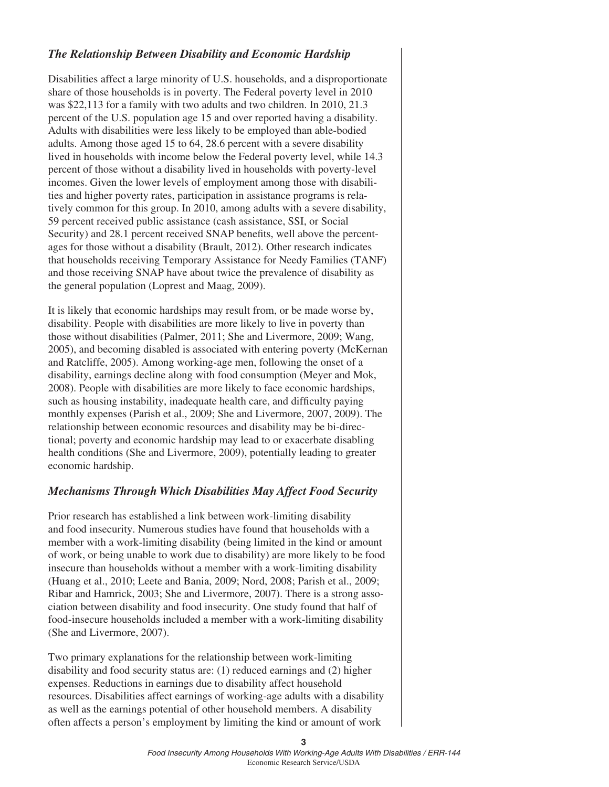#### *The Relationship Between Disability and Economic Hardship*

Disabilities affect a large minority of U.S. households, and a disproportionate share of those households is in poverty. The Federal poverty level in 2010 was \$22,113 for a family with two adults and two children. In 2010, 21.3 percent of the U.S. population age 15 and over reported having a disability. Adults with disabilities were less likely to be employed than able-bodied adults. Among those aged 15 to 64, 28.6 percent with a severe disability lived in households with income below the Federal poverty level, while 14.3 percent of those without a disability lived in households with poverty-level incomes. Given the lower levels of employment among those with disabilities and higher poverty rates, participation in assistance programs is relatively common for this group. In 2010, among adults with a severe disability, 59 percent received public assistance (cash assistance, SSI, or Social Security) and 28.1 percent received SNAP benefits, well above the percentages for those without a disability (Brault, 2012). Other research indicates that households receiving Temporary Assistance for Needy Families (TANF) and those receiving SNAP have about twice the prevalence of disability as the general population (Loprest and Maag, 2009).

It is likely that economic hardships may result from, or be made worse by, disability. People with disabilities are more likely to live in poverty than those without disabilities (Palmer, 2011; She and Livermore, 2009; Wang, 2005), and becoming disabled is associated with entering poverty (McKernan and Ratcliffe, 2005). Among working-age men, following the onset of a disability, earnings decline along with food consumption (Meyer and Mok, 2008). People with disabilities are more likely to face economic hardships, such as housing instability, inadequate health care, and difficulty paying monthly expenses (Parish et al., 2009; She and Livermore, 2007, 2009). The relationship between economic resources and disability may be bi-directional; poverty and economic hardship may lead to or exacerbate disabling health conditions (She and Livermore, 2009), potentially leading to greater economic hardship.

#### *Mechanisms Through Which Disabilities May Affect Food Security*

Prior research has established a link between work-limiting disability and food insecurity. Numerous studies have found that households with a member with a work-limiting disability (being limited in the kind or amount of work, or being unable to work due to disability) are more likely to be food insecure than households without a member with a work-limiting disability (Huang et al., 2010; Leete and Bania, 2009; Nord, 2008; Parish et al., 2009; Ribar and Hamrick, 2003; She and Livermore, 2007). There is a strong association between disability and food insecurity. One study found that half of food-insecure households included a member with a work-limiting disability (She and Livermore, 2007).

Two primary explanations for the relationship between work-limiting disability and food security status are: (1) reduced earnings and (2) higher expenses. Reductions in earnings due to disability affect household resources. Disabilities affect earnings of working-age adults with a disability as well as the earnings potential of other household members. A disability often affects a person's employment by limiting the kind or amount of work

**3**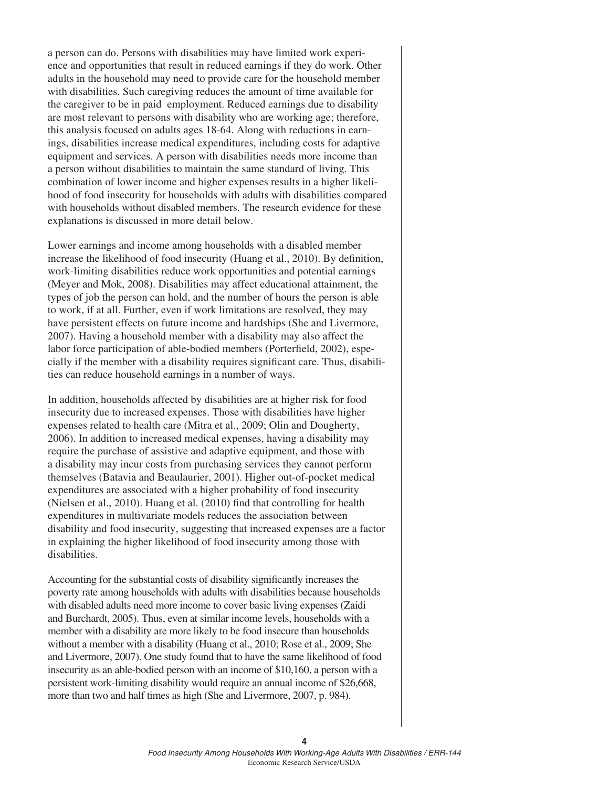a person can do. Persons with disabilities may have limited work experience and opportunities that result in reduced earnings if they do work. Other adults in the household may need to provide care for the household member with disabilities. Such caregiving reduces the amount of time available for the caregiver to be in paid employment. Reduced earnings due to disability are most relevant to persons with disability who are working age; therefore, this analysis focused on adults ages 18-64. Along with reductions in earnings, disabilities increase medical expenditures, including costs for adaptive equipment and services. A person with disabilities needs more income than a person without disabilities to maintain the same standard of living. This combination of lower income and higher expenses results in a higher likelihood of food insecurity for households with adults with disabilities compared with households without disabled members. The research evidence for these explanations is discussed in more detail below.

Lower earnings and income among households with a disabled member increase the likelihood of food insecurity (Huang et al., 2010). By definition, work-limiting disabilities reduce work opportunities and potential earnings (Meyer and Mok, 2008). Disabilities may affect educational attainment, the types of job the person can hold, and the number of hours the person is able to work, if at all. Further, even if work limitations are resolved, they may have persistent effects on future income and hardships (She and Livermore, 2007). Having a household member with a disability may also affect the labor force participation of able-bodied members (Porterfield, 2002), especially if the member with a disability requires significant care. Thus, disabilities can reduce household earnings in a number of ways.

In addition, households affected by disabilities are at higher risk for food insecurity due to increased expenses. Those with disabilities have higher expenses related to health care (Mitra et al., 2009; Olin and Dougherty, 2006). In addition to increased medical expenses, having a disability may require the purchase of assistive and adaptive equipment, and those with a disability may incur costs from purchasing services they cannot perform themselves (Batavia and Beaulaurier, 2001). Higher out-of-pocket medical expenditures are associated with a higher probability of food insecurity (Nielsen et al., 2010). Huang et al. (2010) find that controlling for health expenditures in multivariate models reduces the association between disability and food insecurity, suggesting that increased expenses are a factor in explaining the higher likelihood of food insecurity among those with disabilities.

Accounting for the substantial costs of disability significantly increases the poverty rate among households with adults with disabilities because households with disabled adults need more income to cover basic living expenses (Zaidi and Burchardt, 2005). Thus, even at similar income levels, households with a member with a disability are more likely to be food insecure than households without a member with a disability (Huang et al., 2010; Rose et al., 2009; She and Livermore, 2007). One study found that to have the same likelihood of food insecurity as an able-bodied person with an income of \$10,160, a person with a persistent work-limiting disability would require an annual income of \$26,668, more than two and half times as high (She and Livermore, 2007, p. 984).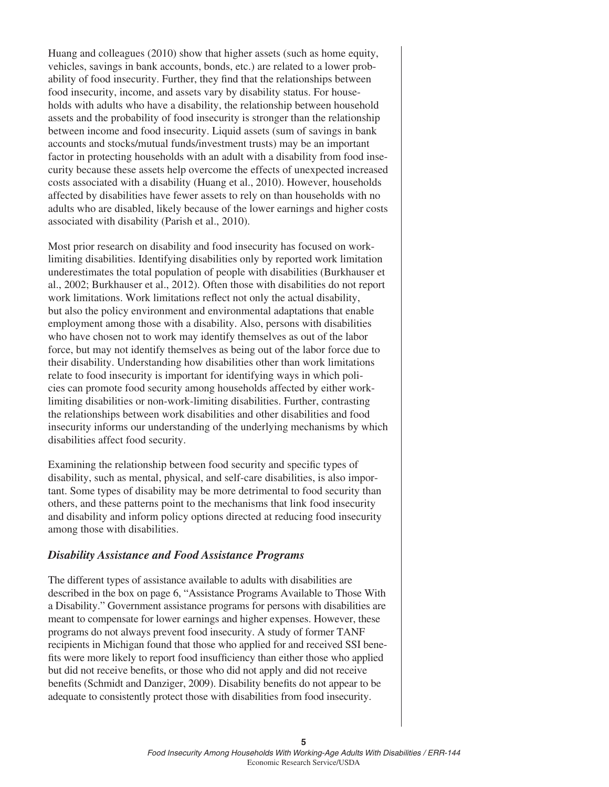Huang and colleagues (2010) show that higher assets (such as home equity, vehicles, savings in bank accounts, bonds, etc.) are related to a lower probability of food insecurity. Further, they find that the relationships between food insecurity, income, and assets vary by disability status. For households with adults who have a disability, the relationship between household assets and the probability of food insecurity is stronger than the relationship between income and food insecurity. Liquid assets (sum of savings in bank accounts and stocks/mutual funds/investment trusts) may be an important factor in protecting households with an adult with a disability from food insecurity because these assets help overcome the effects of unexpected increased costs associated with a disability (Huang et al., 2010). However, households affected by disabilities have fewer assets to rely on than households with no adults who are disabled, likely because of the lower earnings and higher costs associated with disability (Parish et al., 2010).

Most prior research on disability and food insecurity has focused on worklimiting disabilities. Identifying disabilities only by reported work limitation underestimates the total population of people with disabilities (Burkhauser et al., 2002; Burkhauser et al., 2012). Often those with disabilities do not report work limitations. Work limitations reflect not only the actual disability, but also the policy environment and environmental adaptations that enable employment among those with a disability. Also, persons with disabilities who have chosen not to work may identify themselves as out of the labor force, but may not identify themselves as being out of the labor force due to their disability. Understanding how disabilities other than work limitations relate to food insecurity is important for identifying ways in which policies can promote food security among households affected by either worklimiting disabilities or non-work-limiting disabilities. Further, contrasting the relationships between work disabilities and other disabilities and food insecurity informs our understanding of the underlying mechanisms by which disabilities affect food security.

Examining the relationship between food security and specific types of disability, such as mental, physical, and self-care disabilities, is also important. Some types of disability may be more detrimental to food security than others, and these patterns point to the mechanisms that link food insecurity and disability and inform policy options directed at reducing food insecurity among those with disabilities.

#### *Disability Assistance and Food Assistance Programs*

The different types of assistance available to adults with disabilities are described in the box on page 6, "Assistance Programs Available to Those With a Disability." Government assistance programs for persons with disabilities are meant to compensate for lower earnings and higher expenses. However, these programs do not always prevent food insecurity. A study of former TANF recipients in Michigan found that those who applied for and received SSI benefits were more likely to report food insufficiency than either those who applied but did not receive benefits, or those who did not apply and did not receive benefits (Schmidt and Danziger, 2009). Disability benefits do not appear to be adequate to consistently protect those with disabilities from food insecurity.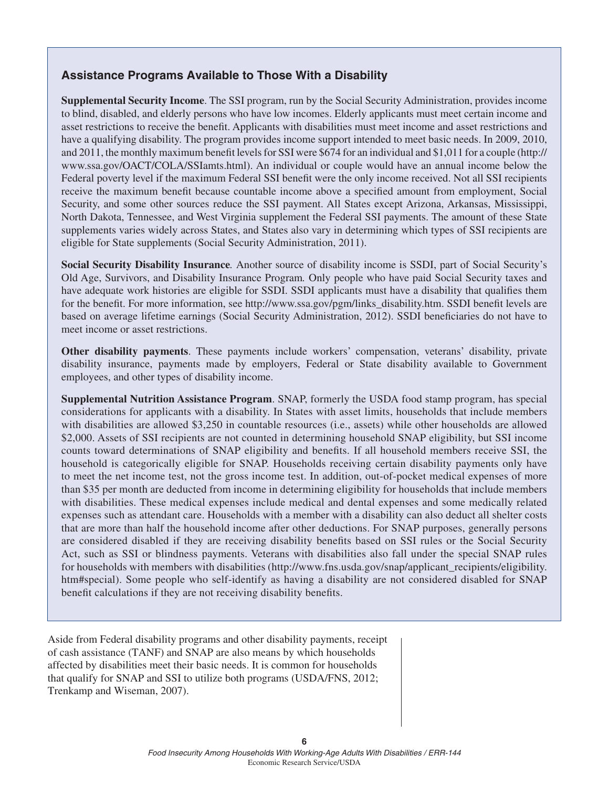## **Assistance Programs Available to Those With a Disability**

**Supplemental Security Income**. The SSI program, run by the Social Security Administration, provides income to blind, disabled, and elderly persons who have low incomes. Elderly applicants must meet certain income and asset restrictions to receive the benefit. Applicants with disabilities must meet income and asset restrictions and have a qualifying disability. The program provides income support intended to meet basic needs. In 2009, 2010, and 2011, the monthly maximum benefit levels for SSI were \$674 for an individual and \$1,011 for a couple (http:// www.ssa.gov/OACT/COLA/SSIamts.html). An individual or couple would have an annual income below the Federal poverty level if the maximum Federal SSI benefit were the only income received. Not all SSI recipients receive the maximum benefit because countable income above a specified amount from employment, Social Security, and some other sources reduce the SSI payment. All States except Arizona, Arkansas, Mississippi, North Dakota, Tennessee, and West Virginia supplement the Federal SSI payments. The amount of these State supplements varies widely across States, and States also vary in determining which types of SSI recipients are eligible for State supplements (Social Security Administration, 2011).

**Social Security Disability Insurance***.* Another source of disability income is SSDI, part of Social Security's Old Age, Survivors, and Disability Insurance Program*.* Only people who have paid Social Security taxes and have adequate work histories are eligible for SSDI. SSDI applicants must have a disability that qualifies them for the benefit. For more information, see http://www.ssa.gov/pgm/links\_disability.htm. SSDI benefit levels are based on average lifetime earnings (Social Security Administration, 2012). SSDI beneficiaries do not have to meet income or asset restrictions.

**Other disability payments**. These payments include workers' compensation, veterans' disability, private disability insurance, payments made by employers, Federal or State disability available to Government employees, and other types of disability income.

**Supplemental Nutrition Assistance Program**. SNAP, formerly the USDA food stamp program, has special considerations for applicants with a disability. In States with asset limits, households that include members with disabilities are allowed \$3,250 in countable resources (i.e., assets) while other households are allowed \$2,000. Assets of SSI recipients are not counted in determining household SNAP eligibility, but SSI income counts toward determinations of SNAP eligibility and benefits. If all household members receive SSI, the household is categorically eligible for SNAP. Households receiving certain disability payments only have to meet the net income test, not the gross income test. In addition, out-of-pocket medical expenses of more than \$35 per month are deducted from income in determining eligibility for households that include members with disabilities. These medical expenses include medical and dental expenses and some medically related expenses such as attendant care. Households with a member with a disability can also deduct all shelter costs that are more than half the household income after other deductions. For SNAP purposes, generally persons are considered disabled if they are receiving disability benefits based on SSI rules or the Social Security Act, such as SSI or blindness payments. Veterans with disabilities also fall under the special SNAP rules for households with members with disabilities (http://www.fns.usda.gov/snap/applicant\_recipients/eligibility. htm#special). Some people who self-identify as having a disability are not considered disabled for SNAP benefit calculations if they are not receiving disability benefits.

Aside from Federal disability programs and other disability payments, receipt of cash assistance (TANF) and SNAP are also means by which households affected by disabilities meet their basic needs. It is common for households that qualify for SNAP and SSI to utilize both programs (USDA/FNS, 2012; Trenkamp and Wiseman, 2007).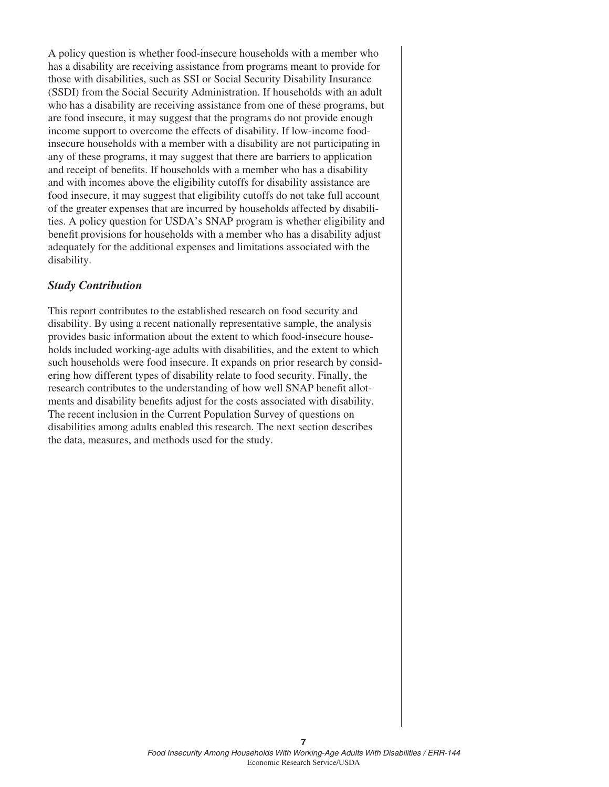A policy question is whether food-insecure households with a member who has a disability are receiving assistance from programs meant to provide for those with disabilities, such as SSI or Social Security Disability Insurance (SSDI) from the Social Security Administration. If households with an adult who has a disability are receiving assistance from one of these programs, but are food insecure, it may suggest that the programs do not provide enough income support to overcome the effects of disability. If low-income foodinsecure households with a member with a disability are not participating in any of these programs, it may suggest that there are barriers to application and receipt of benefits. If households with a member who has a disability and with incomes above the eligibility cutoffs for disability assistance are food insecure, it may suggest that eligibility cutoffs do not take full account of the greater expenses that are incurred by households affected by disabilities. A policy question for USDA's SNAP program is whether eligibility and benefit provisions for households with a member who has a disability adjust adequately for the additional expenses and limitations associated with the disability.

#### *Study Contribution*

This report contributes to the established research on food security and disability. By using a recent nationally representative sample, the analysis provides basic information about the extent to which food-insecure households included working-age adults with disabilities, and the extent to which such households were food insecure. It expands on prior research by considering how different types of disability relate to food security. Finally, the research contributes to the understanding of how well SNAP benefit allotments and disability benefits adjust for the costs associated with disability. The recent inclusion in the Current Population Survey of questions on disabilities among adults enabled this research. The next section describes the data, measures, and methods used for the study.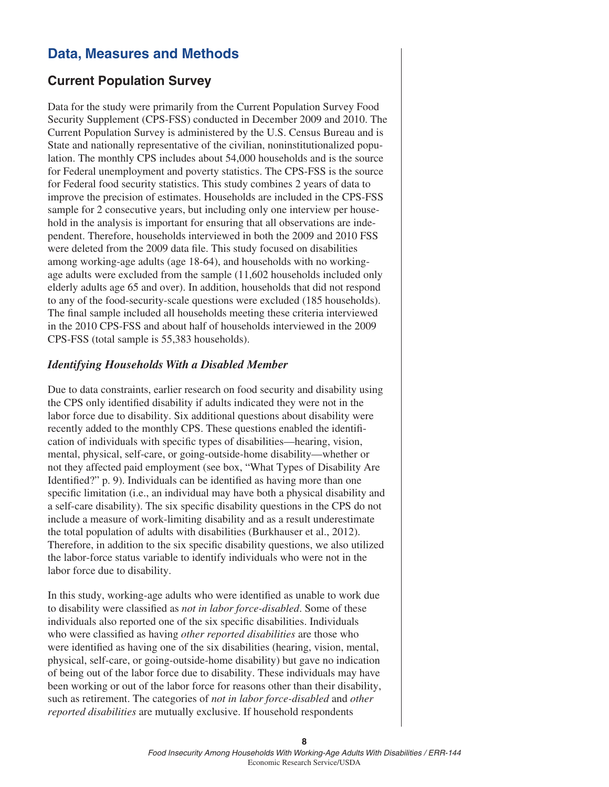## **Data, Measures and Methods**

## **Current Population Survey**

Data for the study were primarily from the Current Population Survey Food Security Supplement (CPS-FSS) conducted in December 2009 and 2010. The Current Population Survey is administered by the U.S. Census Bureau and is State and nationally representative of the civilian, noninstitutionalized population. The monthly CPS includes about 54,000 households and is the source for Federal unemployment and poverty statistics. The CPS-FSS is the source for Federal food security statistics. This study combines 2 years of data to improve the precision of estimates. Households are included in the CPS-FSS sample for 2 consecutive years, but including only one interview per household in the analysis is important for ensuring that all observations are independent. Therefore, households interviewed in both the 2009 and 2010 FSS were deleted from the 2009 data file. This study focused on disabilities among working-age adults (age 18-64), and households with no workingage adults were excluded from the sample (11,602 households included only elderly adults age 65 and over). In addition, households that did not respond to any of the food-security-scale questions were excluded (185 households). The final sample included all households meeting these criteria interviewed in the 2010 CPS-FSS and about half of households interviewed in the 2009 CPS-FSS (total sample is 55,383 households).

#### *Identifying Households With a Disabled Member*

Due to data constraints, earlier research on food security and disability using the CPS only identified disability if adults indicated they were not in the labor force due to disability. Six additional questions about disability were recently added to the monthly CPS. These questions enabled the identification of individuals with specific types of disabilities—hearing, vision, mental, physical, self-care, or going-outside-home disability—whether or not they affected paid employment (see box, "What Types of Disability Are Identified?" p. 9). Individuals can be identified as having more than one specific limitation (i.e., an individual may have both a physical disability and a self-care disability). The six specific disability questions in the CPS do not include a measure of work-limiting disability and as a result underestimate the total population of adults with disabilities (Burkhauser et al., 2012). Therefore, in addition to the six specific disability questions, we also utilized the labor-force status variable to identify individuals who were not in the labor force due to disability.

In this study, working-age adults who were identified as unable to work due to disability were classified as *not in labor force-disabled*. Some of these individuals also reported one of the six specific disabilities. Individuals who were classified as having *other reported disabilities* are those who were identified as having one of the six disabilities (hearing, vision, mental, physical, self-care, or going-outside-home disability) but gave no indication of being out of the labor force due to disability. These individuals may have been working or out of the labor force for reasons other than their disability, such as retirement. The categories of *not in labor force-disabled* and *other reported disabilities* are mutually exclusive. If household respondents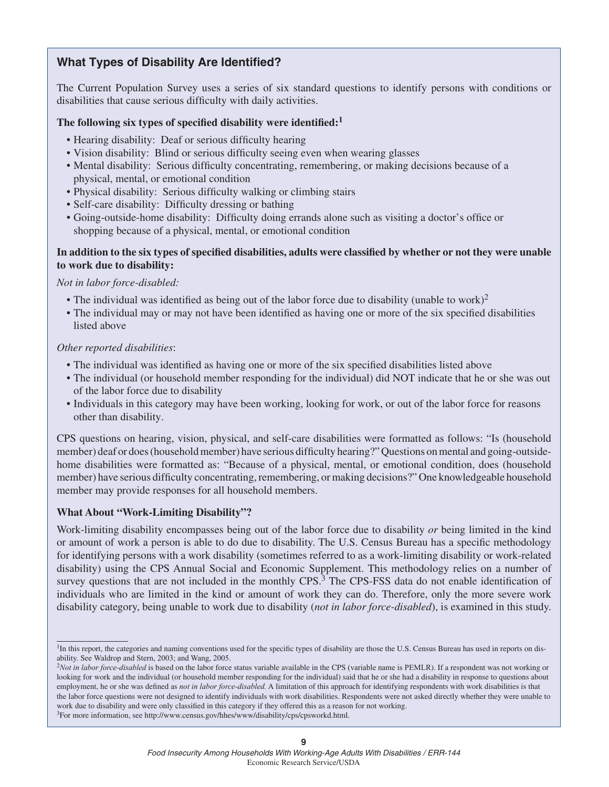## **What Types of Disability Are Identified?**

The Current Population Survey uses a series of six standard questions to identify persons with conditions or disabilities that cause serious difficulty with daily activities.

#### **The following six types of specified disability were identified:1**

- Hearing disability: Deaf or serious difficulty hearing
- • Vision disability: Blind or serious difficulty seeing even when wearing glasses
- Mental disability: Serious difficulty concentrating, remembering, or making decisions because of a physical, mental, or emotional condition
- Physical disability: Serious difficulty walking or climbing stairs
- Self-care disability: Difficulty dressing or bathing
- • Going-outside-home disability: Difficulty doing errands alone such as visiting a doctor's office or shopping because of a physical, mental, or emotional condition

#### **In addition to the six types of specified disabilities, adults were classified by whether or not they were unable to work due to disability:**

#### *Not in labor force-disabled:*

- The individual was identified as being out of the labor force due to disability (unable to work)<sup>2</sup>
- The individual may or may not have been identified as having one or more of the six specified disabilities listed above

#### *Other reported disabilities*:

- The individual was identified as having one or more of the six specified disabilities listed above
- The individual (or household member responding for the individual) did NOT indicate that he or she was out of the labor force due to disability
- • Individuals in this category may have been working, looking for work, or out of the labor force for reasons other than disability.

CPS questions on hearing, vision, physical, and self-care disabilities were formatted as follows: "Is (household member) deaf or does (household member) have serious difficulty hearing?" Questions on mental and going-outsidehome disabilities were formatted as: "Because of a physical, mental, or emotional condition, does (household member) have serious difficulty concentrating, remembering, or making decisions?" One knowledgeable household member may provide responses for all household members.

#### **What About "Work-Limiting Disability"?**

Work-limiting disability encompasses being out of the labor force due to disability *or* being limited in the kind or amount of work a person is able to do due to disability. The U.S. Census Bureau has a specific methodology for identifying persons with a work disability (sometimes referred to as a work-limiting disability or work-related disability) using the CPS Annual Social and Economic Supplement. This methodology relies on a number of survey questions that are not included in the monthly CPS.<sup>3</sup> The CPS-FSS data do not enable identification of individuals who are limited in the kind or amount of work they can do. Therefore, only the more severe work disability category, being unable to work due to disability (*not in labor force-disabled*), is examined in this study.

<sup>&</sup>lt;sup>1</sup>In this report, the categories and naming conventions used for the specific types of disability are those the U.S. Census Bureau has used in reports on disability. See Waldrop and Stern, 2003; and Wang, 2005.

<sup>&</sup>lt;sup>2</sup>Not in labor force-disabled is based on the labor force status variable available in the CPS (variable name is PEMLR). If a respondent was not working or looking for work and the individual (or household member responding for the individual) said that he or she had a disability in response to questions about employment, he or she was defined as *not in labor force-disabled*. A limitation of this approach for identifying respondents with work disabilities is that the labor force questions were not designed to identify individuals with work disabilities. Respondents were not asked directly whether they were unable to work due to disability and were only classified in this category if they offered this as a reason for not working.

<sup>3</sup>For more information, see http://www.census.gov/hhes/www/disability/cps/cpsworkd.html.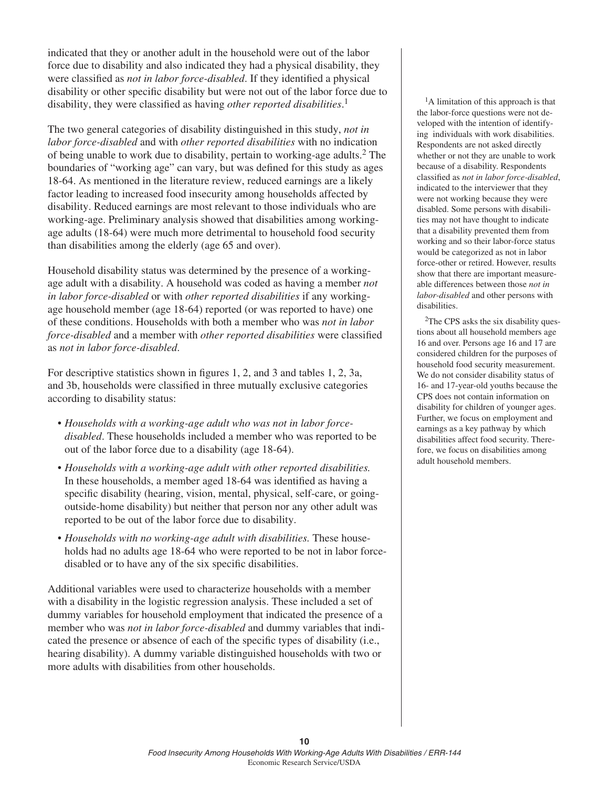indicated that they or another adult in the household were out of the labor force due to disability and also indicated they had a physical disability, they were classified as *not in labor force-disabled*. If they identified a physical disability or other specific disability but were not out of the labor force due to disability, they were classified as having *other reported disabilities*. 1

The two general categories of disability distinguished in this study, *not in labor force-disabled* and with *other reported disabilities* with no indication of being unable to work due to disability, pertain to working-age adults.2 The boundaries of "working age" can vary, but was defined for this study as ages 18-64. As mentioned in the literature review, reduced earnings are a likely factor leading to increased food insecurity among households affected by disability. Reduced earnings are most relevant to those individuals who are working-age. Preliminary analysis showed that disabilities among workingage adults (18-64) were much more detrimental to household food security than disabilities among the elderly (age 65 and over).

Household disability status was determined by the presence of a workingage adult with a disability. A household was coded as having a member *not in labor force-disabled* or with *other reported disabilities* if any workingage household member (age 18-64) reported (or was reported to have) one of these conditions. Households with both a member who was *not in labor force-disabled* and a member with *other reported disabilities* were classified as *not in labor force-disabled*.

For descriptive statistics shown in figures 1, 2, and 3 and tables 1, 2, 3a, and 3b, households were classified in three mutually exclusive categories according to disability status:

- *• Households with a working-age adult who was not in labor forcedisabled*. These households included a member who was reported to be out of the labor force due to a disability (age 18-64).
- *• Households with a working-age adult with other reported disabilities.* In these households, a member aged 18-64 was identified as having a specific disability (hearing, vision, mental, physical, self-care, or goingoutside-home disability) but neither that person nor any other adult was reported to be out of the labor force due to disability.
- *• Households with no working-age adult with disabilities.* These households had no adults age 18-64 who were reported to be not in labor forcedisabled or to have any of the six specific disabilities.

Additional variables were used to characterize households with a member with a disability in the logistic regression analysis. These included a set of dummy variables for household employment that indicated the presence of a member who was *not in labor force-disabled* and dummy variables that indicated the presence or absence of each of the specific types of disability (i.e., hearing disability). A dummy variable distinguished households with two or more adults with disabilities from other households.

<sup>1</sup>A limitation of this approach is that the labor-force questions were not developed with the intention of identifying individuals with work disabilities. Respondents are not asked directly whether or not they are unable to work because of a disability. Respondents classified as *not in labor force-disabled*, indicated to the interviewer that they were not working because they were disabled. Some persons with disabilities may not have thought to indicate that a disability prevented them from working and so their labor-force status would be categorized as not in labor force-other or retired. However, results show that there are important measureable differences between those *not in labor-disabled* and other persons with disabilities.

2The CPS asks the six disability questions about all household members age 16 and over. Persons age 16 and 17 are considered children for the purposes of household food security measurement. We do not consider disability status of 16- and 17-year-old youths because the CPS does not contain information on disability for children of younger ages. Further, we focus on employment and earnings as a key pathway by which disabilities affect food security. Therefore, we focus on disabilities among adult household members.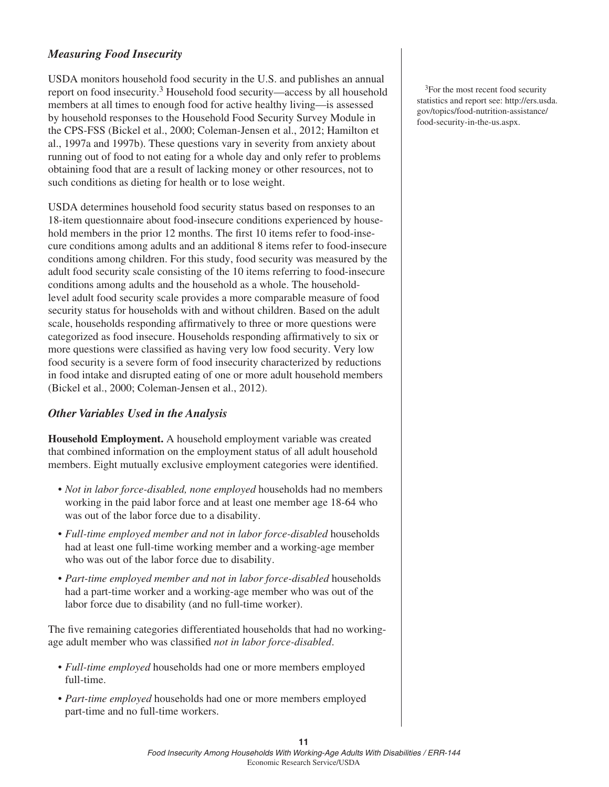#### *Measuring Food Insecurity*

USDA monitors household food security in the U.S. and publishes an annual report on food insecurity.3 Household food security—access by all household members at all times to enough food for active healthy living—is assessed by household responses to the Household Food Security Survey Module in the CPS-FSS (Bickel et al., 2000; Coleman-Jensen et al., 2012; Hamilton et al., 1997a and 1997b). These questions vary in severity from anxiety about running out of food to not eating for a whole day and only refer to problems obtaining food that are a result of lacking money or other resources, not to such conditions as dieting for health or to lose weight.

USDA determines household food security status based on responses to an 18-item questionnaire about food-insecure conditions experienced by household members in the prior 12 months. The first 10 items refer to food-insecure conditions among adults and an additional 8 items refer to food-insecure conditions among children. For this study, food security was measured by the adult food security scale consisting of the 10 items referring to food-insecure conditions among adults and the household as a whole. The householdlevel adult food security scale provides a more comparable measure of food security status for households with and without children. Based on the adult scale, households responding affirmatively to three or more questions were categorized as food insecure. Households responding affirmatively to six or more questions were classified as having very low food security. Very low food security is a severe form of food insecurity characterized by reductions in food intake and disrupted eating of one or more adult household members (Bickel et al., 2000; Coleman-Jensen et al., 2012).

#### *Other Variables Used in the Analysis*

**Household Employment.** A household employment variable was created that combined information on the employment status of all adult household members. Eight mutually exclusive employment categories were identified.

- *• Not in labor force-disabled, none employed* households had no members working in the paid labor force and at least one member age 18-64 who was out of the labor force due to a disability.
- *• Full-time employed member and not in labor force-disabled* households had at least one full-time working member and a working-age member who was out of the labor force due to disability.
- *• Part-time employed member and not in labor force-disabled* households had a part-time worker and a working-age member who was out of the labor force due to disability (and no full-time worker).

The five remaining categories differentiated households that had no workingage adult member who was classified *not in labor force-disabled*.

- *• Full-time employed* households had one or more members employed full-time.
- *• Part-time employed* households had one or more members employed part-time and no full-time workers.

<sup>3</sup>For the most recent food security statistics and report see: http://ers.usda. gov/topics/food-nutrition-assistance/ food-security-in-the-us.aspx.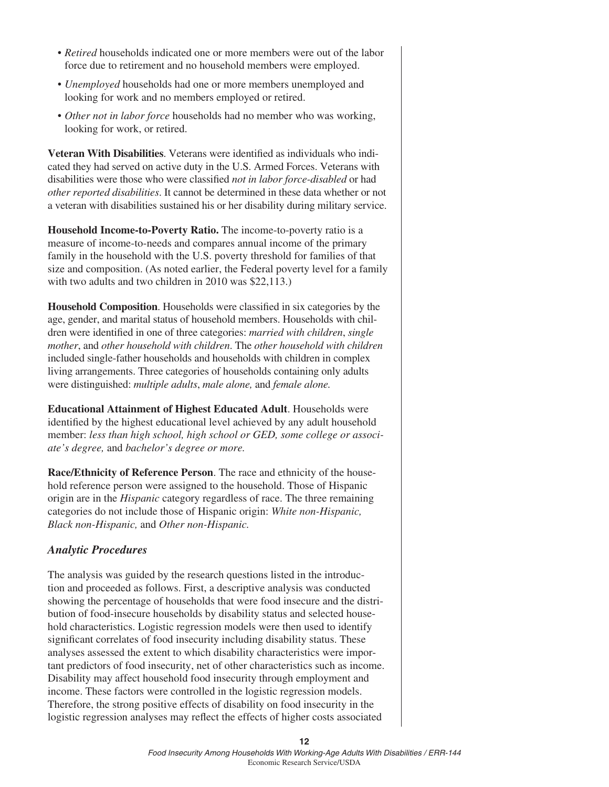- *• Retired* households indicated one or more members were out of the labor force due to retirement and no household members were employed.
- *• Unemployed* households had one or more members unemployed and looking for work and no members employed or retired.
- *• Other not in labor force* households had no member who was working, looking for work, or retired.

**Veteran With Disabilities**. Veterans were identified as individuals who indicated they had served on active duty in the U.S. Armed Forces. Veterans with disabilities were those who were classified *not in labor force-disabled* or had *other reported disabilities*. It cannot be determined in these data whether or not a veteran with disabilities sustained his or her disability during military service.

**Household Income-to-Poverty Ratio.** The income-to-poverty ratio is a measure of income-to-needs and compares annual income of the primary family in the household with the U.S. poverty threshold for families of that size and composition. (As noted earlier, the Federal poverty level for a family with two adults and two children in 2010 was \$22,113.)

**Household Composition**. Households were classified in six categories by the age, gender, and marital status of household members. Households with children were identified in one of three categories: *married with children*, *single mother*, and *other household with children*. The *other household with children* included single-father households and households with children in complex living arrangements. Three categories of households containing only adults were distinguished: *multiple adults*, *male alone,* and *female alone.*

**Educational Attainment of Highest Educated Adult**. Households were identified by the highest educational level achieved by any adult household member: *less than high school, high school or GED, some college or associate's degree,* and *bachelor's degree or more.*

**Race/Ethnicity of Reference Person**. The race and ethnicity of the household reference person were assigned to the household. Those of Hispanic origin are in the *Hispanic* category regardless of race. The three remaining categories do not include those of Hispanic origin: *White non-Hispanic, Black non-Hispanic,* and *Other non-Hispanic.*

#### *Analytic Procedures*

The analysis was guided by the research questions listed in the introduction and proceeded as follows. First, a descriptive analysis was conducted showing the percentage of households that were food insecure and the distribution of food-insecure households by disability status and selected household characteristics. Logistic regression models were then used to identify significant correlates of food insecurity including disability status. These analyses assessed the extent to which disability characteristics were important predictors of food insecurity, net of other characteristics such as income. Disability may affect household food insecurity through employment and income. These factors were controlled in the logistic regression models. Therefore, the strong positive effects of disability on food insecurity in the logistic regression analyses may reflect the effects of higher costs associated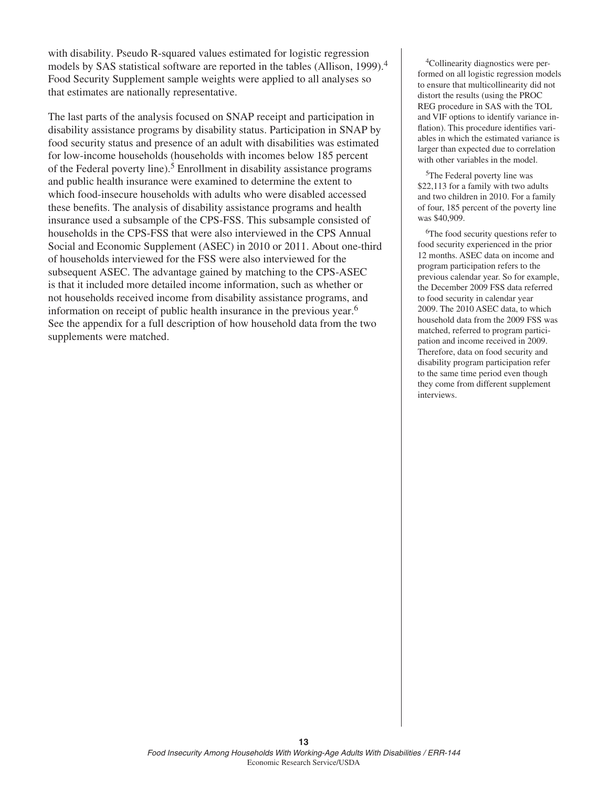with disability. Pseudo R-squared values estimated for logistic regression models by SAS statistical software are reported in the tables (Allison, 1999).<sup>4</sup> Food Security Supplement sample weights were applied to all analyses so that estimates are nationally representative.

The last parts of the analysis focused on SNAP receipt and participation in disability assistance programs by disability status. Participation in SNAP by food security status and presence of an adult with disabilities was estimated for low-income households (households with incomes below 185 percent of the Federal poverty line).5 Enrollment in disability assistance programs and public health insurance were examined to determine the extent to which food-insecure households with adults who were disabled accessed these benefits. The analysis of disability assistance programs and health insurance used a subsample of the CPS-FSS. This subsample consisted of households in the CPS-FSS that were also interviewed in the CPS Annual Social and Economic Supplement (ASEC) in 2010 or 2011. About one-third of households interviewed for the FSS were also interviewed for the subsequent ASEC. The advantage gained by matching to the CPS-ASEC is that it included more detailed income information, such as whether or not households received income from disability assistance programs, and information on receipt of public health insurance in the previous year.6 See the appendix for a full description of how household data from the two supplements were matched.

<sup>4</sup>Collinearity diagnostics were performed on all logistic regression models to ensure that multicollinearity did not distort the results (using the PROC REG procedure in SAS with the TOL and VIF options to identify variance inflation). This procedure identifies variables in which the estimated variance is larger than expected due to correlation with other variables in the model.

5The Federal poverty line was \$22,113 for a family with two adults and two children in 2010. For a family of four, 185 percent of the poverty line was \$40,909.

<sup>6</sup>The food security questions refer to food security experienced in the prior 12 months. ASEC data on income and program participation refers to the previous calendar year. So for example, the December 2009 FSS data referred to food security in calendar year 2009. The 2010 ASEC data, to which household data from the 2009 FSS was matched, referred to program participation and income received in 2009. Therefore, data on food security and disability program participation refer to the same time period even though they come from different supplement interviews.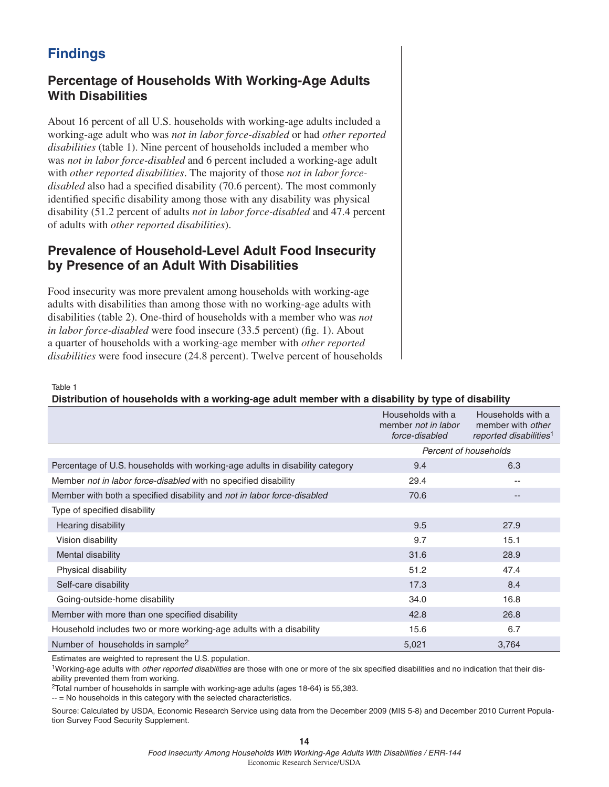## **Findings**

## **Percentage of Households With Working-Age Adults With Disabilities**

About 16 percent of all U.S. households with working-age adults included a working-age adult who was *not in labor force-disabled* or had *other reported disabilities* (table 1). Nine percent of households included a member who was *not in labor force-disabled* and 6 percent included a working-age adult with *other reported disabilities*. The majority of those *not in labor forcedisabled* also had a specified disability (70.6 percent). The most commonly identified specific disability among those with any disability was physical disability (51.2 percent of adults *not in labor force-disabled* and 47.4 percent of adults with *other reported disabilities*).

## **Prevalence of Household-Level Adult Food Insecurity by Presence of an Adult With Disabilities**

Food insecurity was more prevalent among households with working-age adults with disabilities than among those with no working-age adults with disabilities (table 2). One-third of households with a member who was *not in labor force-disabled* were food insecure (33.5 percent) (fig. 1). About a quarter of households with a working-age member with *other reported disabilities* were food insecure (24.8 percent). Twelve percent of households

Table 1

#### **Distribution of households with a working-age adult member with a disability by type of disability**

|                                                                              | Households with a<br>member not in labor<br>force-disabled | Households with a<br>member with other<br>reported disabilities <sup>1</sup> |  |  |
|------------------------------------------------------------------------------|------------------------------------------------------------|------------------------------------------------------------------------------|--|--|
|                                                                              | Percent of households                                      |                                                                              |  |  |
| Percentage of U.S. households with working-age adults in disability category | 9.4                                                        | 6.3                                                                          |  |  |
| Member not in labor force-disabled with no specified disability              | 29.4                                                       | --                                                                           |  |  |
| Member with both a specified disability and not in labor force-disabled      | 70.6                                                       | $- -$                                                                        |  |  |
| Type of specified disability                                                 |                                                            |                                                                              |  |  |
| Hearing disability                                                           | 9.5                                                        | 27.9                                                                         |  |  |
| Vision disability                                                            | 9.7                                                        | 15.1                                                                         |  |  |
| Mental disability                                                            | 31.6                                                       | 28.9                                                                         |  |  |
| Physical disability                                                          | 51.2                                                       | 47.4                                                                         |  |  |
| Self-care disability                                                         | 17.3                                                       | 8.4                                                                          |  |  |
| Going-outside-home disability                                                | 34.0                                                       | 16.8                                                                         |  |  |
| Member with more than one specified disability                               | 42.8                                                       | 26.8                                                                         |  |  |
| Household includes two or more working-age adults with a disability          | 15.6                                                       | 6.7                                                                          |  |  |
| Number of households in sample <sup>2</sup>                                  | 5,021                                                      | 3,764                                                                        |  |  |

Estimates are weighted to represent the U.S. population.

1Working-age adults with *other reported disabilities* are those with one or more of the six specified disabilities and no indication that their disability prevented them from working.

2Total number of households in sample with working-age adults (ages 18-64) is 55,383.

-- = No households in this category with the selected characteristics.

Source: Calculated by USDA, Economic Research Service using data from the December 2009 (MIS 5-8) and December 2010 Current Population Survey Food Security Supplement.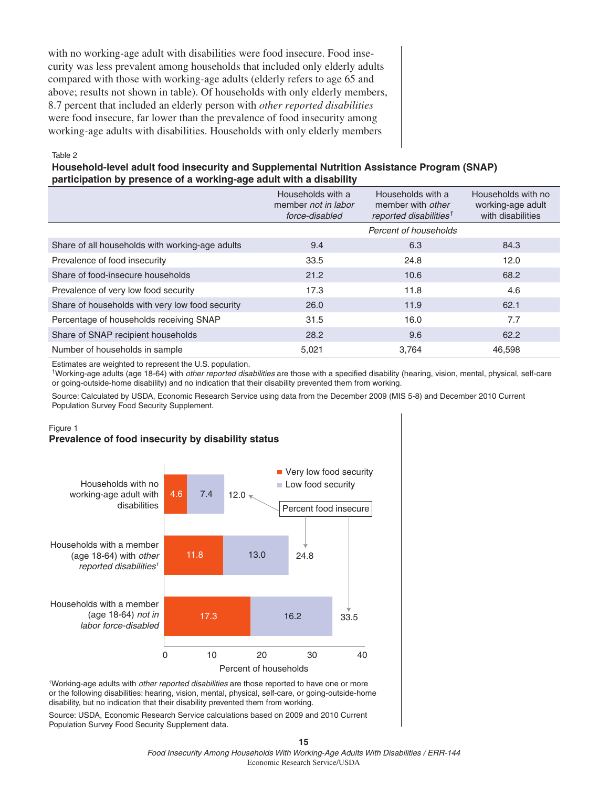with no working-age adult with disabilities were food insecure. Food insecurity was less prevalent among households that included only elderly adults compared with those with working-age adults (elderly refers to age 65 and above; results not shown in table). Of households with only elderly members, 8.7 percent that included an elderly person with *other reported disabilities* were food insecure, far lower than the prevalence of food insecurity among working-age adults with disabilities. Households with only elderly members

#### Table 2

#### **Household-level adult food insecurity and Supplemental Nutrition Assistance Program (SNAP) participation by presence of a working-age adult with a disability**

|                                                 | Households with a<br>member not in labor<br>force-disabled | Households with a<br>member with <i>other</i><br>reported disabilities <sup>1</sup> | Households with no<br>working-age adult<br>with disabilities |
|-------------------------------------------------|------------------------------------------------------------|-------------------------------------------------------------------------------------|--------------------------------------------------------------|
|                                                 |                                                            | Percent of households                                                               |                                                              |
| Share of all households with working-age adults | 9.4                                                        | 6.3                                                                                 | 84.3                                                         |
| Prevalence of food insecurity                   | 33.5                                                       | 24.8                                                                                | 12.0                                                         |
| Share of food-insecure households               | 21.2                                                       | 10.6                                                                                | 68.2                                                         |
| Prevalence of very low food security            | 17.3                                                       | 11.8                                                                                | 4.6                                                          |
| Share of households with very low food security | 26.0                                                       | 11.9                                                                                | 62.1                                                         |
| Percentage of households receiving SNAP         | 31.5                                                       | 16.0                                                                                | 7.7                                                          |
| Share of SNAP recipient households              | 28.2                                                       | 9.6                                                                                 | 62.2                                                         |
| Number of households in sample                  | 5,021                                                      | 3.764                                                                               | 46.598                                                       |

Estimates are weighted to represent the U.S. population.

1Working-age adults (age 18-64) with *other reported disabilities* are those with a specified disability (hearing, vision, mental, physical, self-care or going-outside-home disability) and no indication that their disability prevented them from working.

Source: Calculated by USDA, Economic Research Service using data from the December 2009 (MIS 5-8) and December 2010 Current Population Survey Food Security Supplement.

#### Figure 1

#### **Prevalence of food insecurity by disability status**



1 Working-age adults with *other reported disabilities* are those reported to have one or more or the following disabilities: hearing, vision, mental, physical, self-care, or going-outside-home disability, but no indication that their disability prevented them from working. Source: USDA, Economic Research Service calculations based on 2009 and 2010 Current

Population Survey Food Security Supplement data.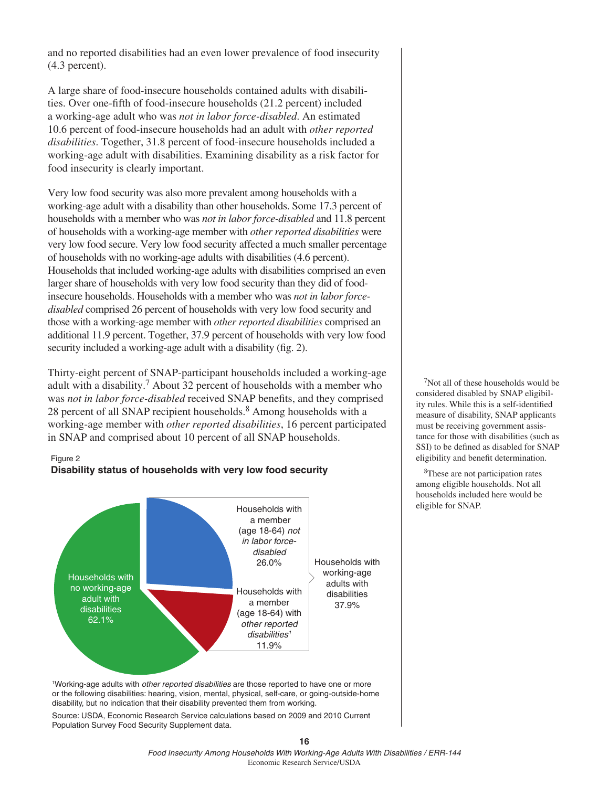and no reported disabilities had an even lower prevalence of food insecurity (4.3 percent).

A large share of food-insecure households contained adults with disabilities. Over one-fifth of food-insecure households (21.2 percent) included a working-age adult who was *not in labor force-disabled*. An estimated 10.6 percent of food-insecure households had an adult with *other reported disabilities*. Together, 31.8 percent of food-insecure households included a working-age adult with disabilities. Examining disability as a risk factor for food insecurity is clearly important.

Very low food security was also more prevalent among households with a working-age adult with a disability than other households. Some 17.3 percent of households with a member who was *not in labor force-disabled* and 11.8 percent of households with a working-age member with *other reported disabilities* were very low food secure. Very low food security affected a much smaller percentage of households with no working-age adults with disabilities (4.6 percent). Households that included working-age adults with disabilities comprised an even larger share of households with very low food security than they did of foodinsecure households. Households with a member who was *not in labor forcedisabled* comprised 26 percent of households with very low food security and those with a working-age member with *other reported disabilities* comprised an additional 11.9 percent. Together, 37.9 percent of households with very low food security included a working-age adult with a disability (fig. 2).

Thirty-eight percent of SNAP-participant households included a working-age adult with a disability.7 About 32 percent of households with a member who was *not in labor force-disabled* received SNAP benefits, and they comprised 28 percent of all SNAP recipient households.<sup>8</sup> Among households with a working-age member with *other reported disabilities*, 16 percent participated in SNAP and comprised about 10 percent of all SNAP households.

#### Figure 2





 disability, but no indication that their disability prevented them from working. 1 Working-age adults with *other reported disabilities* are those reported to have one or more or the following disabilities: hearing, vision, mental, physical, self-care, or going-outside-home

Source: USDA, Economic Research Service calculations based on 2009 and 2010 Current Population Survey Food Security Supplement data.

7Not all of these households would be considered disabled by SNAP eligibility rules. While this is a self-identified measure of disability, SNAP applicants must be receiving government assistance for those with disabilities (such as SSI) to be defined as disabled for SNAP eligibility and benefit determination.

8These are not participation rates among eligible households. Not all households included here would be eligible for SNAP.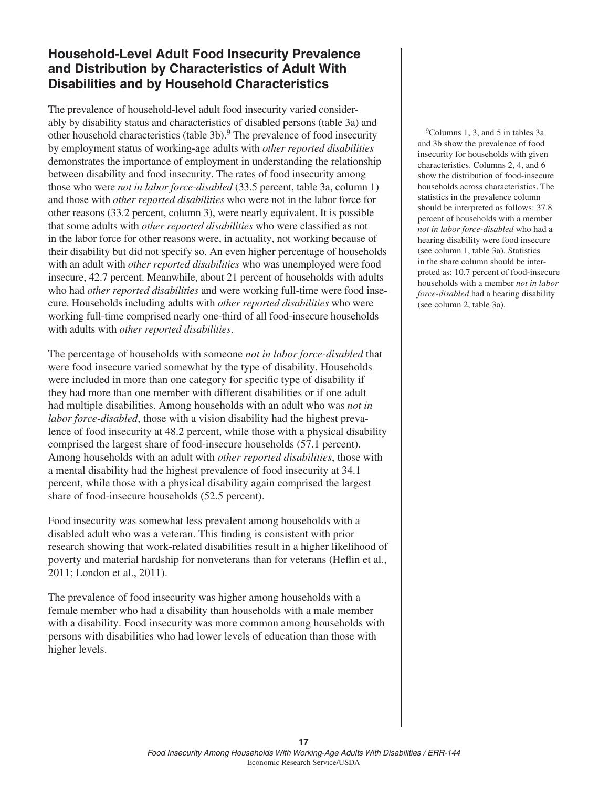## **Household-Level Adult Food Insecurity Prevalence and Distribution by Characteristics of Adult With Disabilities and by Household Characteristics**

The prevalence of household-level adult food insecurity varied considerably by disability status and characteristics of disabled persons (table 3a) and other household characteristics (table 3b). $9$  The prevalence of food insecurity by employment status of working-age adults with *other reported disabilities* demonstrates the importance of employment in understanding the relationship between disability and food insecurity. The rates of food insecurity among those who were *not in labor force-disabled* (33.5 percent, table 3a, column 1) and those with *other reported disabilities* who were not in the labor force for other reasons (33.2 percent, column 3), were nearly equivalent. It is possible that some adults with *other reported disabilities* who were classified as not in the labor force for other reasons were, in actuality, not working because of their disability but did not specify so. An even higher percentage of households with an adult with *other reported disabilities* who was unemployed were food insecure, 42.7 percent. Meanwhile, about 21 percent of households with adults who had *other reported disabilities* and were working full-time were food insecure. Households including adults with *other reported disabilities* who were working full-time comprised nearly one-third of all food-insecure households with adults with *other reported disabilities*.

The percentage of households with someone *not in labor force-disabled* that were food insecure varied somewhat by the type of disability. Households were included in more than one category for specific type of disability if they had more than one member with different disabilities or if one adult had multiple disabilities. Among households with an adult who was *not in labor force-disabled*, those with a vision disability had the highest prevalence of food insecurity at 48.2 percent, while those with a physical disability comprised the largest share of food-insecure households (57.1 percent). Among households with an adult with *other reported disabilities*, those with a mental disability had the highest prevalence of food insecurity at 34.1 percent, while those with a physical disability again comprised the largest share of food-insecure households (52.5 percent).

Food insecurity was somewhat less prevalent among households with a disabled adult who was a veteran. This finding is consistent with prior research showing that work-related disabilities result in a higher likelihood of poverty and material hardship for nonveterans than for veterans (Heflin et al., 2011; London et al., 2011).

The prevalence of food insecurity was higher among households with a female member who had a disability than households with a male member with a disability. Food insecurity was more common among households with persons with disabilities who had lower levels of education than those with higher levels.

<sup>9</sup>Columns 1, 3, and 5 in tables 3a and 3b show the prevalence of food insecurity for households with given characteristics. Columns 2, 4, and 6 show the distribution of food-insecure households across characteristics. The statistics in the prevalence column should be interpreted as follows: 37.8 percent of households with a member *not in labor force-disabled* who had a hearing disability were food insecure (see column 1, table 3a). Statistics in the share column should be interpreted as: 10.7 percent of food-insecure households with a member *not in labor force-disabled* had a hearing disability (see column 2, table 3a).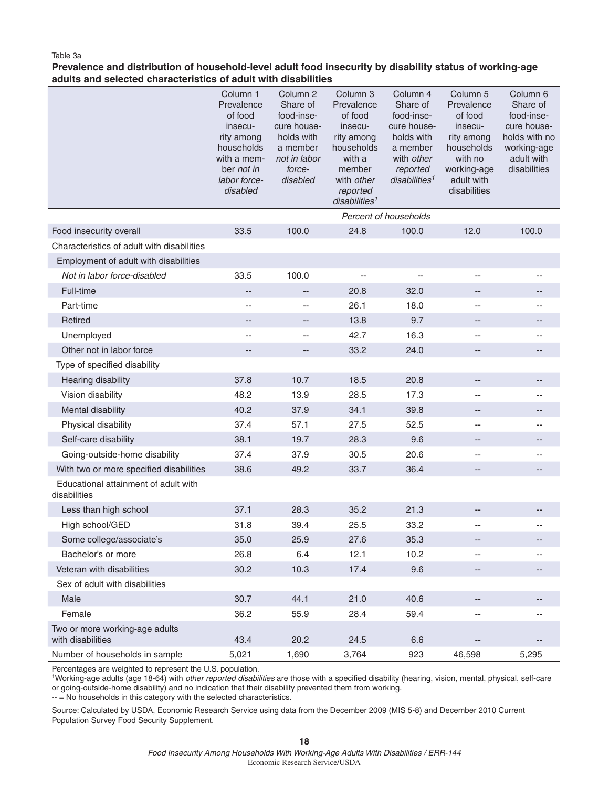#### Table 3a

#### **Prevalence and distribution of household-level adult food insecurity by disability status of working-age adults and selected characteristics of adult with disabilities**

|                                                      | Column 1<br>Prevalence<br>of food<br>insecu-<br>rity among<br>households<br>with a mem-<br>ber not in<br>labor force-<br>disabled | Column <sub>2</sub><br>Share of<br>food-inse-<br>cure house-<br>holds with<br>a member<br>not in labor<br>force-<br>disabled | Column 3<br>Prevalence<br>of food<br>insecu-<br>rity among<br>households<br>with a<br>member<br>with other<br>reported<br>disabilities <sup>1</sup> | Column <sub>4</sub><br>Share of<br>food-inse-<br>cure house-<br>holds with<br>a member<br>with <i>other</i><br>reported<br>disabilities <sup>1</sup> | Column <sub>5</sub><br>Prevalence<br>of food<br>insecu-<br>rity among<br>households<br>with no<br>working-age<br>adult with<br>disabilities | Column <sub>6</sub><br>Share of<br>food-inse-<br>cure house-<br>holds with no<br>working-age<br>adult with<br>disabilities |
|------------------------------------------------------|-----------------------------------------------------------------------------------------------------------------------------------|------------------------------------------------------------------------------------------------------------------------------|-----------------------------------------------------------------------------------------------------------------------------------------------------|------------------------------------------------------------------------------------------------------------------------------------------------------|---------------------------------------------------------------------------------------------------------------------------------------------|----------------------------------------------------------------------------------------------------------------------------|
|                                                      |                                                                                                                                   |                                                                                                                              |                                                                                                                                                     | Percent of households                                                                                                                                |                                                                                                                                             |                                                                                                                            |
| Food insecurity overall                              | 33.5                                                                                                                              | 100.0                                                                                                                        | 24.8                                                                                                                                                | 100.0                                                                                                                                                | 12.0                                                                                                                                        | 100.0                                                                                                                      |
| Characteristics of adult with disabilities           |                                                                                                                                   |                                                                                                                              |                                                                                                                                                     |                                                                                                                                                      |                                                                                                                                             |                                                                                                                            |
| Employment of adult with disabilities                |                                                                                                                                   |                                                                                                                              |                                                                                                                                                     |                                                                                                                                                      |                                                                                                                                             |                                                                                                                            |
| Not in labor force-disabled                          | 33.5                                                                                                                              | 100.0                                                                                                                        |                                                                                                                                                     | $-$                                                                                                                                                  | $-$                                                                                                                                         |                                                                                                                            |
| Full-time                                            | --                                                                                                                                | $-\,$                                                                                                                        | 20.8                                                                                                                                                | 32.0                                                                                                                                                 | --                                                                                                                                          | --                                                                                                                         |
| Part-time                                            | $\overline{\phantom{a}}$                                                                                                          | $\overline{\phantom{m}}$                                                                                                     | 26.1                                                                                                                                                | 18.0                                                                                                                                                 | $-$                                                                                                                                         |                                                                                                                            |
| Retired                                              | --                                                                                                                                | $-\, -$                                                                                                                      | 13.8                                                                                                                                                | 9.7                                                                                                                                                  | --                                                                                                                                          | --                                                                                                                         |
| Unemployed                                           | $\overline{\phantom{a}}$                                                                                                          | $\overline{\phantom{m}}$                                                                                                     | 42.7                                                                                                                                                | 16.3                                                                                                                                                 | $\overline{\phantom{a}}$                                                                                                                    | $-$                                                                                                                        |
| Other not in labor force                             | ۰.                                                                                                                                | $\overline{\phantom{a}}$                                                                                                     | 33.2                                                                                                                                                | 24.0                                                                                                                                                 | --                                                                                                                                          | --                                                                                                                         |
| Type of specified disability                         |                                                                                                                                   |                                                                                                                              |                                                                                                                                                     |                                                                                                                                                      |                                                                                                                                             |                                                                                                                            |
| Hearing disability                                   | 37.8                                                                                                                              | 10.7                                                                                                                         | 18.5                                                                                                                                                | 20.8                                                                                                                                                 | --                                                                                                                                          | --                                                                                                                         |
| Vision disability                                    | 48.2                                                                                                                              | 13.9                                                                                                                         | 28.5                                                                                                                                                | 17.3                                                                                                                                                 | $-$                                                                                                                                         |                                                                                                                            |
| Mental disability                                    | 40.2                                                                                                                              | 37.9                                                                                                                         | 34.1                                                                                                                                                | 39.8                                                                                                                                                 | --                                                                                                                                          | --                                                                                                                         |
| Physical disability                                  | 37.4                                                                                                                              | 57.1                                                                                                                         | 27.5                                                                                                                                                | 52.5                                                                                                                                                 | $-$                                                                                                                                         |                                                                                                                            |
| Self-care disability                                 | 38.1                                                                                                                              | 19.7                                                                                                                         | 28.3                                                                                                                                                | 9.6                                                                                                                                                  | --                                                                                                                                          | --                                                                                                                         |
| Going-outside-home disability                        | 37.4                                                                                                                              | 37.9                                                                                                                         | 30.5                                                                                                                                                | 20.6                                                                                                                                                 | $\overline{\phantom{a}}$                                                                                                                    |                                                                                                                            |
| With two or more specified disabilities              | 38.6                                                                                                                              | 49.2                                                                                                                         | 33.7                                                                                                                                                | 36.4                                                                                                                                                 | --                                                                                                                                          | --                                                                                                                         |
| Educational attainment of adult with<br>disabilities |                                                                                                                                   |                                                                                                                              |                                                                                                                                                     |                                                                                                                                                      |                                                                                                                                             |                                                                                                                            |
| Less than high school                                | 37.1                                                                                                                              | 28.3                                                                                                                         | 35.2                                                                                                                                                | 21.3                                                                                                                                                 |                                                                                                                                             |                                                                                                                            |
| High school/GED                                      | 31.8                                                                                                                              | 39.4                                                                                                                         | 25.5                                                                                                                                                | 33.2                                                                                                                                                 | --                                                                                                                                          |                                                                                                                            |
| Some college/associate's                             | 35.0                                                                                                                              | 25.9                                                                                                                         | 27.6                                                                                                                                                | 35.3                                                                                                                                                 |                                                                                                                                             |                                                                                                                            |
| Bachelor's or more                                   | 26.8                                                                                                                              | 6.4                                                                                                                          | 12.1                                                                                                                                                | 10.2                                                                                                                                                 | --                                                                                                                                          |                                                                                                                            |
| Veteran with disabilities                            | 30.2                                                                                                                              | 10.3                                                                                                                         | 17.4                                                                                                                                                | 9.6                                                                                                                                                  | ÷                                                                                                                                           |                                                                                                                            |
| Sex of adult with disabilities                       |                                                                                                                                   |                                                                                                                              |                                                                                                                                                     |                                                                                                                                                      |                                                                                                                                             |                                                                                                                            |
| Male                                                 | 30.7                                                                                                                              | 44.1                                                                                                                         | 21.0                                                                                                                                                | 40.6                                                                                                                                                 |                                                                                                                                             |                                                                                                                            |
| Female                                               | 36.2                                                                                                                              | 55.9                                                                                                                         | 28.4                                                                                                                                                | 59.4                                                                                                                                                 |                                                                                                                                             |                                                                                                                            |
| Two or more working-age adults<br>with disabilities  | 43.4                                                                                                                              | 20.2                                                                                                                         | 24.5                                                                                                                                                | 6.6                                                                                                                                                  |                                                                                                                                             |                                                                                                                            |
| Number of households in sample                       | 5,021                                                                                                                             | 1,690                                                                                                                        | 3,764                                                                                                                                               | 923                                                                                                                                                  | 46,598                                                                                                                                      | 5,295                                                                                                                      |

Percentages are weighted to represent the U.S. population.

1Working-age adults (age 18-64) with *other reported disabilities* are those with a specified disability (hearing, vision, mental, physical, self-care or going-outside-home disability) and no indication that their disability prevented them from working.

-- = No households in this category with the selected characteristics.

Source: Calculated by USDA, Economic Research Service using data from the December 2009 (MIS 5-8) and December 2010 Current Population Survey Food Security Supplement.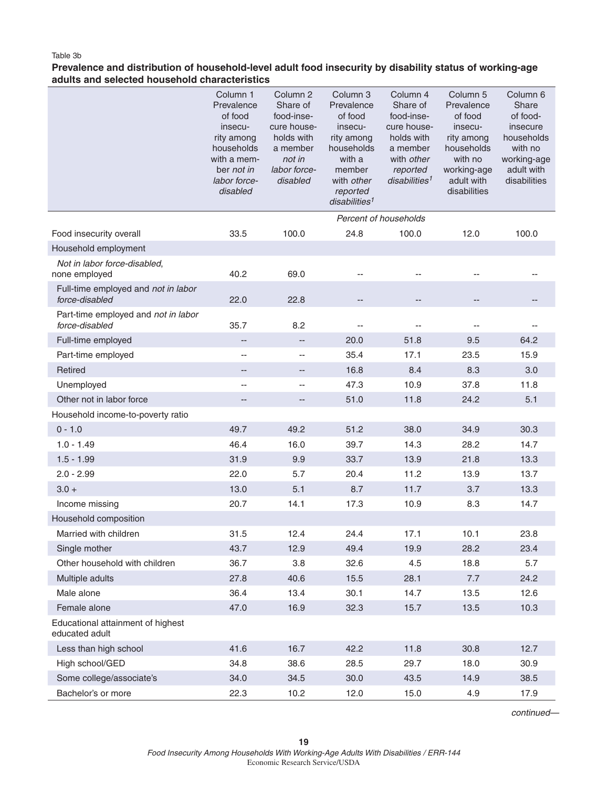#### Table 3b

#### **Prevalence and distribution of household-level adult food insecurity by disability status of working-age adults and selected household characteristics**

|                                                       | Column 1<br>Prevalence<br>of food<br>insecu-<br>rity among<br>households<br>with a mem-<br>ber not in<br>labor force-<br>disabled | Column 2<br>Share of<br>food-inse-<br>cure house-<br>holds with<br>a member<br>not in<br>labor force-<br>disabled | Column 3<br>Prevalence<br>of food<br>insecu-<br>rity among<br>households<br>with a<br>member<br>with other<br>reported<br>disabilities <sup>1</sup> | Column 4<br>Share of<br>food-inse-<br>cure house-<br>holds with<br>a member<br>with other<br>reported<br>disabilities <sup>1</sup> | Column 5<br>Prevalence<br>of food<br>insecu-<br>rity among<br>households<br>with no<br>working-age<br>adult with<br>disabilities | Column 6<br>Share<br>of food-<br>insecure<br>households<br>with no<br>working-age<br>adult with<br>disabilities |
|-------------------------------------------------------|-----------------------------------------------------------------------------------------------------------------------------------|-------------------------------------------------------------------------------------------------------------------|-----------------------------------------------------------------------------------------------------------------------------------------------------|------------------------------------------------------------------------------------------------------------------------------------|----------------------------------------------------------------------------------------------------------------------------------|-----------------------------------------------------------------------------------------------------------------|
|                                                       |                                                                                                                                   |                                                                                                                   |                                                                                                                                                     | Percent of households                                                                                                              |                                                                                                                                  |                                                                                                                 |
| Food insecurity overall                               | 33.5                                                                                                                              | 100.0                                                                                                             | 24.8                                                                                                                                                | 100.0                                                                                                                              | 12.0                                                                                                                             | 100.0                                                                                                           |
| Household employment                                  |                                                                                                                                   |                                                                                                                   |                                                                                                                                                     |                                                                                                                                    |                                                                                                                                  |                                                                                                                 |
| Not in labor force-disabled,<br>none employed         | 40.2                                                                                                                              | 69.0                                                                                                              | --                                                                                                                                                  | $\overline{\phantom{m}}$                                                                                                           | $-$                                                                                                                              |                                                                                                                 |
| Full-time employed and not in labor<br>force-disabled | 22.0                                                                                                                              | 22.8                                                                                                              | --                                                                                                                                                  |                                                                                                                                    |                                                                                                                                  |                                                                                                                 |
| Part-time employed and not in labor<br>force-disabled | 35.7                                                                                                                              | 8.2                                                                                                               |                                                                                                                                                     | $-$                                                                                                                                |                                                                                                                                  |                                                                                                                 |
| Full-time employed                                    | --                                                                                                                                | $\overline{\phantom{a}}$                                                                                          | 20.0                                                                                                                                                | 51.8                                                                                                                               | 9.5                                                                                                                              | 64.2                                                                                                            |
| Part-time employed                                    | $\overline{\phantom{a}}$                                                                                                          | --                                                                                                                | 35.4                                                                                                                                                | 17.1                                                                                                                               | 23.5                                                                                                                             | 15.9                                                                                                            |
| Retired                                               | --                                                                                                                                | --                                                                                                                | 16.8                                                                                                                                                | 8.4                                                                                                                                | 8.3                                                                                                                              | 3.0                                                                                                             |
| Unemployed                                            | $\overline{\phantom{a}}$                                                                                                          | --                                                                                                                | 47.3                                                                                                                                                | 10.9                                                                                                                               | 37.8                                                                                                                             | 11.8                                                                                                            |
| Other not in labor force                              | --                                                                                                                                | --                                                                                                                | 51.0                                                                                                                                                | 11.8                                                                                                                               | 24.2                                                                                                                             | 5.1                                                                                                             |
| Household income-to-poverty ratio                     |                                                                                                                                   |                                                                                                                   |                                                                                                                                                     |                                                                                                                                    |                                                                                                                                  |                                                                                                                 |
| $0 - 1.0$                                             | 49.7                                                                                                                              | 49.2                                                                                                              | 51.2                                                                                                                                                | 38.0                                                                                                                               | 34.9                                                                                                                             | 30.3                                                                                                            |
| $1.0 - 1.49$                                          | 46.4                                                                                                                              | 16.0                                                                                                              | 39.7                                                                                                                                                | 14.3                                                                                                                               | 28.2                                                                                                                             | 14.7                                                                                                            |
| $1.5 - 1.99$                                          | 31.9                                                                                                                              | 9.9                                                                                                               | 33.7                                                                                                                                                | 13.9                                                                                                                               | 21.8                                                                                                                             | 13.3                                                                                                            |
| $2.0 - 2.99$                                          | 22.0                                                                                                                              | 5.7                                                                                                               | 20.4                                                                                                                                                | 11.2                                                                                                                               | 13.9                                                                                                                             | 13.7                                                                                                            |
| $3.0 +$                                               | 13.0                                                                                                                              | 5.1                                                                                                               | 8.7                                                                                                                                                 | 11.7                                                                                                                               | 3.7                                                                                                                              | 13.3                                                                                                            |
| Income missing                                        | 20.7                                                                                                                              | 14.1                                                                                                              | 17.3                                                                                                                                                | 10.9                                                                                                                               | 8.3                                                                                                                              | 14.7                                                                                                            |
| Household composition                                 |                                                                                                                                   |                                                                                                                   |                                                                                                                                                     |                                                                                                                                    |                                                                                                                                  |                                                                                                                 |
| Married with children                                 | 31.5                                                                                                                              | 12.4                                                                                                              | 24.4                                                                                                                                                | 17.1                                                                                                                               | 10.1                                                                                                                             | 23.8                                                                                                            |
| Single mother                                         | 43.7                                                                                                                              | 12.9                                                                                                              | 49.4                                                                                                                                                | 19.9                                                                                                                               | 28.2                                                                                                                             | 23.4                                                                                                            |
| Other household with children                         | 36.7                                                                                                                              | 3.8                                                                                                               | 32.6                                                                                                                                                | 4.5                                                                                                                                | 18.8                                                                                                                             | 5.7                                                                                                             |
| Multiple adults                                       | 27.8                                                                                                                              | 40.6                                                                                                              | 15.5                                                                                                                                                | 28.1                                                                                                                               | 7.7                                                                                                                              | 24.2                                                                                                            |
| Male alone                                            | 36.4                                                                                                                              | 13.4                                                                                                              | 30.1                                                                                                                                                | 14.7                                                                                                                               | 13.5                                                                                                                             | 12.6                                                                                                            |
| Female alone                                          | 47.0                                                                                                                              | 16.9                                                                                                              | 32.3                                                                                                                                                | 15.7                                                                                                                               | 13.5                                                                                                                             | 10.3                                                                                                            |
| Educational attainment of highest<br>educated adult   |                                                                                                                                   |                                                                                                                   |                                                                                                                                                     |                                                                                                                                    |                                                                                                                                  |                                                                                                                 |
| Less than high school                                 | 41.6                                                                                                                              | 16.7                                                                                                              | 42.2                                                                                                                                                | 11.8                                                                                                                               | 30.8                                                                                                                             | 12.7                                                                                                            |
| High school/GED                                       | 34.8                                                                                                                              | 38.6                                                                                                              | 28.5                                                                                                                                                | 29.7                                                                                                                               | 18.0                                                                                                                             | 30.9                                                                                                            |
| Some college/associate's                              | 34.0                                                                                                                              | 34.5                                                                                                              | 30.0                                                                                                                                                | 43.5                                                                                                                               | 14.9                                                                                                                             | 38.5                                                                                                            |
| Bachelor's or more                                    | 22.3                                                                                                                              | 10.2                                                                                                              | 12.0                                                                                                                                                | 15.0                                                                                                                               | 4.9                                                                                                                              | 17.9                                                                                                            |

*continued—*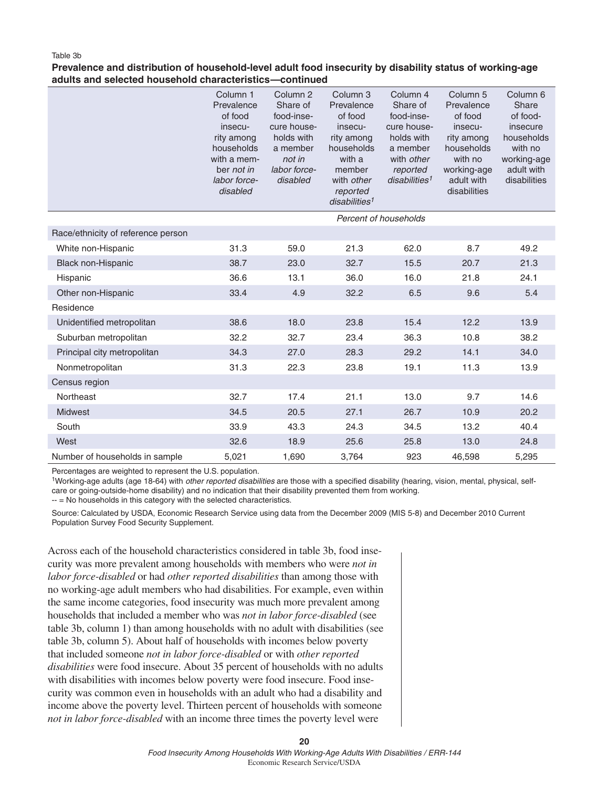#### Table 3b

#### **Prevalence and distribution of household-level adult food insecurity by disability status of working-age adults and selected household characteristics —continued**

|                                    | Column <sub>1</sub><br>Prevalence<br>of food<br>insecu-<br>rity among<br>households<br>with a mem-<br>ber not in<br>labor force-<br>disabled | Column <sub>2</sub><br>Share of<br>food-inse-<br>cure house-<br>holds with<br>a member<br>not in<br>labor force-<br>disabled | Column <sub>3</sub><br>Prevalence<br>of food<br>insecu-<br>rity among<br>households<br>with a<br>member<br>with other<br>reported<br>disabilities <sup>1</sup> | Column 4<br>Share of<br>food-inse-<br>cure house-<br>holds with<br>a member<br>with other<br>reported<br>disabilities <sup>1</sup> | Column <sub>5</sub><br>Prevalence<br>of food<br>insecu-<br>rity among<br>households<br>with no<br>working-age<br>adult with<br>disabilities | Column <sub>6</sub><br><b>Share</b><br>of food-<br>insecure<br>households<br>with no<br>working-age<br>adult with<br>disabilities |
|------------------------------------|----------------------------------------------------------------------------------------------------------------------------------------------|------------------------------------------------------------------------------------------------------------------------------|----------------------------------------------------------------------------------------------------------------------------------------------------------------|------------------------------------------------------------------------------------------------------------------------------------|---------------------------------------------------------------------------------------------------------------------------------------------|-----------------------------------------------------------------------------------------------------------------------------------|
|                                    |                                                                                                                                              |                                                                                                                              |                                                                                                                                                                | Percent of households                                                                                                              |                                                                                                                                             |                                                                                                                                   |
| Race/ethnicity of reference person |                                                                                                                                              |                                                                                                                              |                                                                                                                                                                |                                                                                                                                    |                                                                                                                                             |                                                                                                                                   |
| White non-Hispanic                 | 31.3                                                                                                                                         | 59.0                                                                                                                         | 21.3                                                                                                                                                           | 62.0                                                                                                                               | 8.7                                                                                                                                         | 49.2                                                                                                                              |
| Black non-Hispanic                 | 38.7                                                                                                                                         | 23.0                                                                                                                         | 32.7                                                                                                                                                           | 15.5                                                                                                                               | 20.7                                                                                                                                        | 21.3                                                                                                                              |
| Hispanic                           | 36.6                                                                                                                                         | 13.1                                                                                                                         | 36.0                                                                                                                                                           | 16.0                                                                                                                               | 21.8                                                                                                                                        | 24.1                                                                                                                              |
| Other non-Hispanic                 | 33.4                                                                                                                                         | 4.9                                                                                                                          | 32.2                                                                                                                                                           | 6.5                                                                                                                                | 9.6                                                                                                                                         | 5.4                                                                                                                               |
| Residence                          |                                                                                                                                              |                                                                                                                              |                                                                                                                                                                |                                                                                                                                    |                                                                                                                                             |                                                                                                                                   |
| Unidentified metropolitan          | 38.6                                                                                                                                         | 18.0                                                                                                                         | 23.8                                                                                                                                                           | 15.4                                                                                                                               | 12.2                                                                                                                                        | 13.9                                                                                                                              |
| Suburban metropolitan              | 32.2                                                                                                                                         | 32.7                                                                                                                         | 23.4                                                                                                                                                           | 36.3                                                                                                                               | 10.8                                                                                                                                        | 38.2                                                                                                                              |
| Principal city metropolitan        | 34.3                                                                                                                                         | 27.0                                                                                                                         | 28.3                                                                                                                                                           | 29.2                                                                                                                               | 14.1                                                                                                                                        | 34.0                                                                                                                              |
| Nonmetropolitan                    | 31.3                                                                                                                                         | 22.3                                                                                                                         | 23.8                                                                                                                                                           | 19.1                                                                                                                               | 11.3                                                                                                                                        | 13.9                                                                                                                              |
| Census region                      |                                                                                                                                              |                                                                                                                              |                                                                                                                                                                |                                                                                                                                    |                                                                                                                                             |                                                                                                                                   |
| Northeast                          | 32.7                                                                                                                                         | 17.4                                                                                                                         | 21.1                                                                                                                                                           | 13.0                                                                                                                               | 9.7                                                                                                                                         | 14.6                                                                                                                              |
| <b>Midwest</b>                     | 34.5                                                                                                                                         | 20.5                                                                                                                         | 27.1                                                                                                                                                           | 26.7                                                                                                                               | 10.9                                                                                                                                        | 20.2                                                                                                                              |
| South                              | 33.9                                                                                                                                         | 43.3                                                                                                                         | 24.3                                                                                                                                                           | 34.5                                                                                                                               | 13.2                                                                                                                                        | 40.4                                                                                                                              |
| West                               | 32.6                                                                                                                                         | 18.9                                                                                                                         | 25.6                                                                                                                                                           | 25.8                                                                                                                               | 13.0                                                                                                                                        | 24.8                                                                                                                              |
| Number of households in sample     | 5,021                                                                                                                                        | 1,690                                                                                                                        | 3,764                                                                                                                                                          | 923                                                                                                                                | 46,598                                                                                                                                      | 5,295                                                                                                                             |

Percentages are weighted to represent the U.S. population.

1Working-age adults (age 18-64) with *other reported disabilities* are those with a specified disability (hearing, vision, mental, physical, selfcare or going-outside-home disability) and no indication that their disability prevented them from working.

 $-$  = No households in this category with the selected characteristics.

Source: Calculated by USDA, Economic Research Service using data from the December 2009 (MIS 5-8) and December 2010 Current Population Survey Food Security Supplement.

Across each of the household characteristics considered in table 3b, food insecurity was more prevalent among households with members who were *not in labor force-disabled* or had *other reported disabilities* than among those with no working-age adult members who had disabilities. For example, even within the same income categories, food insecurity was much more prevalent among households that included a member who was *not in labor force-disabled* (see table 3b, column 1) than among households with no adult with disabilities (see table 3b, column 5). About half of households with incomes below poverty that included someone *not in labor force-disabled* or with *other reported disabilities* were food insecure. About 35 percent of households with no adults with disabilities with incomes below poverty were food insecure. Food insecurity was common even in households with an adult who had a disability and income above the poverty level. Thirteen percent of households with someone *not in labor force-disabled* with an income three times the poverty level were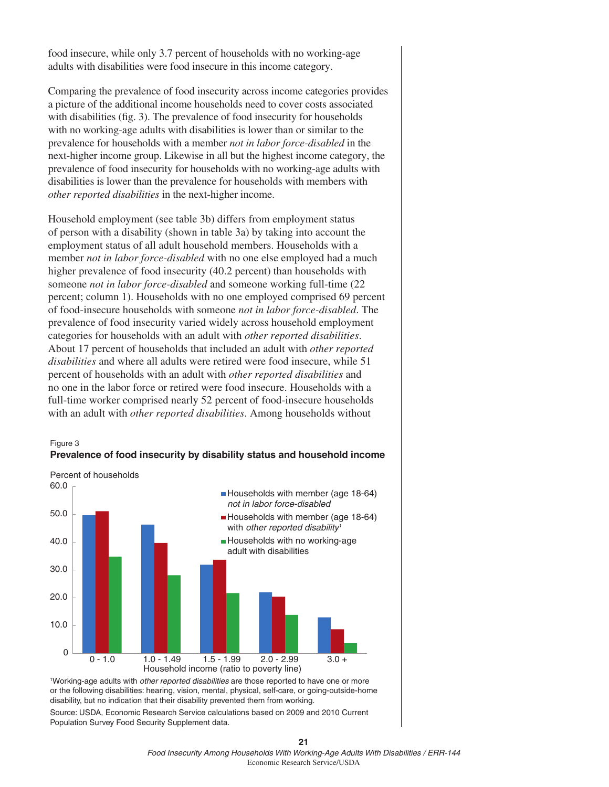food insecure, while only 3.7 percent of households with no working-age adults with disabilities were food insecure in this income category.

Comparing the prevalence of food insecurity across income categories provides a picture of the additional income households need to cover costs associated with disabilities (fig. 3). The prevalence of food insecurity for households with no working-age adults with disabilities is lower than or similar to the prevalence for households with a member *not in labor force-disabled* in the next-higher income group. Likewise in all but the highest income category, the prevalence of food insecurity for households with no working-age adults with disabilities is lower than the prevalence for households with members with *other reported disabilities* in the next-higher income.

Household employment (see table 3b) differs from employment status of person with a disability (shown in table 3a) by taking into account the employment status of all adult household members. Households with a member *not in labor force-disabled* with no one else employed had a much higher prevalence of food insecurity (40.2 percent) than households with someone *not in labor force-disabled* and someone working full-time (22 percent; column 1). Households with no one employed comprised 69 percent of food-insecure households with someone *not in labor force-disabled*. The prevalence of food insecurity varied widely across household employment categories for households with an adult with *other reported disabilities*. About 17 percent of households that included an adult with *other reported disabilities* and where all adults were retired were food insecure, while 51 percent of households with an adult with *other reported disabilities* and no one in the labor force or retired were food insecure. Households with a full-time worker comprised nearly 52 percent of food-insecure households with an adult with *other reported disabilities*. Among households without



#### Figure 3 **Prevalence of food insecurity by disability status and household income**

1 Working-age adults with *other reported disabilities* are those reported to have one or more or the following disabilities: hearing, vision, mental, physical, self-care, or going-outside-home disability, but no indication that their disability prevented them from working.

Source: USDA, Economic Research Service calculations based on 2009 and 2010 Current Population Survey Food Security Supplement data.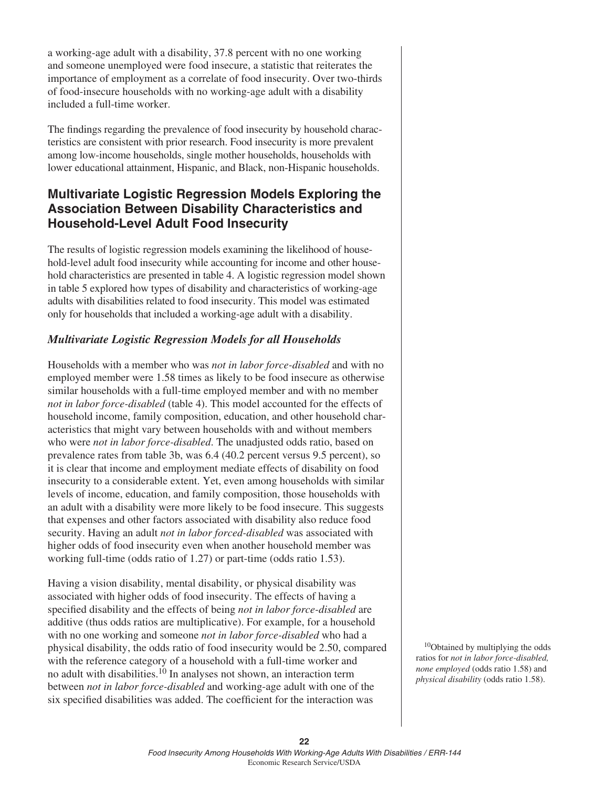a working-age adult with a disability, 37.8 percent with no one working and someone unemployed were food insecure, a statistic that reiterates the importance of employment as a correlate of food insecurity. Over two-thirds of food-insecure households with no working-age adult with a disability included a full-time worker.

The findings regarding the prevalence of food insecurity by household characteristics are consistent with prior research. Food insecurity is more prevalent among low-income households, single mother households, households with lower educational attainment, Hispanic, and Black, non-Hispanic households.

## **Multivariate Logistic Regression Models Exploring the Association Between Disability Characteristics and Household-Level Adult Food Insecurity**

The results of logistic regression models examining the likelihood of household-level adult food insecurity while accounting for income and other household characteristics are presented in table 4. A logistic regression model shown in table 5 explored how types of disability and characteristics of working-age adults with disabilities related to food insecurity. This model was estimated only for households that included a working-age adult with a disability.

## *Multivariate Logistic Regression Models for all Households*

Households with a member who was *not in labor force-disabled* and with no employed member were 1.58 times as likely to be food insecure as otherwise similar households with a full-time employed member and with no member *not in labor force-disabled* (table 4). This model accounted for the effects of household income, family composition, education, and other household characteristics that might vary between households with and without members who were *not in labor force-disabled*. The unadjusted odds ratio, based on prevalence rates from table 3b, was 6.4 (40.2 percent versus 9.5 percent), so it is clear that income and employment mediate effects of disability on food insecurity to a considerable extent. Yet, even among households with similar levels of income, education, and family composition, those households with an adult with a disability were more likely to be food insecure. This suggests that expenses and other factors associated with disability also reduce food security. Having an adult *not in labor forced-disabled* was associated with higher odds of food insecurity even when another household member was working full-time (odds ratio of 1.27) or part-time (odds ratio 1.53).

Having a vision disability, mental disability, or physical disability was associated with higher odds of food insecurity. The effects of having a specified disability and the effects of being *not in labor force-disabled* are additive (thus odds ratios are multiplicative). For example, for a household with no one working and someone *not in labor force-disabled* who had a physical disability, the odds ratio of food insecurity would be 2.50, compared with the reference category of a household with a full-time worker and no adult with disabilities.<sup>10</sup> In analyses not shown, an interaction term between *not in labor force-disabled* and working-age adult with one of the six specified disabilities was added. The coefficient for the interaction was

10Obtained by multiplying the odds ratios for *not in labor force-disabled, none employed* (odds ratio 1.58) and *physical disability* (odds ratio 1.58).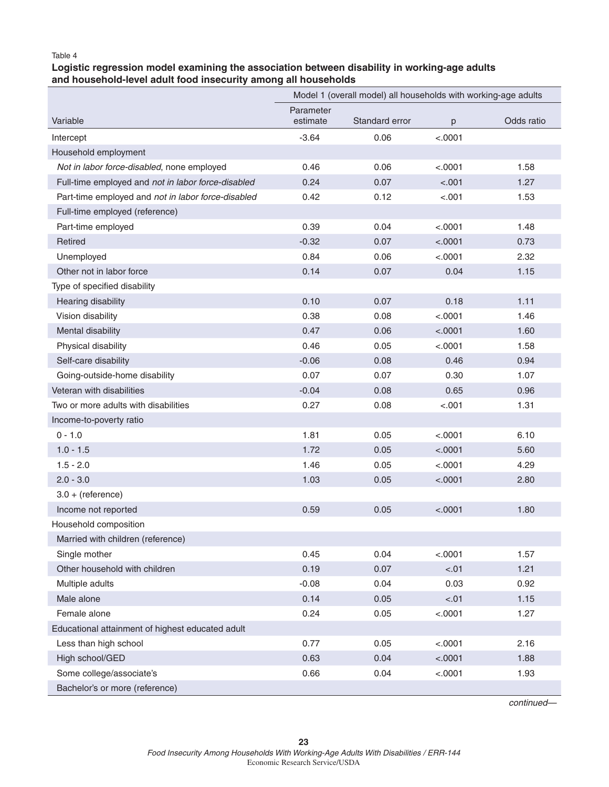#### Table 4

#### **Logistic regression model examining the association between disability in working-age adults and household-level adult food insecurity among all households**

|                                                    | Model 1 (overall model) all households with working-age adults |                |         |            |  |  |
|----------------------------------------------------|----------------------------------------------------------------|----------------|---------|------------|--|--|
| Variable                                           | Parameter<br>estimate                                          | Standard error | p       | Odds ratio |  |  |
| Intercept                                          | $-3.64$                                                        | 0.06           | < .0001 |            |  |  |
| Household employment                               |                                                                |                |         |            |  |  |
| Not in labor force-disabled, none employed         | 0.46                                                           | 0.06           | < .0001 | 1.58       |  |  |
| Full-time employed and not in labor force-disabled | 0.24                                                           | 0.07           | < .001  | 1.27       |  |  |
| Part-time employed and not in labor force-disabled | 0.42                                                           | 0.12           | < .001  | 1.53       |  |  |
| Full-time employed (reference)                     |                                                                |                |         |            |  |  |
| Part-time employed                                 | 0.39                                                           | 0.04           | < .0001 | 1.48       |  |  |
| Retired                                            | $-0.32$                                                        | 0.07           | < .0001 | 0.73       |  |  |
| Unemployed                                         | 0.84                                                           | 0.06           | < .0001 | 2.32       |  |  |
| Other not in labor force                           | 0.14                                                           | 0.07           | 0.04    | 1.15       |  |  |
| Type of specified disability                       |                                                                |                |         |            |  |  |
| Hearing disability                                 | 0.10                                                           | 0.07           | 0.18    | 1.11       |  |  |
| Vision disability                                  | 0.38                                                           | 0.08           | < .0001 | 1.46       |  |  |
| Mental disability                                  | 0.47                                                           | 0.06           | < .0001 | 1.60       |  |  |
| Physical disability                                | 0.46                                                           | 0.05           | < .0001 | 1.58       |  |  |
| Self-care disability                               | $-0.06$                                                        | 0.08           | 0.46    | 0.94       |  |  |
| Going-outside-home disability                      | 0.07                                                           | 0.07           | 0.30    | 1.07       |  |  |
| Veteran with disabilities                          | $-0.04$                                                        | 0.08           | 0.65    | 0.96       |  |  |
| Two or more adults with disabilities               | 0.27                                                           | 0.08           | < .001  | 1.31       |  |  |
| Income-to-poverty ratio                            |                                                                |                |         |            |  |  |
| $0 - 1.0$                                          | 1.81                                                           | 0.05           | < .0001 | 6.10       |  |  |
| $1.0 - 1.5$                                        | 1.72                                                           | 0.05           | < .0001 | 5.60       |  |  |
| $1.5 - 2.0$                                        | 1.46                                                           | 0.05           | < .0001 | 4.29       |  |  |
| $2.0 - 3.0$                                        | 1.03                                                           | 0.05           | < .0001 | 2.80       |  |  |
| $3.0 + (reference)$                                |                                                                |                |         |            |  |  |
| Income not reported                                | 0.59                                                           | 0.05           | < .0001 | 1.80       |  |  |
| Household composition                              |                                                                |                |         |            |  |  |
| Married with children (reference)                  |                                                                |                |         |            |  |  |
| Single mother                                      | 0.45                                                           | 0.04           | < .0001 | 1.57       |  |  |
| Other household with children                      | 0.19                                                           | 0.07           | $-.01$  | 1.21       |  |  |
| Multiple adults                                    | $-0.08$                                                        | 0.04           | 0.03    | 0.92       |  |  |
| Male alone                                         | 0.14                                                           | 0.05           | $-.01$  | 1.15       |  |  |
| Female alone                                       | 0.24                                                           | 0.05           | < .0001 | 1.27       |  |  |
| Educational attainment of highest educated adult   |                                                                |                |         |            |  |  |
| Less than high school                              | 0.77                                                           | 0.05           | < .0001 | 2.16       |  |  |
| High school/GED                                    | 0.63                                                           | 0.04           | < .0001 | 1.88       |  |  |
| Some college/associate's                           | 0.66                                                           | 0.04           | < .0001 | 1.93       |  |  |
| Bachelor's or more (reference)                     |                                                                |                |         |            |  |  |

*continued—*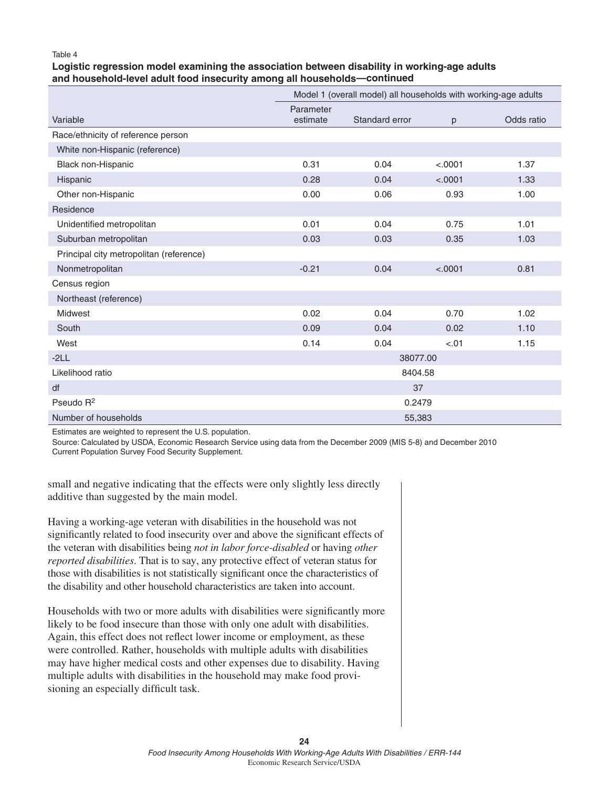#### Table 4

#### **Logistic regression model examining the association between disability in working-age adults and household-level adult food insecurity among all households —continued**

|                                         | Model 1 (overall model) all households with working-age adults |                |         |            |  |  |
|-----------------------------------------|----------------------------------------------------------------|----------------|---------|------------|--|--|
|                                         | Parameter                                                      |                |         |            |  |  |
| Variable                                | estimate                                                       | Standard error | p       | Odds ratio |  |  |
| Race/ethnicity of reference person      |                                                                |                |         |            |  |  |
| White non-Hispanic (reference)          |                                                                |                |         |            |  |  |
| Black non-Hispanic                      | 0.31                                                           | 0.04           | < .0001 | 1.37       |  |  |
| Hispanic                                | 0.28                                                           | 0.04           | < .0001 | 1.33       |  |  |
| Other non-Hispanic                      | 0.00                                                           | 0.06           | 0.93    | 1.00       |  |  |
| Residence                               |                                                                |                |         |            |  |  |
| Unidentified metropolitan               | 0.01                                                           | 0.04           | 0.75    | 1.01       |  |  |
| Suburban metropolitan                   | 0.03                                                           | 0.03           | 0.35    | 1.03       |  |  |
| Principal city metropolitan (reference) |                                                                |                |         |            |  |  |
| Nonmetropolitan                         | $-0.21$                                                        | 0.04           | < .0001 | 0.81       |  |  |
| Census region                           |                                                                |                |         |            |  |  |
| Northeast (reference)                   |                                                                |                |         |            |  |  |
| Midwest                                 | 0.02                                                           | 0.04           | 0.70    | 1.02       |  |  |
| South                                   | 0.09                                                           | 0.04           | 0.02    | 1.10       |  |  |
| West                                    | 0.14                                                           | 0.04           | $-.01$  | 1.15       |  |  |
| $-2LL$                                  |                                                                | 38077.00       |         |            |  |  |
| Likelihood ratio                        |                                                                | 8404.58        |         |            |  |  |
| df                                      | 37                                                             |                |         |            |  |  |
| Pseudo $R^2$                            |                                                                | 0.2479         |         |            |  |  |
| Number of households                    |                                                                | 55,383         |         |            |  |  |

Estimates are weighted to represent the U.S. population.

Source: Calculated by USDA, Economic Research Service using data from the December 2009 (MIS 5-8) and December 2010 Current Population Survey Food Security Supplement.

small and negative indicating that the effects were only slightly less directly additive than suggested by the main model.

Having a working-age veteran with disabilities in the household was not significantly related to food insecurity over and above the significant effects of the veteran with disabilities being *not in labor force-disabled* or having *other reported disabilities*. That is to say, any protective effect of veteran status for those with disabilities is not statistically significant once the characteristics of the disability and other household characteristics are taken into account.

Households with two or more adults with disabilities were significantly more likely to be food insecure than those with only one adult with disabilities. Again, this effect does not reflect lower income or employment, as these were controlled. Rather, households with multiple adults with disabilities may have higher medical costs and other expenses due to disability. Having multiple adults with disabilities in the household may make food provisioning an especially difficult task.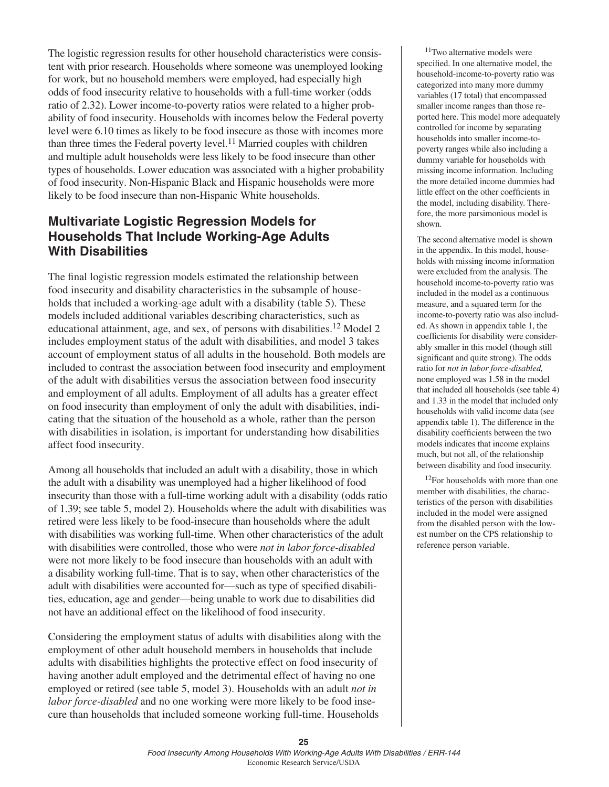The logistic regression results for other household characteristics were consistent with prior research. Households where someone was unemployed looking for work, but no household members were employed, had especially high odds of food insecurity relative to households with a full-time worker (odds ratio of 2.32). Lower income-to-poverty ratios were related to a higher probability of food insecurity. Households with incomes below the Federal poverty level were 6.10 times as likely to be food insecure as those with incomes more than three times the Federal poverty level.<sup>11</sup> Married couples with children and multiple adult households were less likely to be food insecure than other types of households. Lower education was associated with a higher probability of food insecurity. Non-Hispanic Black and Hispanic households were more likely to be food insecure than non-Hispanic White households.

## **Multivariate Logistic Regression Models for Households That Include Working-Age Adults With Disabilities**

The final logistic regression models estimated the relationship between food insecurity and disability characteristics in the subsample of households that included a working-age adult with a disability (table 5). These models included additional variables describing characteristics, such as educational attainment, age, and sex, of persons with disabilities.<sup>12</sup> Model 2 includes employment status of the adult with disabilities, and model 3 takes account of employment status of all adults in the household. Both models are included to contrast the association between food insecurity and employment of the adult with disabilities versus the association between food insecurity and employment of all adults. Employment of all adults has a greater effect on food insecurity than employment of only the adult with disabilities, indicating that the situation of the household as a whole, rather than the person with disabilities in isolation, is important for understanding how disabilities affect food insecurity.

Among all households that included an adult with a disability, those in which the adult with a disability was unemployed had a higher likelihood of food insecurity than those with a full-time working adult with a disability (odds ratio of 1.39; see table 5, model 2). Households where the adult with disabilities was retired were less likely to be food-insecure than households where the adult with disabilities was working full-time. When other characteristics of the adult with disabilities were controlled, those who were *not in labor force-disabled* were not more likely to be food insecure than households with an adult with a disability working full-time. That is to say, when other characteristics of the adult with disabilities were accounted for—such as type of specified disabilities, education, age and gender—being unable to work due to disabilities did not have an additional effect on the likelihood of food insecurity.

Considering the employment status of adults with disabilities along with the employment of other adult household members in households that include adults with disabilities highlights the protective effect on food insecurity of having another adult employed and the detrimental effect of having no one employed or retired (see table 5, model 3). Households with an adult *not in labor force-disabled* and no one working were more likely to be food insecure than households that included someone working full-time. Households

<sup>11</sup>Two alternative models were specified. In one alternative model, the household-income-to-poverty ratio was categorized into many more dummy variables (17 total) that encompassed smaller income ranges than those reported here. This model more adequately controlled for income by separating households into smaller income-topoverty ranges while also including a dummy variable for households with missing income information. Including the more detailed income dummies had little effect on the other coefficients in the model, including disability. Therefore, the more parsimonious model is shown.

The second alternative model is shown in the appendix. In this model, households with missing income information were excluded from the analysis. The household income-to-poverty ratio was included in the model as a continuous measure, and a squared term for the income-to-poverty ratio was also included. As shown in appendix table 1, the coefficients for disability were considerably smaller in this model (though still significant and quite strong). The odds ratio for *not in labor force-disabled,* none employed was 1.58 in the model that included all households (see table 4) and 1.33 in the model that included only households with valid income data (see appendix table 1). The difference in the disability coefficients between the two models indicates that income explains much, but not all, of the relationship between disability and food insecurity.

 $12$ For households with more than one member with disabilities, the characteristics of the person with disabilities included in the model were assigned from the disabled person with the lowest number on the CPS relationship to reference person variable.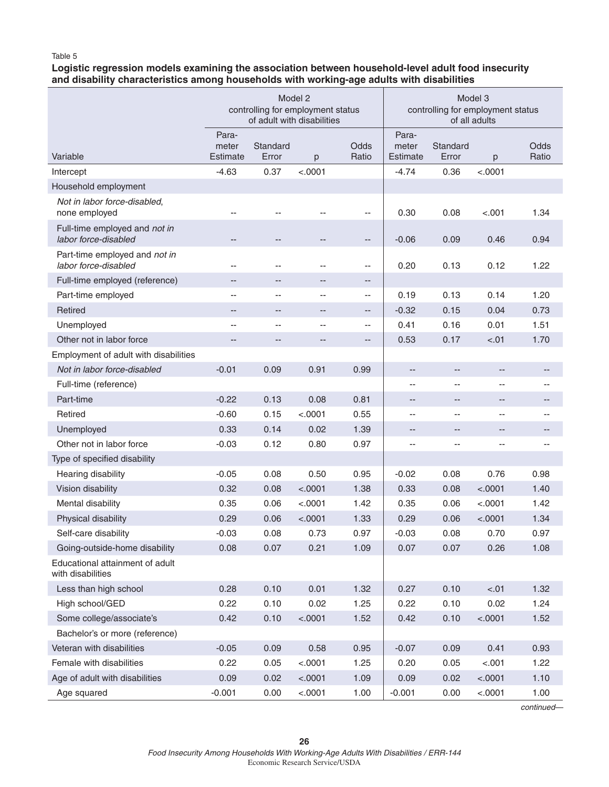#### Table 5

#### **Logistic regression models examining the association between household-level adult food insecurity**  and disability characteristics among households with working-age adults with disabilities

|                                                       | Model 2<br>controlling for employment status<br>of adult with disabilities |                          |                          |                          | controlling for employment status | Model 3<br>of all adults |         |               |
|-------------------------------------------------------|----------------------------------------------------------------------------|--------------------------|--------------------------|--------------------------|-----------------------------------|--------------------------|---------|---------------|
| Variable                                              | Para-<br>meter<br>Estimate                                                 | Standard<br>Error        | p                        | Odds<br>Ratio            | Para-<br>meter<br>Estimate        | Standard<br>Error        | p       | Odds<br>Ratio |
| Intercept                                             | $-4.63$                                                                    | 0.37                     | < .0001                  |                          | $-4.74$                           | 0.36                     | < .0001 |               |
| Household employment                                  |                                                                            |                          |                          |                          |                                   |                          |         |               |
| Not in labor force-disabled,<br>none employed         |                                                                            |                          |                          | $-$                      | 0.30                              | 0.08                     | $-.001$ | 1.34          |
| Full-time employed and not in<br>labor force-disabled | н.                                                                         | --                       | --                       | $\overline{\phantom{a}}$ | $-0.06$                           | 0.09                     | 0.46    | 0.94          |
| Part-time employed and not in<br>labor force-disabled |                                                                            | --                       |                          | --                       | 0.20                              | 0.13                     | 0.12    | 1.22          |
| Full-time employed (reference)                        | $\overline{\phantom{a}}$                                                   | $\overline{\phantom{a}}$ | $\overline{\phantom{m}}$ | --                       |                                   |                          |         |               |
| Part-time employed                                    | --                                                                         | --                       | --                       | --                       | 0.19                              | 0.13                     | 0.14    | 1.20          |
| Retired                                               | $\overline{\phantom{a}}$                                                   | --                       | --                       | --                       | $-0.32$                           | 0.15                     | 0.04    | 0.73          |
| Unemployed                                            | --                                                                         | $\overline{\phantom{a}}$ | --                       | --                       | 0.41                              | 0.16                     | 0.01    | 1.51          |
| Other not in labor force                              |                                                                            |                          | --                       | --                       | 0.53                              | 0.17                     | $-.01$  | 1.70          |
| Employment of adult with disabilities                 |                                                                            |                          |                          |                          |                                   |                          |         |               |
| Not in labor force-disabled                           | $-0.01$                                                                    | 0.09                     | 0.91                     | 0.99                     | $\overline{\phantom{a}}$          | --                       | --      |               |
| Full-time (reference)                                 |                                                                            |                          |                          |                          | $\overline{a}$                    | $-$                      |         |               |
| Part-time                                             | $-0.22$                                                                    | 0.13                     | 0.08                     | 0.81                     | --                                | --                       | --      |               |
| Retired                                               | $-0.60$                                                                    | 0.15                     | < .0001                  | 0.55                     | $\overline{a}$                    | $\overline{\phantom{a}}$ | $-$     |               |
| Unemployed                                            | 0.33                                                                       | 0.14                     | 0.02                     | 1.39                     | $\overline{\phantom{a}}$          | --                       | --      |               |
| Other not in labor force                              | $-0.03$                                                                    | 0.12                     | 0.80                     | 0.97                     | $\overline{\phantom{a}}$          | $-$                      |         |               |
| Type of specified disability                          |                                                                            |                          |                          |                          |                                   |                          |         |               |
| Hearing disability                                    | $-0.05$                                                                    | 0.08                     | 0.50                     | 0.95                     | $-0.02$                           | 0.08                     | 0.76    | 0.98          |
| Vision disability                                     | 0.32                                                                       | 0.08                     | < .0001                  | 1.38                     | 0.33                              | 0.08                     | < .0001 | 1.40          |
| Mental disability                                     | 0.35                                                                       | 0.06                     | < .0001                  | 1.42                     | 0.35                              | 0.06                     | < .0001 | 1.42          |
| Physical disability                                   | 0.29                                                                       | 0.06                     | < .0001                  | 1.33                     | 0.29                              | 0.06                     | < .0001 | 1.34          |
| Self-care disability                                  | $-0.03$                                                                    | 0.08                     | 0.73                     | 0.97                     | $-0.03$                           | 0.08                     | 0.70    | 0.97          |
| Going-outside-home disability                         | 0.08                                                                       | 0.07                     | 0.21                     | 1.09                     | 0.07                              | 0.07                     | 0.26    | 1.08          |
| Educational attainment of adult<br>with disabilities  |                                                                            |                          |                          |                          |                                   |                          |         |               |
| Less than high school                                 | 0.28                                                                       | 0.10                     | 0.01                     | 1.32                     | 0.27                              | 0.10                     | $-.01$  | 1.32          |
| High school/GED                                       | 0.22                                                                       | 0.10                     | 0.02                     | 1.25                     | 0.22                              | 0.10                     | 0.02    | 1.24          |
| Some college/associate's                              | 0.42                                                                       | 0.10                     | < .0001                  | 1.52                     | 0.42                              | 0.10                     | < .0001 | 1.52          |
| Bachelor's or more (reference)                        |                                                                            |                          |                          |                          |                                   |                          |         |               |
| Veteran with disabilities                             | $-0.05$                                                                    | 0.09                     | 0.58                     | 0.95                     | $-0.07$                           | 0.09                     | 0.41    | 0.93          |
| Female with disabilities                              | 0.22                                                                       | 0.05                     | < .0001                  | 1.25                     | 0.20                              | 0.05                     | < .001  | 1.22          |
| Age of adult with disabilities                        | 0.09                                                                       | 0.02                     | < .0001                  | 1.09                     | 0.09                              | 0.02                     | < .0001 | 1.10          |
| Age squared                                           | $-0.001$                                                                   | 0.00                     | < .0001                  | 1.00                     | $-0.001$                          | 0.00                     | < .0001 | 1.00          |

*continued—*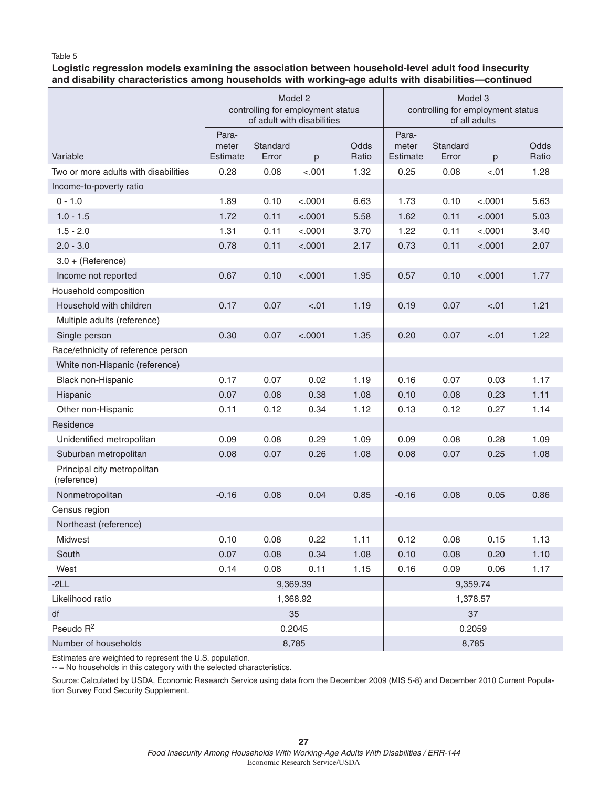#### Table 5

**Logistic regression models examining the association between household-level adult food insecurity and disability characteristics among households with working-age adults with disabilities—continued** 

|                                            | Model 2<br>controlling for employment status<br>of adult with disabilities |                   |          |               | Model 3<br>controlling for employment status | of all adults     |          |               |
|--------------------------------------------|----------------------------------------------------------------------------|-------------------|----------|---------------|----------------------------------------------|-------------------|----------|---------------|
| Variable                                   | Para-<br>meter<br>Estimate                                                 | Standard<br>Error | p        | Odds<br>Ratio | Para-<br>meter<br>Estimate                   | Standard<br>Error | p        | Odds<br>Ratio |
| Two or more adults with disabilities       | 0.28                                                                       | 0.08              | < .001   | 1.32          | 0.25                                         | 0.08              | $-.01$   | 1.28          |
| Income-to-poverty ratio                    |                                                                            |                   |          |               |                                              |                   |          |               |
| $0 - 1.0$                                  | 1.89                                                                       | 0.10              | < .0001  | 6.63          | 1.73                                         | 0.10              | < .0001  | 5.63          |
| $1.0 - 1.5$                                | 1.72                                                                       | 0.11              | < .0001  | 5.58          | 1.62                                         | 0.11              | < .0001  | 5.03          |
| $1.5 - 2.0$                                | 1.31                                                                       | 0.11              | < .0001  | 3.70          | 1.22                                         | 0.11              | < .0001  | 3.40          |
| $2.0 - 3.0$                                | 0.78                                                                       | 0.11              | < .0001  | 2.17          | 0.73                                         | 0.11              | < .0001  | 2.07          |
| $3.0 + (Reference)$                        |                                                                            |                   |          |               |                                              |                   |          |               |
| Income not reported                        | 0.67                                                                       | 0.10              | < .0001  | 1.95          | 0.57                                         | 0.10              | < .0001  | 1.77          |
| Household composition                      |                                                                            |                   |          |               |                                              |                   |          |               |
| Household with children                    | 0.17                                                                       | 0.07              | $-.01$   | 1.19          | 0.19                                         | 0.07              | $-.01$   | 1.21          |
| Multiple adults (reference)                |                                                                            |                   |          |               |                                              |                   |          |               |
| Single person                              | 0.30                                                                       | 0.07              | < .0001  | 1.35          | 0.20                                         | 0.07              | $-.01$   | 1.22          |
| Race/ethnicity of reference person         |                                                                            |                   |          |               |                                              |                   |          |               |
| White non-Hispanic (reference)             |                                                                            |                   |          |               |                                              |                   |          |               |
| Black non-Hispanic                         | 0.17                                                                       | 0.07              | 0.02     | 1.19          | 0.16                                         | 0.07              | 0.03     | 1.17          |
| Hispanic                                   | 0.07                                                                       | 0.08              | 0.38     | 1.08          | 0.10                                         | 0.08              | 0.23     | 1.11          |
| Other non-Hispanic                         | 0.11                                                                       | 0.12              | 0.34     | 1.12          | 0.13                                         | 0.12              | 0.27     | 1.14          |
| Residence                                  |                                                                            |                   |          |               |                                              |                   |          |               |
| Unidentified metropolitan                  | 0.09                                                                       | 0.08              | 0.29     | 1.09          | 0.09                                         | 0.08              | 0.28     | 1.09          |
| Suburban metropolitan                      | 0.08                                                                       | 0.07              | 0.26     | 1.08          | 0.08                                         | 0.07              | 0.25     | 1.08          |
| Principal city metropolitan<br>(reference) |                                                                            |                   |          |               |                                              |                   |          |               |
| Nonmetropolitan                            | $-0.16$                                                                    | 0.08              | 0.04     | 0.85          | $-0.16$                                      | 0.08              | 0.05     | 0.86          |
| Census region                              |                                                                            |                   |          |               |                                              |                   |          |               |
| Northeast (reference)                      |                                                                            |                   |          |               |                                              |                   |          |               |
| Midwest                                    | 0.10                                                                       | 0.08              | 0.22     | 1.11          | 0.12                                         | 0.08              | 0.15     | 1.13          |
| South                                      | 0.07                                                                       | 0.08              | 0.34     | 1.08          | 0.10                                         | 0.08              | 0.20     | 1.10          |
| West                                       | 0.14                                                                       | 0.08              | 0.11     | 1.15          | 0.16                                         | 0.09              | 0.06     | 1.17          |
| $-2LL$                                     |                                                                            | 9,369.39          |          |               |                                              |                   | 9,359.74 |               |
| Likelihood ratio                           |                                                                            |                   | 1,368.92 |               |                                              |                   | 1,378.57 |               |
| df                                         |                                                                            |                   | 35       |               |                                              |                   | 37       |               |
| Pseudo R <sup>2</sup>                      |                                                                            |                   | 0.2045   |               |                                              |                   | 0.2059   |               |
| Number of households                       |                                                                            |                   | 8,785    |               |                                              | 8,785             |          |               |

Estimates are weighted to represent the U.S. population.

-- = No households in this category with the selected characteristics.

Source: Calculated by USDA, Economic Research Service using data from the December 2009 (MIS 5-8) and December 2010 Current Population Survey Food Security Supplement.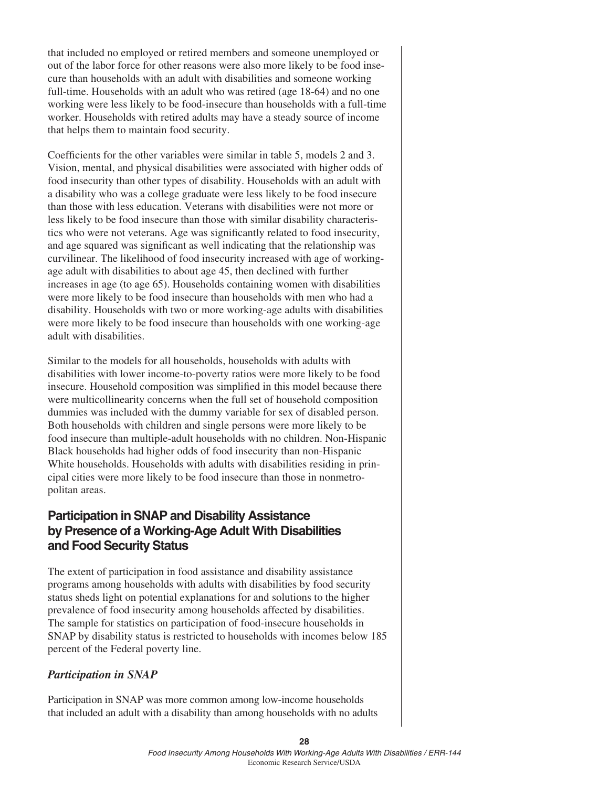that included no employed or retired members and someone unemployed or out of the labor force for other reasons were also more likely to be food insecure than households with an adult with disabilities and someone working full-time. Households with an adult who was retired (age 18-64) and no one working were less likely to be food-insecure than households with a full-time worker. Households with retired adults may have a steady source of income that helps them to maintain food security.

Coefficients for the other variables were similar in table 5, models 2 and 3. Vision, mental, and physical disabilities were associated with higher odds of food insecurity than other types of disability. Households with an adult with a disability who was a college graduate were less likely to be food insecure than those with less education. Veterans with disabilities were not more or less likely to be food insecure than those with similar disability characteristics who were not veterans. Age was significantly related to food insecurity, and age squared was significant as well indicating that the relationship was curvilinear. The likelihood of food insecurity increased with age of workingage adult with disabilities to about age 45, then declined with further increases in age (to age 65). Households containing women with disabilities were more likely to be food insecure than households with men who had a disability. Households with two or more working-age adults with disabilities were more likely to be food insecure than households with one working-age adult with disabilities.

Similar to the models for all households, households with adults with disabilities with lower income-to-poverty ratios were more likely to be food insecure. Household composition was simplified in this model because there were multicollinearity concerns when the full set of household composition dummies was included with the dummy variable for sex of disabled person. Both households with children and single persons were more likely to be food insecure than multiple-adult households with no children. Non-Hispanic Black households had higher odds of food insecurity than non-Hispanic White households. Households with adults with disabilities residing in principal cities were more likely to be food insecure than those in nonmetropolitan areas.

## **Participation in SNAP and Disability Assistance by Presence of a Working-Age Adult With Disabilities and Food Security Status**

The extent of participation in food assistance and disability assistance programs among households with adults with disabilities by food security status sheds light on potential explanations for and solutions to the higher prevalence of food insecurity among households affected by disabilities. The sample for statistics on participation of food-insecure households in SNAP by disability status is restricted to households with incomes below 185 percent of the Federal poverty line.

### *Participation in SNAP*

Participation in SNAP was more common among low-income households that included an adult with a disability than among households with no adults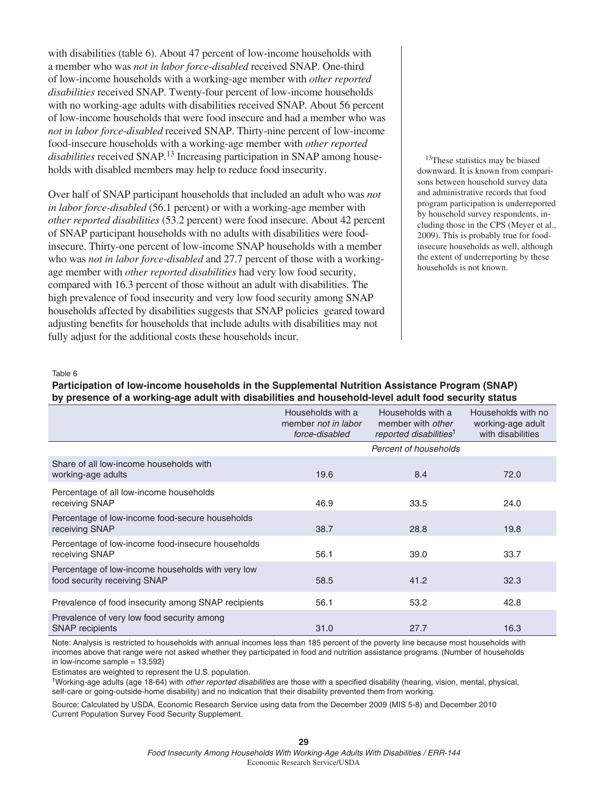with disabilities (table 6). About 47 percent of low-income households with a member who was *not in labor force-disabled* received SNAP. One-third of low-income households with a working-age member with *other reported disabilities* received SNAP. Twenty-four percent of low-income households with no working-age adults with disabilities received SNAP. About 56 percent of low-income households that were food insecure and had a member who was *not in labor force-disabled* received SNAP. Thirty-nine percent of low-income food-insecure households with a working-age member with *other reported disabilities* received SNAP.13 Increasing participation in SNAP among households with disabled members may help to reduce food insecurity.

Over half of SNAP participant households that included an adult who was *not in labor force-disabled* (56.1 percent) or with a working-age member with *other reported disabilities* (53.2 percent) were food insecure. About 42 percent of SNAP participant households with no adults with disabilities were foodinsecure. Thirty-one percent of low-income SNAP households with a member who was *not in labor force-disabled* and 27.7 percent of those with a workingage member with *other reported disabilities* had very low food security, compared with 16.3 percent of those without an adult with disabilities. The high prevalence of food insecurity and very low food security among SNAP households affected by disabilities suggests that SNAP policies geared toward adjusting benefits for households that include adults with disabilities may not fully adjust for the additional costs these households incur.

<sup>13</sup>These statistics may be biased downward. It is known from comparisons between household survey data and administrative records that food program participation is underreported by household survey respondents, including those in the CPS (Meyer et al., 2009). This is probably true for foodinsecure households as well, although the extent of underreporting by these households is not known.

#### Table 6

#### **Participation of low-income households in the Supplemental Nutrition Assistance Program (SNAP) by presence of a working-age adult with disabilities and household-level adult food security status**

|                                                                                   | Households with a<br>member not in labor<br>force-disabled | Households with a<br>member with <i>other</i><br>reported disabilities <sup>1</sup> | Households with no<br>working-age adult<br>with disabilities |
|-----------------------------------------------------------------------------------|------------------------------------------------------------|-------------------------------------------------------------------------------------|--------------------------------------------------------------|
|                                                                                   |                                                            | Percent of households                                                               |                                                              |
| Share of all low-income households with<br>working-age adults                     | 19.6                                                       | 8.4                                                                                 | 72.0                                                         |
| Percentage of all low-income households<br>receiving SNAP                         | 46.9                                                       | 33.5                                                                                | 24.0                                                         |
| Percentage of low-income food-secure households<br>receiving SNAP                 | 38.7                                                       | 28.8                                                                                | 19.8                                                         |
| Percentage of low-income food-insecure households<br>receiving SNAP               | 56.1                                                       | 39.0                                                                                | 33.7                                                         |
| Percentage of low-income households with very low<br>food security receiving SNAP | 58.5                                                       | 41.2                                                                                | 32.3                                                         |
| Prevalence of food insecurity among SNAP recipients                               | 56.1                                                       | 53.2                                                                                | 42.8                                                         |
| Prevalence of very low food security among<br><b>SNAP</b> recipients              | 31.0                                                       | 27.7                                                                                | 16.3                                                         |

Note: Analysis is restricted to households with annual incomes less than 185 percent of the poverty line because most households with incomes above that range were not asked whether they participated in food and nutrition assistance programs. (Number of households in low-income sample  $= 13,592$ )

Estimates are weighted to represent the U.S. population.

1Working-age adults (age 18-64) with *other reported disabilities* are those with a specified disability (hearing, vision, mental, physical, self-care or going-outside-home disability) and no indication that their disability prevented them from working.

Source: Calculated by USDA, Economic Research Service using data from the December 2009 (MIS 5-8) and December 2010 Current Population Survey Food Security Supplement.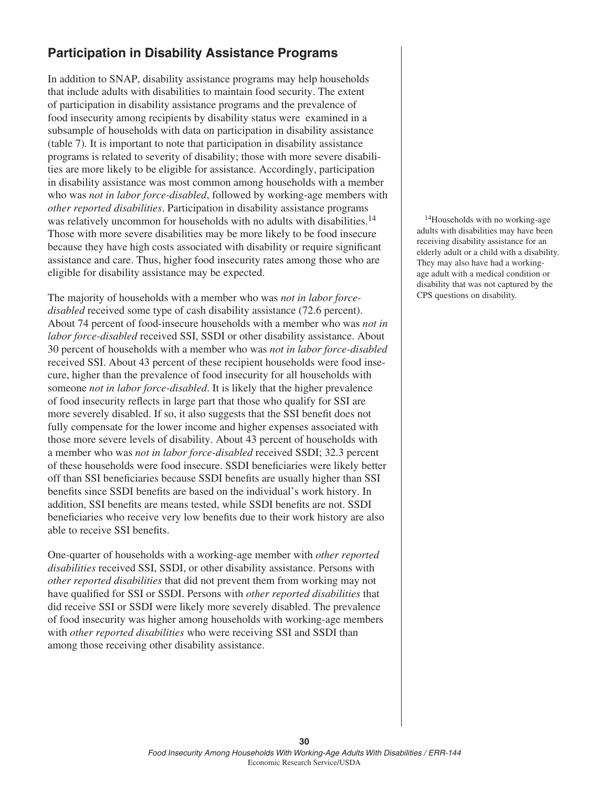## **Participation in Disability Assistance Programs**

In addition to SNAP, disability assistance programs may help households that include adults with disabilities to maintain food security. The extent of participation in disability assistance programs and the prevalence of food insecurity among recipients by disability status were examined in a subsample of households with data on participation in disability assistance (table 7). It is important to note that participation in disability assistance programs is related to severity of disability; those with more severe disabilities are more likely to be eligible for assistance. Accordingly, participation in disability assistance was most common among households with a member who was *not in labor force-disabled*, followed by working-age members with *other reported disabilities*. Participation in disability assistance programs was relatively uncommon for households with no adults with disabilities.<sup>14</sup> Those with more severe disabilities may be more likely to be food insecure because they have high costs associated with disability or require significant assistance and care. Thus, higher food insecurity rates among those who are eligible for disability assistance may be expected.

The majority of households with a member who was *not in labor forcedisabled* received some type of cash disability assistance (72.6 percent). About 74 percent of food-insecure households with a member who was *not in labor force-disabled* received SSI, SSDI or other disability assistance. About 30 percent of households with a member who was *not in labor force-disabled* received SSI. About 43 percent of these recipient households were food insecure, higher than the prevalence of food insecurity for all households with someone *not in labor force-disabled*. It is likely that the higher prevalence of food insecurity reflects in large part that those who qualify for SSI are more severely disabled. If so, it also suggests that the SSI benefit does not fully compensate for the lower income and higher expenses associated with those more severe levels of disability. About 43 percent of households with a member who was *not in labor force-disabled* received SSDI; 32.3 percent of these households were food insecure. SSDI beneficiaries were likely better off than SSI beneficiaries because SSDI benefits are usually higher than SSI benefits since SSDI benefits are based on the individual's work history. In addition, SSI benefits are means tested, while SSDI benefits are not. SSDI beneficiaries who receive very low benefits due to their work history are also able to receive SSI benefits.

One-quarter of households with a working-age member with *other reported disabilities* received SSI, SSDI, or other disability assistance. Persons with *other reported disabilities* that did not prevent them from working may not have qualified for SSI or SSDI. Persons with *other reported disabilities* that did receive SSI or SSDI were likely more severely disabled. The prevalence of food insecurity was higher among households with working-age members with *other reported disabilities* who were receiving SSI and SSDI than among those receiving other disability assistance.

14Households with no working-age adults with disabilities may have been receiving disability assistance for an elderly adult or a child with a disability. They may also have had a workingage adult with a medical condition or disability that was not captured by the CPS questions on disability.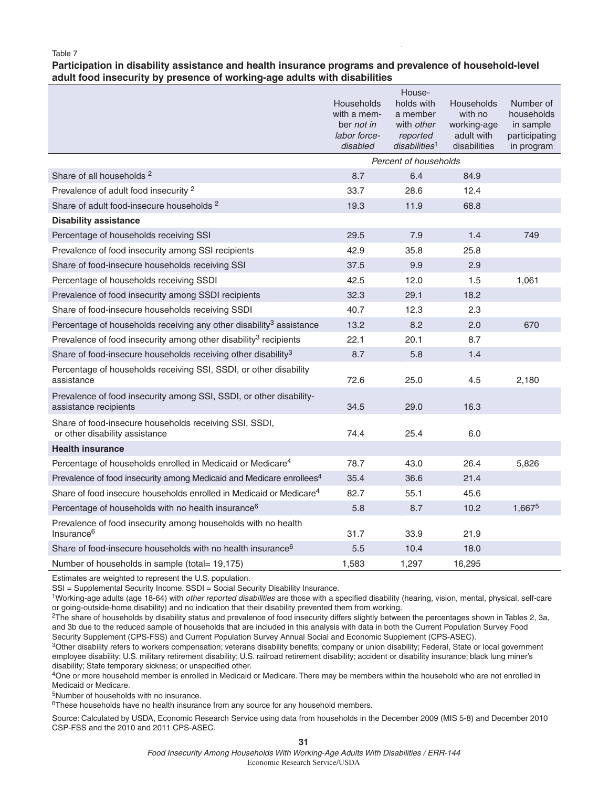#### Table 7

#### **Participation in disability assistance and health insurance programs and prevalence of household-level adult food insecurity by presence of working-age adults with disabilities**

|                                                                                              | House-                                                          |                                       |                       |                         |
|----------------------------------------------------------------------------------------------|-----------------------------------------------------------------|---------------------------------------|-----------------------|-------------------------|
|                                                                                              | Households<br>with a mem-                                       | holds with<br>a member                | Households<br>with no | Number of<br>households |
|                                                                                              | ber not in                                                      | with other                            | working-age           | in sample               |
|                                                                                              | labor force-                                                    | reported<br>disabilities <sup>1</sup> | adult with            | participating           |
|                                                                                              | disabled<br>disabilities<br>in program<br>Percent of households |                                       |                       |                         |
| Share of all households <sup>2</sup>                                                         | 8.7<br>6.4<br>84.9                                              |                                       |                       |                         |
| Prevalence of adult food insecurity <sup>2</sup>                                             | 33.7                                                            | 28.6                                  | 12.4                  |                         |
| Share of adult food-insecure households <sup>2</sup>                                         | 19.3                                                            | 11.9                                  | 68.8                  |                         |
| <b>Disability assistance</b>                                                                 |                                                                 |                                       |                       |                         |
| Percentage of households receiving SSI                                                       | 29.5                                                            | 7.9                                   | 1.4                   | 749                     |
| Prevalence of food insecurity among SSI recipients                                           | 42.9                                                            | 35.8                                  | 25.8                  |                         |
| Share of food-insecure households receiving SSI                                              | 37.5                                                            | 9.9                                   | 2.9                   |                         |
|                                                                                              | 42.5                                                            | 12.0                                  | 1.5                   | 1,061                   |
| Percentage of households receiving SSDI                                                      |                                                                 |                                       |                       |                         |
| Prevalence of food insecurity among SSDI recipients                                          | 32.3                                                            | 29.1                                  | 18.2                  |                         |
| Share of food-insecure households receiving SSDI                                             | 40.7                                                            | 12.3                                  | 2.3                   |                         |
| Percentage of households receiving any other disability <sup>3</sup> assistance              | 13.2                                                            | 8.2                                   | 2.0                   | 670                     |
| Prevalence of food insecurity among other disability <sup>3</sup> recipients                 | 22.1                                                            | 20.1                                  | 8.7                   |                         |
| Share of food-insecure households receiving other disability <sup>3</sup>                    | 8.7                                                             | 5.8                                   | 1.4                   |                         |
| Percentage of households receiving SSI, SSDI, or other disability<br>assistance              | 72.6                                                            | 25.0                                  | 4.5                   | 2,180                   |
| Prevalence of food insecurity among SSI, SSDI, or other disability-<br>assistance recipients | 34.5                                                            | 29.0                                  | 16.3                  |                         |
| Share of food-insecure households receiving SSI, SSDI,<br>or other disability assistance     | 74.4                                                            | 25.4                                  | 6.0                   |                         |
| <b>Health insurance</b>                                                                      |                                                                 |                                       |                       |                         |
| Percentage of households enrolled in Medicaid or Medicare <sup>4</sup>                       | 78.7                                                            | 43.0                                  | 26.4                  | 5,826                   |
| Prevalence of food insecurity among Medicaid and Medicare enrollees <sup>4</sup>             | 35.4                                                            | 36.6                                  | 21.4                  |                         |
| Share of food insecure households enrolled in Medicaid or Medicare <sup>4</sup>              | 82.7                                                            | 55.1                                  | 45.6                  |                         |
| Percentage of households with no health insurance <sup>6</sup>                               | 5.8                                                             | 8.7                                   | 10.2                  | 1,6675                  |
| Prevalence of food insecurity among households with no health<br>Insurance <sup>6</sup>      | 31.7                                                            | 33.9                                  | 21.9                  |                         |
| Share of food-insecure households with no health insurance <sup>6</sup>                      | 5.5                                                             | 10.4                                  | 18.0                  |                         |
| Number of households in sample (total= 19,175)                                               | 1,583                                                           | 1,297                                 | 16,295                |                         |

Estimates are weighted to represent the U.S. population.

SSI = Supplemental Security Income. SSDI = Social Security Disability Insurance.

1Working-age adults (age 18-64) with *other reported disabilities* are those with a specified disability (hearing, vision, mental, physical, self-care or going-outside-home disability) and no indication that their disability prevented them from working.

<sup>2</sup>The share of households by disability status and prevalence of food insecurity differs slightly between the percentages shown in Tables 2, 3a, and 3b due to the reduced sample of households that are included in this analysis with data in both the Current Population Survey Food Security Supplement (CPS-FSS) and Current Population Survey Annual Social and Economic Supplement (CPS-ASEC).

<sup>3</sup>Other disability refers to workers compensation; veterans disability benefits; company or union disability; Federal, State or local government employee disability; U.S. military retirement disability; U.S. railroad retirement disability; accident or disability insurance; black lung miner's disability; State temporary sickness; or unspecified other.

 $^4$ One or more household member is enrolled in Medicaid or Medicare. There may be members within the household who are not enrolled in Medicaid or Medicare.

5Number of households with no insurance.

<sup>6</sup>These households have no health insurance from any source for any household members.

Source: Calculated by USDA, Economic Research Service using data from households in the December 2009 (MIS 5-8) and December 2010 CSP-FSS and the 2010 and 2011 CPS-ASEC.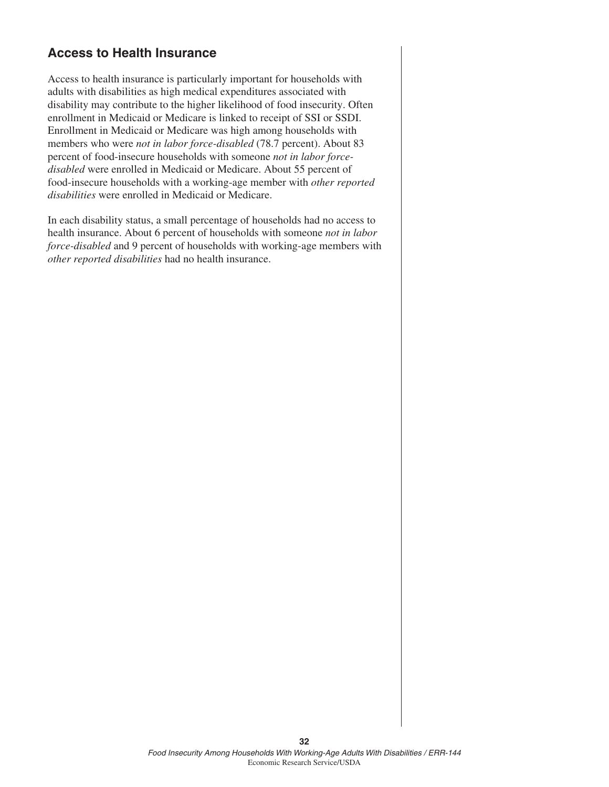## **Access to Health Insurance**

Access to health insurance is particularly important for households with adults with disabilities as high medical expenditures associated with disability may contribute to the higher likelihood of food insecurity. Often enrollment in Medicaid or Medicare is linked to receipt of SSI or SSDI. Enrollment in Medicaid or Medicare was high among households with members who were *not in labor force-disabled* (78.7 percent). About 83 percent of food-insecure households with someone *not in labor forcedisabled* were enrolled in Medicaid or Medicare. About 55 percent of food-insecure households with a working-age member with *other reported disabilities* were enrolled in Medicaid or Medicare.

In each disability status, a small percentage of households had no access to health insurance. About 6 percent of households with someone *not in labor force-disabled* and 9 percent of households with working-age members with *other reported disabilities* had no health insurance.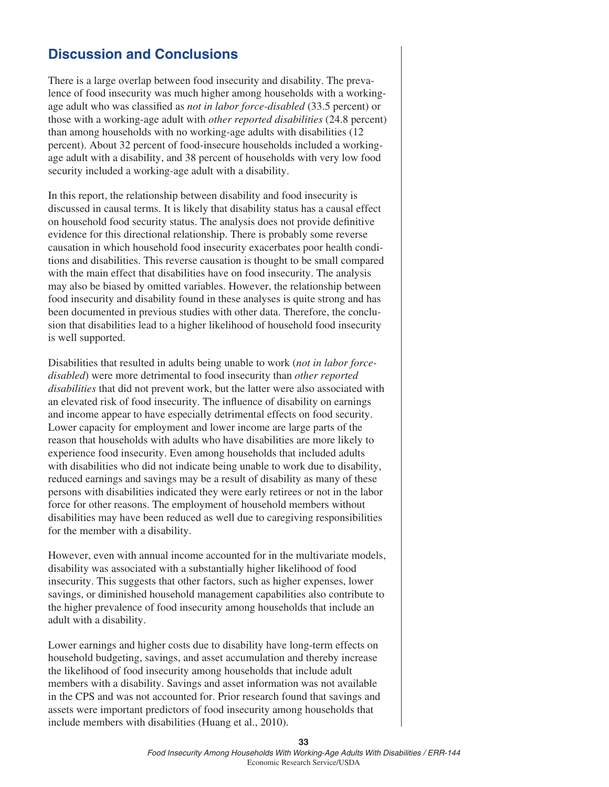## **Discussion and Conclusions**

There is a large overlap between food insecurity and disability. The prevalence of food insecurity was much higher among households with a workingage adult who was classified as *not in labor force-disabled* (33.5 percent) or those with a working-age adult with *other reported disabilities* (24.8 percent) than among households with no working-age adults with disabilities (12 percent). About 32 percent of food-insecure households included a workingage adult with a disability, and 38 percent of households with very low food security included a working-age adult with a disability.

In this report, the relationship between disability and food insecurity is discussed in causal terms. It is likely that disability status has a causal effect on household food security status. The analysis does not provide definitive evidence for this directional relationship. There is probably some reverse causation in which household food insecurity exacerbates poor health conditions and disabilities. This reverse causation is thought to be small compared with the main effect that disabilities have on food insecurity. The analysis may also be biased by omitted variables. However, the relationship between food insecurity and disability found in these analyses is quite strong and has been documented in previous studies with other data. Therefore, the conclusion that disabilities lead to a higher likelihood of household food insecurity is well supported.

Disabilities that resulted in adults being unable to work (*not in labor forcedisabled*) were more detrimental to food insecurity than *other reported disabilities* that did not prevent work, but the latter were also associated with an elevated risk of food insecurity. The influence of disability on earnings and income appear to have especially detrimental effects on food security. Lower capacity for employment and lower income are large parts of the reason that households with adults who have disabilities are more likely to experience food insecurity. Even among households that included adults with disabilities who did not indicate being unable to work due to disability, reduced earnings and savings may be a result of disability as many of these persons with disabilities indicated they were early retirees or not in the labor force for other reasons. The employment of household members without disabilities may have been reduced as well due to caregiving responsibilities for the member with a disability.

However, even with annual income accounted for in the multivariate models, disability was associated with a substantially higher likelihood of food insecurity. This suggests that other factors, such as higher expenses, lower savings, or diminished household management capabilities also contribute to the higher prevalence of food insecurity among households that include an adult with a disability.

Lower earnings and higher costs due to disability have long-term effects on household budgeting, savings, and asset accumulation and thereby increase the likelihood of food insecurity among households that include adult members with a disability. Savings and asset information was not available in the CPS and was not accounted for. Prior research found that savings and assets were important predictors of food insecurity among households that include members with disabilities (Huang et al., 2010).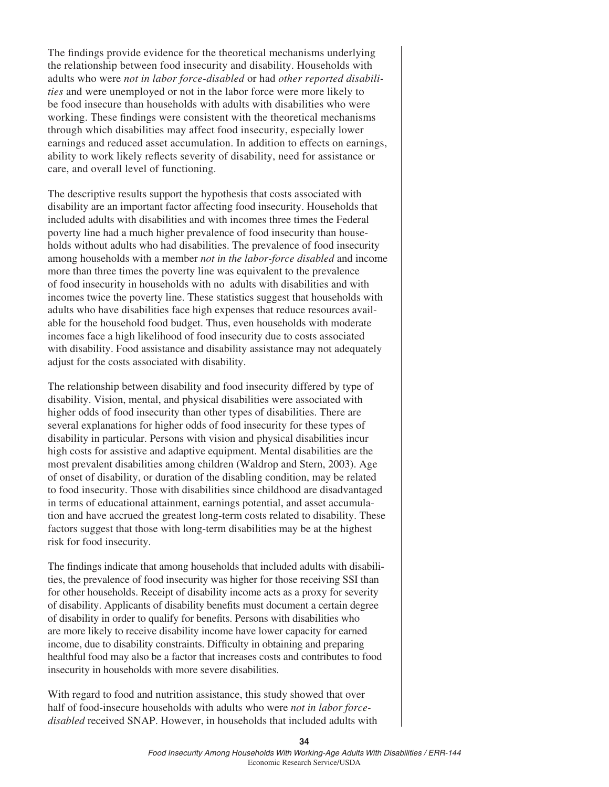The findings provide evidence for the theoretical mechanisms underlying the relationship between food insecurity and disability. Households with adults who were *not in labor force-disabled* or had *other reported disabilities* and were unemployed or not in the labor force were more likely to be food insecure than households with adults with disabilities who were working. These findings were consistent with the theoretical mechanisms through which disabilities may affect food insecurity, especially lower earnings and reduced asset accumulation. In addition to effects on earnings, ability to work likely reflects severity of disability, need for assistance or care, and overall level of functioning.

The descriptive results support the hypothesis that costs associated with disability are an important factor affecting food insecurity. Households that included adults with disabilities and with incomes three times the Federal poverty line had a much higher prevalence of food insecurity than households without adults who had disabilities. The prevalence of food insecurity among households with a member *not in the labor-force disabled* and income more than three times the poverty line was equivalent to the prevalence of food insecurity in households with no adults with disabilities and with incomes twice the poverty line. These statistics suggest that households with adults who have disabilities face high expenses that reduce resources available for the household food budget. Thus, even households with moderate incomes face a high likelihood of food insecurity due to costs associated with disability. Food assistance and disability assistance may not adequately adjust for the costs associated with disability.

The relationship between disability and food insecurity differed by type of disability. Vision, mental, and physical disabilities were associated with higher odds of food insecurity than other types of disabilities. There are several explanations for higher odds of food insecurity for these types of disability in particular. Persons with vision and physical disabilities incur high costs for assistive and adaptive equipment. Mental disabilities are the most prevalent disabilities among children (Waldrop and Stern, 2003). Age of onset of disability, or duration of the disabling condition, may be related to food insecurity. Those with disabilities since childhood are disadvantaged in terms of educational attainment, earnings potential, and asset accumulation and have accrued the greatest long-term costs related to disability. These factors suggest that those with long-term disabilities may be at the highest risk for food insecurity.

The findings indicate that among households that included adults with disabilities, the prevalence of food insecurity was higher for those receiving SSI than for other households. Receipt of disability income acts as a proxy for severity of disability. Applicants of disability benefits must document a certain degree of disability in order to qualify for benefits. Persons with disabilities who are more likely to receive disability income have lower capacity for earned income, due to disability constraints. Difficulty in obtaining and preparing healthful food may also be a factor that increases costs and contributes to food insecurity in households with more severe disabilities.

With regard to food and nutrition assistance, this study showed that over half of food-insecure households with adults who were *not in labor forcedisabled* received SNAP. However, in households that included adults with

**34**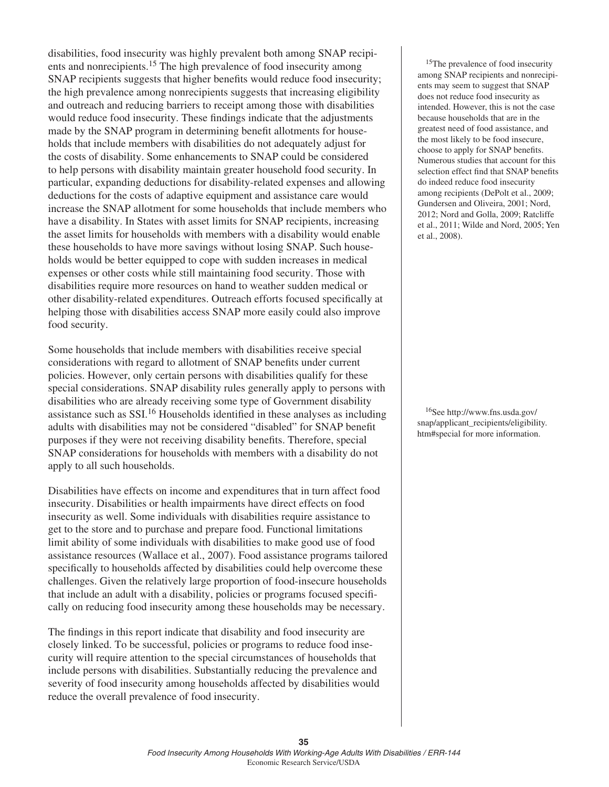disabilities, food insecurity was highly prevalent both among SNAP recipients and nonrecipients.<sup>15</sup> The high prevalence of food insecurity among SNAP recipients suggests that higher benefits would reduce food insecurity; the high prevalence among nonrecipients suggests that increasing eligibility and outreach and reducing barriers to receipt among those with disabilities would reduce food insecurity. These findings indicate that the adjustments made by the SNAP program in determining benefit allotments for households that include members with disabilities do not adequately adjust for the costs of disability. Some enhancements to SNAP could be considered to help persons with disability maintain greater household food security. In particular, expanding deductions for disability-related expenses and allowing deductions for the costs of adaptive equipment and assistance care would increase the SNAP allotment for some households that include members who have a disability. In States with asset limits for SNAP recipients, increasing the asset limits for households with members with a disability would enable these households to have more savings without losing SNAP. Such households would be better equipped to cope with sudden increases in medical expenses or other costs while still maintaining food security. Those with disabilities require more resources on hand to weather sudden medical or other disability-related expenditures. Outreach efforts focused specifically at helping those with disabilities access SNAP more easily could also improve food security.

Some households that include members with disabilities receive special considerations with regard to allotment of SNAP benefits under current policies. However, only certain persons with disabilities qualify for these special considerations. SNAP disability rules generally apply to persons with disabilities who are already receiving some type of Government disability assistance such as  $SSI<sup>16</sup>$  Households identified in these analyses as including adults with disabilities may not be considered "disabled" for SNAP benefit purposes if they were not receiving disability benefits. Therefore, special SNAP considerations for households with members with a disability do not apply to all such households.

Disabilities have effects on income and expenditures that in turn affect food insecurity. Disabilities or health impairments have direct effects on food insecurity as well. Some individuals with disabilities require assistance to get to the store and to purchase and prepare food. Functional limitations limit ability of some individuals with disabilities to make good use of food assistance resources (Wallace et al., 2007). Food assistance programs tailored specifically to households affected by disabilities could help overcome these challenges. Given the relatively large proportion of food-insecure households that include an adult with a disability, policies or programs focused specifically on reducing food insecurity among these households may be necessary.

The findings in this report indicate that disability and food insecurity are closely linked. To be successful, policies or programs to reduce food insecurity will require attention to the special circumstances of households that include persons with disabilities. Substantially reducing the prevalence and severity of food insecurity among households affected by disabilities would reduce the overall prevalence of food insecurity.

<sup>15</sup>The prevalence of food insecurity among SNAP recipients and nonrecipients may seem to suggest that SNAP does not reduce food insecurity as intended. However, this is not the case because households that are in the greatest need of food assistance, and the most likely to be food insecure, choose to apply for SNAP benefits. Numerous studies that account for this selection effect find that SNAP benefits do indeed reduce food insecurity among recipients (DePolt et al., 2009; Gundersen and Oliveira, 2001; Nord, 2012; Nord and Golla, 2009; Ratcliffe et al., 2011; Wilde and Nord, 2005; Yen et al., 2008).

16See http://www.fns.usda.gov/ snap/applicant\_recipients/eligibility. htm#special for more information.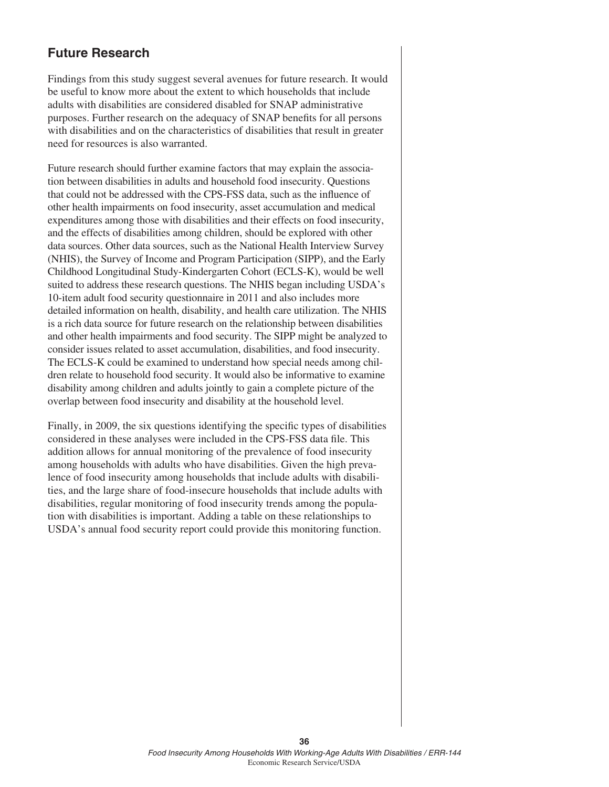## **Future Research**

Findings from this study suggest several avenues for future research. It would be useful to know more about the extent to which households that include adults with disabilities are considered disabled for SNAP administrative purposes. Further research on the adequacy of SNAP benefits for all persons with disabilities and on the characteristics of disabilities that result in greater need for resources is also warranted.

Future research should further examine factors that may explain the association between disabilities in adults and household food insecurity. Questions that could not be addressed with the CPS-FSS data, such as the influence of other health impairments on food insecurity, asset accumulation and medical expenditures among those with disabilities and their effects on food insecurity, and the effects of disabilities among children, should be explored with other data sources. Other data sources, such as the National Health Interview Survey (NHIS), the Survey of Income and Program Participation (SIPP), and the Early Childhood Longitudinal Study-Kindergarten Cohort (ECLS-K), would be well suited to address these research questions. The NHIS began including USDA's 10-item adult food security questionnaire in 2011 and also includes more detailed information on health, disability, and health care utilization. The NHIS is a rich data source for future research on the relationship between disabilities and other health impairments and food security. The SIPP might be analyzed to consider issues related to asset accumulation, disabilities, and food insecurity. The ECLS-K could be examined to understand how special needs among children relate to household food security. It would also be informative to examine disability among children and adults jointly to gain a complete picture of the overlap between food insecurity and disability at the household level.

Finally, in 2009, the six questions identifying the specific types of disabilities considered in these analyses were included in the CPS-FSS data file. This addition allows for annual monitoring of the prevalence of food insecurity among households with adults who have disabilities. Given the high prevalence of food insecurity among households that include adults with disabilities, and the large share of food-insecure households that include adults with disabilities, regular monitoring of food insecurity trends among the population with disabilities is important. Adding a table on these relationships to USDA's annual food security report could provide this monitoring function.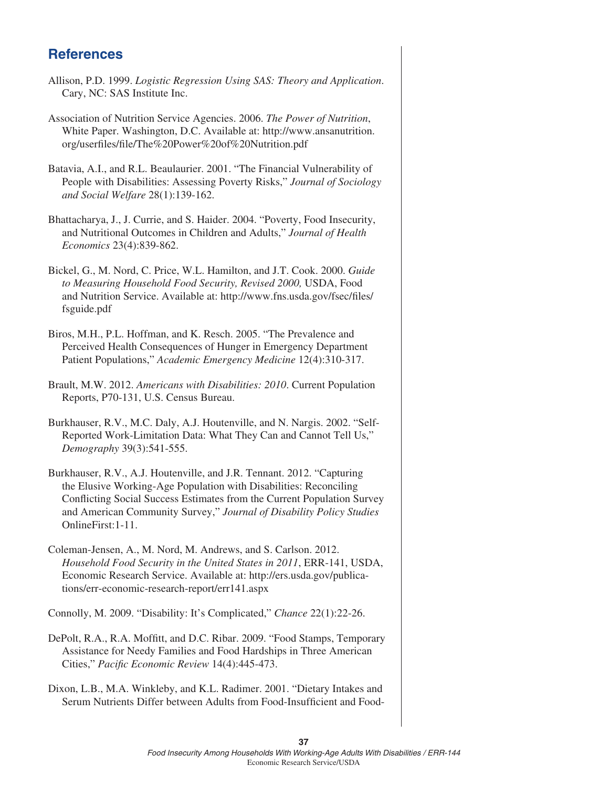## **References**

- Allison, P.D. 1999. *Logistic Regression Using SAS: Theory and Application*. Cary, NC: SAS Institute Inc.
- Association of Nutrition Service Agencies. 2006. *The Power of Nutrition*, White Paper. Washington, D.C. Available at: http://www.ansanutrition. org/userfiles/file/The%20Power%20of%20Nutrition.pdf
- Batavia, A.I., and R.L. Beaulaurier. 2001. "The Financial Vulnerability of People with Disabilities: Assessing Poverty Risks," *Journal of Sociology and Social Welfare* 28(1):139-162.
- Bhattacharya, J., J. Currie, and S. Haider. 2004. "Poverty, Food Insecurity, and Nutritional Outcomes in Children and Adults," *Journal of Health Economics* 23(4):839-862.
- Bickel, G., M. Nord, C. Price, W.L. Hamilton, and J.T. Cook. 2000. *Guide to Measuring Household Food Security, Revised 2000,* USDA, Food and Nutrition Service. Available at: http://www.fns.usda.gov/fsec/files/ fsguide.pdf
- Biros, M.H., P.L. Hoffman, and K. Resch. 2005. "The Prevalence and Perceived Health Consequences of Hunger in Emergency Department Patient Populations," *Academic Emergency Medicine* 12(4):310-317.
- Brault, M.W. 2012. *Americans with Disabilities: 2010*. Current Population Reports, P70-131, U.S. Census Bureau.
- Burkhauser, R.V., M.C. Daly, A.J. Houtenville, and N. Nargis. 2002. "Self-Reported Work-Limitation Data: What They Can and Cannot Tell Us," *Demography* 39(3):541-555.
- Burkhauser, R.V., A.J. Houtenville, and J.R. Tennant. 2012. "Capturing the Elusive Working-Age Population with Disabilities: Reconciling Conflicting Social Success Estimates from the Current Population Survey and American Community Survey," *Journal of Disability Policy Studies* OnlineFirst:1-11.
- Coleman-Jensen, A., M. Nord, M. Andrews, and S. Carlson. 2012. *Household Food Security in the United States in 2011*, ERR-141, USDA, Economic Research Service. Available at: http://ers.usda.gov/publications/err-economic-research-report/err141.aspx

Connolly, M. 2009. "Disability: It's Complicated," *Chance* 22(1):22-26.

- DePolt, R.A., R.A. Moffitt, and D.C. Ribar. 2009. "Food Stamps, Temporary Assistance for Needy Families and Food Hardships in Three American Cities," *Pacific Economic Review* 14(4):445-473.
- Dixon, L.B., M.A. Winkleby, and K.L. Radimer. 2001. "Dietary Intakes and Serum Nutrients Differ between Adults from Food-Insufficient and Food-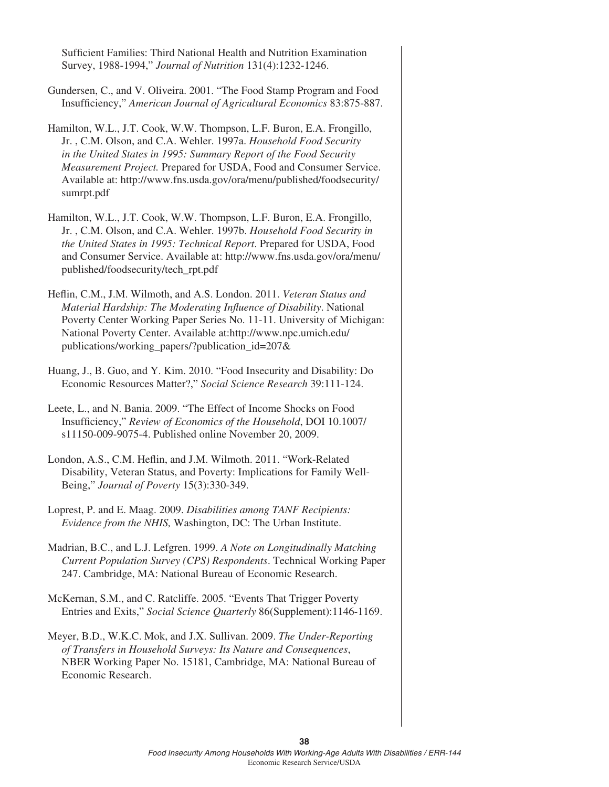Sufficient Families: Third National Health and Nutrition Examination Survey, 1988-1994," *Journal of Nutrition* 131(4):1232-1246.

Gundersen, C., and V. Oliveira. 2001. "The Food Stamp Program and Food Insufficiency," *American Journal of Agricultural Economics* 83:875-887.

- Hamilton, W.L., J.T. Cook, W.W. Thompson, L.F. Buron, E.A. Frongillo, Jr. , C.M. Olson, and C.A. Wehler. 1997a. *Household Food Security in the United States in 1995: Summary Report of the Food Security Measurement Project.* Prepared for USDA, Food and Consumer Service. Available at: http://www.fns.usda.gov/ora/menu/published/foodsecurity/ sumrpt.pdf
- Hamilton, W.L., J.T. Cook, W.W. Thompson, L.F. Buron, E.A. Frongillo, Jr. , C.M. Olson, and C.A. Wehler. 1997b. *Household Food Security in the United States in 1995: Technical Report*. Prepared for USDA, Food and Consumer Service. Available at: http://www.fns.usda.gov/ora/menu/ published/foodsecurity/tech\_rpt.pdf
- Heflin, C.M., J.M. Wilmoth, and A.S. London. 2011. *Veteran Status and Material Hardship: The Moderating Influence of Disability*. National Poverty Center Working Paper Series No. 11-11. University of Michigan: National Poverty Center. Available at:http://www.npc.umich.edu/ publications/working\_papers/?publication\_id=207&
- Huang, J., B. Guo, and Y. Kim. 2010. "Food Insecurity and Disability: Do Economic Resources Matter?," *Social Science Research* 39:111-124.
- Leete, L., and N. Bania. 2009. "The Effect of Income Shocks on Food Insufficiency," *Review of Economics of the Household*, DOI 10.1007/ s11150-009-9075-4. Published online November 20, 2009.
- London, A.S., C.M. Heflin, and J.M. Wilmoth. 2011. "Work-Related Disability, Veteran Status, and Poverty: Implications for Family Well-Being," *Journal of Poverty* 15(3):330-349.
- Loprest, P. and E. Maag. 2009. *Disabilities among TANF Recipients: Evidence from the NHIS,* Washington, DC: The Urban Institute.
- Madrian, B.C., and L.J. Lefgren. 1999. *A Note on Longitudinally Matching Current Population Survey (CPS) Respondents*. Technical Working Paper 247. Cambridge, MA: National Bureau of Economic Research.
- McKernan, S.M., and C. Ratcliffe. 2005. "Events That Trigger Poverty Entries and Exits," *Social Science Quarterly* 86(Supplement):1146-1169.
- Meyer, B.D., W.K.C. Mok, and J.X. Sullivan. 2009. *The Under-Reporting of Transfers in Household Surveys: Its Nature and Consequences*, NBER Working Paper No. 15181, Cambridge, MA: National Bureau of Economic Research.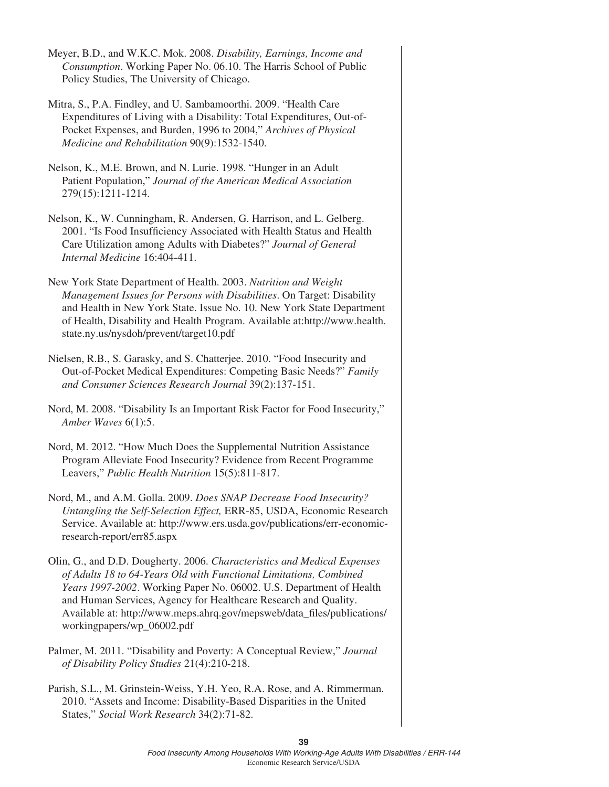- Meyer, B.D., and W.K.C. Mok. 2008. *Disability, Earnings, Income and Consumption*. Working Paper No. 06.10. The Harris School of Public Policy Studies, The University of Chicago.
- Mitra, S., P.A. Findley, and U. Sambamoorthi. 2009. "Health Care Expenditures of Living with a Disability: Total Expenditures, Out-of-Pocket Expenses, and Burden, 1996 to 2004," *Archives of Physical Medicine and Rehabilitation* 90(9):1532-1540.
- Nelson, K., M.E. Brown, and N. Lurie. 1998. "Hunger in an Adult Patient Population," *Journal of the American Medical Association* 279(15):1211-1214.
- Nelson, K., W. Cunningham, R. Andersen, G. Harrison, and L. Gelberg. 2001. "Is Food Insufficiency Associated with Health Status and Health Care Utilization among Adults with Diabetes?" *Journal of General Internal Medicine* 16:404-411.
- New York State Department of Health. 2003. *Nutrition and Weight Management Issues for Persons with Disabilities*. On Target: Disability and Health in New York State. Issue No. 10. New York State Department of Health, Disability and Health Program. Available at:http://www.health. state.ny.us/nysdoh/prevent/target10.pdf
- Nielsen, R.B., S. Garasky, and S. Chatterjee. 2010. "Food Insecurity and Out-of-Pocket Medical Expenditures: Competing Basic Needs?" *Family and Consumer Sciences Research Journal* 39(2):137-151.
- Nord, M. 2008. "Disability Is an Important Risk Factor for Food Insecurity," *Amber Waves* 6(1):5.
- Nord, M. 2012. "How Much Does the Supplemental Nutrition Assistance Program Alleviate Food Insecurity? Evidence from Recent Programme Leavers," *Public Health Nutrition* 15(5):811-817.
- Nord, M., and A.M. Golla. 2009. *Does SNAP Decrease Food Insecurity? Untangling the Self-Selection Effect,* ERR-85, USDA, Economic Research Service. Available at: http://www.ers.usda.gov/publications/err-economicresearch-report/err85.aspx
- Olin, G., and D.D. Dougherty. 2006. *Characteristics and Medical Expenses of Adults 18 to 64-Years Old with Functional Limitations, Combined Years 1997-2002*. Working Paper No. 06002. U.S. Department of Health and Human Services, Agency for Healthcare Research and Quality. Available at: http://www.meps.ahrq.gov/mepsweb/data\_files/publications/ workingpapers/wp\_06002.pdf
- Palmer, M. 2011. "Disability and Poverty: A Conceptual Review," *Journal of Disability Policy Studies* 21(4):210-218.
- Parish, S.L., M. Grinstein-Weiss, Y.H. Yeo, R.A. Rose, and A. Rimmerman. 2010. "Assets and Income: Disability-Based Disparities in the United States," *Social Work Research* 34(2):71-82.

**39**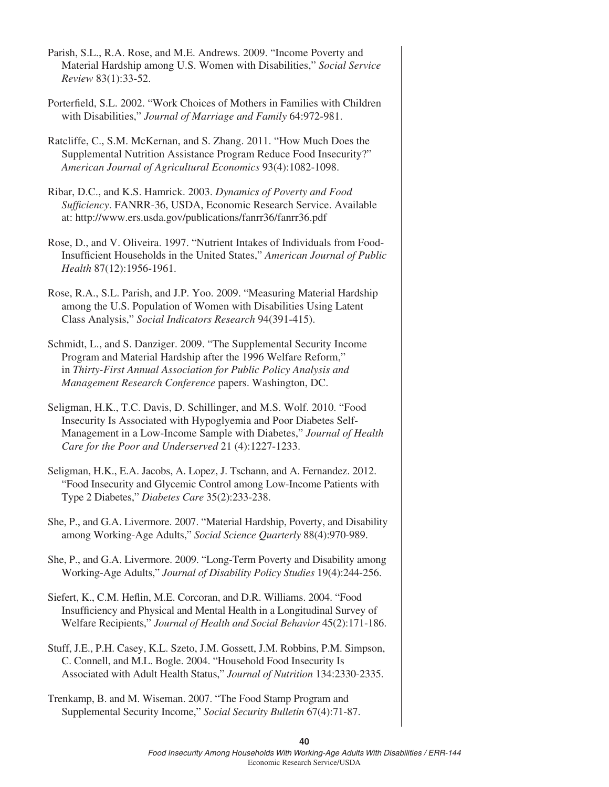- Parish, S.L., R.A. Rose, and M.E. Andrews. 2009. "Income Poverty and Material Hardship among U.S. Women with Disabilities," *Social Service Review* 83(1):33-52.
- Porterfield, S.L. 2002. "Work Choices of Mothers in Families with Children with Disabilities," *Journal of Marriage and Family* 64:972-981.
- Ratcliffe, C., S.M. McKernan, and S. Zhang. 2011. "How Much Does the Supplemental Nutrition Assistance Program Reduce Food Insecurity?" *American Journal of Agricultural Economics* 93(4):1082-1098.
- Ribar, D.C., and K.S. Hamrick. 2003. *Dynamics of Poverty and Food Sufficiency*. FANRR-36, USDA, Economic Research Service. Available at: http://www.ers.usda.gov/publications/fanrr36/fanrr36.pdf
- Rose, D., and V. Oliveira. 1997. "Nutrient Intakes of Individuals from Food-Insufficient Households in the United States," *American Journal of Public Health* 87(12):1956-1961.
- Rose, R.A., S.L. Parish, and J.P. Yoo. 2009. "Measuring Material Hardship among the U.S. Population of Women with Disabilities Using Latent Class Analysis," *Social Indicators Research* 94(391-415).
- Schmidt, L., and S. Danziger. 2009. "The Supplemental Security Income Program and Material Hardship after the 1996 Welfare Reform," in *Thirty-First Annual Association for Public Policy Analysis and Management Research Conference* papers. Washington, DC.
- Seligman, H.K., T.C. Davis, D. Schillinger, and M.S. Wolf. 2010. "Food Insecurity Is Associated with Hypoglyemia and Poor Diabetes Self-Management in a Low-Income Sample with Diabetes," *Journal of Health Care for the Poor and Underserved* 21 (4):1227-1233.
- Seligman, H.K., E.A. Jacobs, A. Lopez, J. Tschann, and A. Fernandez. 2012. "Food Insecurity and Glycemic Control among Low-Income Patients with Type 2 Diabetes," *Diabetes Care* 35(2):233-238.
- She, P., and G.A. Livermore. 2007. "Material Hardship, Poverty, and Disability among Working-Age Adults," *Social Science Quarterly* 88(4):970-989.
- She, P., and G.A. Livermore. 2009. "Long-Term Poverty and Disability among Working-Age Adults," *Journal of Disability Policy Studies* 19(4):244-256.
- Siefert, K., C.M. Heflin, M.E. Corcoran, and D.R. Williams. 2004. "Food Insufficiency and Physical and Mental Health in a Longitudinal Survey of Welfare Recipients," *Journal of Health and Social Behavior* 45(2):171-186.
- Stuff, J.E., P.H. Casey, K.L. Szeto, J.M. Gossett, J.M. Robbins, P.M. Simpson, C. Connell, and M.L. Bogle. 2004. "Household Food Insecurity Is Associated with Adult Health Status," *Journal of Nutrition* 134:2330-2335.
- Trenkamp, B. and M. Wiseman. 2007. "The Food Stamp Program and Supplemental Security Income," *Social Security Bulletin* 67(4):71-87.

**40**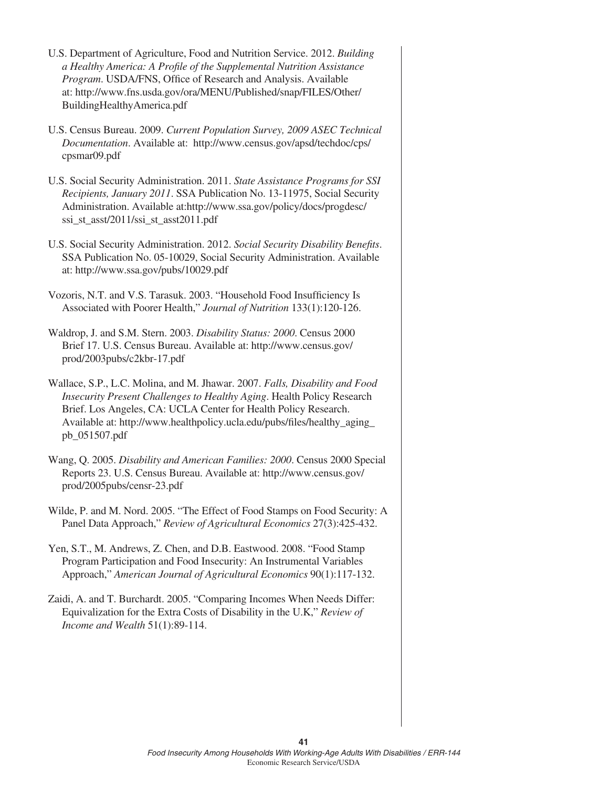- U.S. Department of Agriculture, Food and Nutrition Service. 2012. *Building a Healthy America: A Profile of the Supplemental Nutrition Assistance Program*. USDA/FNS, Office of Research and Analysis. Available at: http://www.fns.usda.gov/ora/MENU/Published/snap/FILES/Other/ BuildingHealthyAmerica.pdf
- U.S. Census Bureau. 2009. *Current Population Survey, 2009 ASEC Technical Documentation*. Available at: http://www.census.gov/apsd/techdoc/cps/ cpsmar09.pdf
- U.S. Social Security Administration. 2011. *State Assistance Programs for SSI Recipients, January 2011*. SSA Publication No. 13-11975, Social Security Administration. Available at:http://www.ssa.gov/policy/docs/progdesc/ ssi\_st\_asst/2011/ssi\_st\_asst2011.pdf
- U.S. Social Security Administration. 2012. *Social Security Disability Benefits*. SSA Publication No. 05-10029, Social Security Administration. Available at: http://www.ssa.gov/pubs/10029.pdf
- Vozoris, N.T. and V.S. Tarasuk. 2003. "Household Food Insufficiency Is Associated with Poorer Health," *Journal of Nutrition* 133(1):120-126.
- Waldrop, J. and S.M. Stern. 2003. *Disability Status: 2000*. Census 2000 Brief 17. U.S. Census Bureau. Available at: http://www.census.gov/ prod/2003pubs/c2kbr-17.pdf
- Wallace, S.P., L.C. Molina, and M. Jhawar. 2007. *Falls, Disability and Food Insecurity Present Challenges to Healthy Aging*. Health Policy Research Brief. Los Angeles, CA: UCLA Center for Health Policy Research. Available at: http://www.healthpolicy.ucla.edu/pubs/files/healthy\_aging\_ pb\_051507.pdf
- Wang, Q. 2005. *Disability and American Families: 2000*. Census 2000 Special Reports 23. U.S. Census Bureau. Available at: http://www.census.gov/ prod/2005pubs/censr-23.pdf
- Wilde, P. and M. Nord. 2005. "The Effect of Food Stamps on Food Security: A Panel Data Approach," *Review of Agricultural Economics* 27(3):425-432.
- Yen, S.T., M. Andrews, Z. Chen, and D.B. Eastwood. 2008. "Food Stamp Program Participation and Food Insecurity: An Instrumental Variables Approach," *American Journal of Agricultural Economics* 90(1):117-132.
- Zaidi, A. and T. Burchardt. 2005. "Comparing Incomes When Needs Differ: Equivalization for the Extra Costs of Disability in the U.K," *Review of Income and Wealth* 51(1):89-114.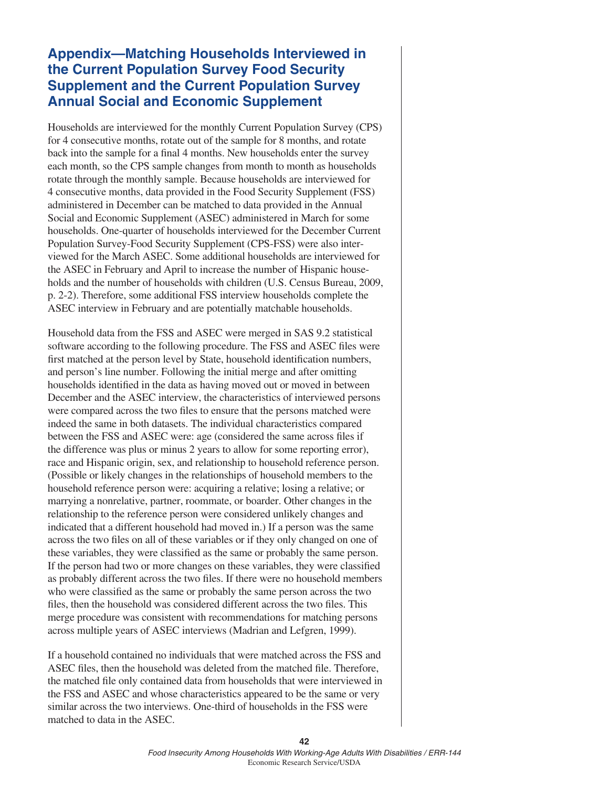## **Appendix—Matching Households Interviewed in the Current Population Survey Food Security Supplement and the Current Population Survey Annual Social and Economic Supplement**

Households are interviewed for the monthly Current Population Survey (CPS) for 4 consecutive months, rotate out of the sample for 8 months, and rotate back into the sample for a final 4 months. New households enter the survey each month, so the CPS sample changes from month to month as households rotate through the monthly sample. Because households are interviewed for 4 consecutive months, data provided in the Food Security Supplement (FSS) administered in December can be matched to data provided in the Annual Social and Economic Supplement (ASEC) administered in March for some households. One-quarter of households interviewed for the December Current Population Survey-Food Security Supplement (CPS-FSS) were also interviewed for the March ASEC. Some additional households are interviewed for the ASEC in February and April to increase the number of Hispanic households and the number of households with children (U.S. Census Bureau, 2009, p. 2-2). Therefore, some additional FSS interview households complete the ASEC interview in February and are potentially matchable households.

Household data from the FSS and ASEC were merged in SAS 9.2 statistical software according to the following procedure. The FSS and ASEC files were first matched at the person level by State, household identification numbers, and person's line number. Following the initial merge and after omitting households identified in the data as having moved out or moved in between December and the ASEC interview, the characteristics of interviewed persons were compared across the two files to ensure that the persons matched were indeed the same in both datasets. The individual characteristics compared between the FSS and ASEC were: age (considered the same across files if the difference was plus or minus 2 years to allow for some reporting error), race and Hispanic origin, sex, and relationship to household reference person. (Possible or likely changes in the relationships of household members to the household reference person were: acquiring a relative; losing a relative; or marrying a nonrelative, partner, roommate, or boarder. Other changes in the relationship to the reference person were considered unlikely changes and indicated that a different household had moved in.) If a person was the same across the two files on all of these variables or if they only changed on one of these variables, they were classified as the same or probably the same person. If the person had two or more changes on these variables, they were classified as probably different across the two files. If there were no household members who were classified as the same or probably the same person across the two files, then the household was considered different across the two files. This merge procedure was consistent with recommendations for matching persons across multiple years of ASEC interviews (Madrian and Lefgren, 1999).

If a household contained no individuals that were matched across the FSS and ASEC files, then the household was deleted from the matched file. Therefore, the matched file only contained data from households that were interviewed in the FSS and ASEC and whose characteristics appeared to be the same or very similar across the two interviews. One-third of households in the FSS were matched to data in the ASEC.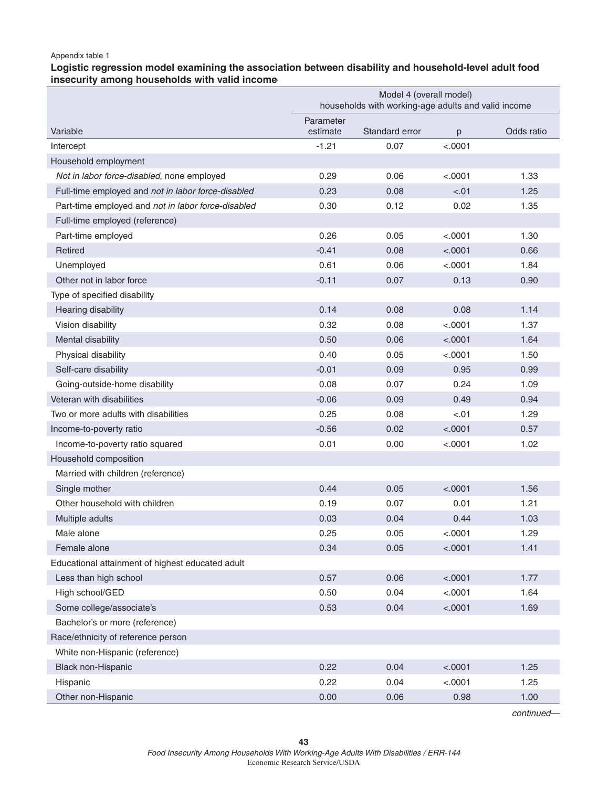#### Appendix table 1

#### **Logistic regression model examining the association between disability and household-level adult food insecurity among households with valid income—continued**

|                                                    | Model 4 (overall model)                             |                |         |            |  |
|----------------------------------------------------|-----------------------------------------------------|----------------|---------|------------|--|
|                                                    | households with working-age adults and valid income |                |         |            |  |
| Variable                                           | Parameter<br>estimate                               | Standard error | p       | Odds ratio |  |
| Intercept                                          | $-1.21$                                             | 0.07           | < .0001 |            |  |
| Household employment                               |                                                     |                |         |            |  |
| Not in labor force-disabled, none employed         | 0.29                                                | 0.06           | < .0001 | 1.33       |  |
| Full-time employed and not in labor force-disabled | 0.23                                                | 0.08           | $-.01$  | 1.25       |  |
| Part-time employed and not in labor force-disabled | 0.30                                                | 0.12           | 0.02    | 1.35       |  |
| Full-time employed (reference)                     |                                                     |                |         |            |  |
| Part-time employed                                 | 0.26                                                | 0.05           | < .0001 | 1.30       |  |
| Retired                                            | $-0.41$                                             | 0.08           | < .0001 | 0.66       |  |
| Unemployed                                         | 0.61                                                | 0.06           | < .0001 | 1.84       |  |
| Other not in labor force                           | $-0.11$                                             | 0.07           | 0.13    | 0.90       |  |
| Type of specified disability                       |                                                     |                |         |            |  |
| Hearing disability                                 | 0.14                                                | 0.08           | 0.08    | 1.14       |  |
| Vision disability                                  | 0.32                                                | 0.08           | < .0001 | 1.37       |  |
| Mental disability                                  | 0.50                                                | 0.06           | < .0001 | 1.64       |  |
| Physical disability                                | 0.40                                                | 0.05           | < .0001 | 1.50       |  |
| Self-care disability                               | $-0.01$                                             | 0.09           | 0.95    | 0.99       |  |
| Going-outside-home disability                      | 0.08                                                | 0.07           | 0.24    | 1.09       |  |
| Veteran with disabilities                          | $-0.06$                                             | 0.09           | 0.49    | 0.94       |  |
| Two or more adults with disabilities               | 0.25                                                | 0.08           | $-.01$  | 1.29       |  |
| Income-to-poverty ratio                            | $-0.56$                                             | 0.02           | < .0001 | 0.57       |  |
| Income-to-poverty ratio squared                    | 0.01                                                | 0.00           | < .0001 | 1.02       |  |
| Household composition                              |                                                     |                |         |            |  |
| Married with children (reference)                  |                                                     |                |         |            |  |
| Single mother                                      | 0.44                                                | 0.05           | < .0001 | 1.56       |  |
| Other household with children                      | 0.19                                                | 0.07           | 0.01    | 1.21       |  |
| Multiple adults                                    | 0.03                                                | 0.04           | 0.44    | 1.03       |  |
| Male alone                                         | 0.25                                                | 0.05           | < .0001 | 1.29       |  |
| Female alone                                       | 0.34                                                | 0.05           | < .0001 | 1.41       |  |
| Educational attainment of highest educated adult   |                                                     |                |         |            |  |
| Less than high school                              | 0.57                                                | 0.06           | < .0001 | 1.77       |  |
| High school/GED                                    | 0.50                                                | 0.04           | < .0001 | 1.64       |  |
| Some college/associate's                           | 0.53                                                | 0.04           | < .0001 | 1.69       |  |
| Bachelor's or more (reference)                     |                                                     |                |         |            |  |
| Race/ethnicity of reference person                 |                                                     |                |         |            |  |
| White non-Hispanic (reference)                     |                                                     |                |         |            |  |
| Black non-Hispanic                                 | 0.22                                                | 0.04           | < .0001 | 1.25       |  |
| Hispanic                                           | 0.22                                                | 0.04           | < .0001 | 1.25       |  |
| Other non-Hispanic                                 | 0.00                                                | 0.06           | 0.98    | 1.00       |  |

*continued—*